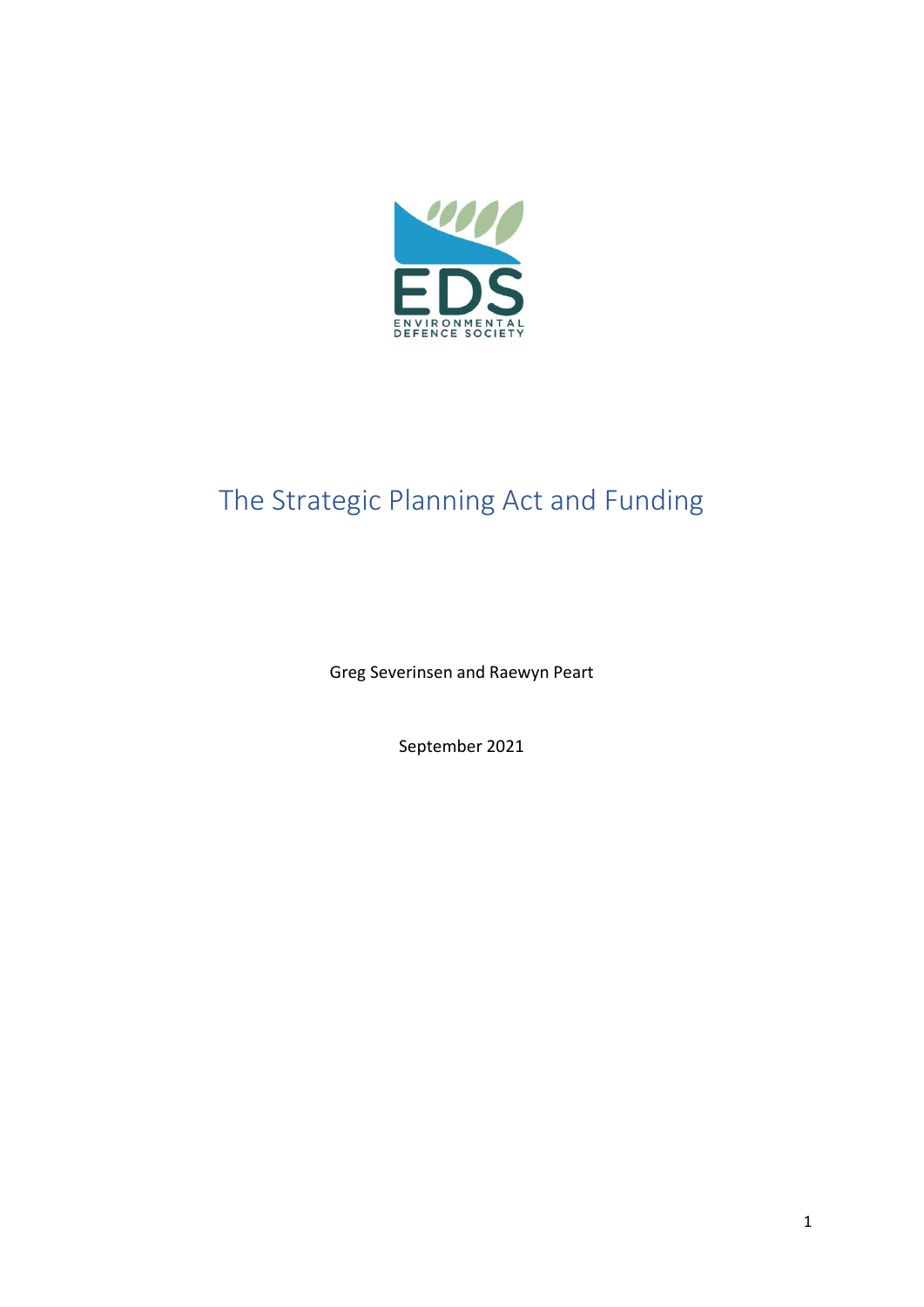

# The Strategic Planning Act and Funding

Greg Severinsen and Raewyn Peart

September 2021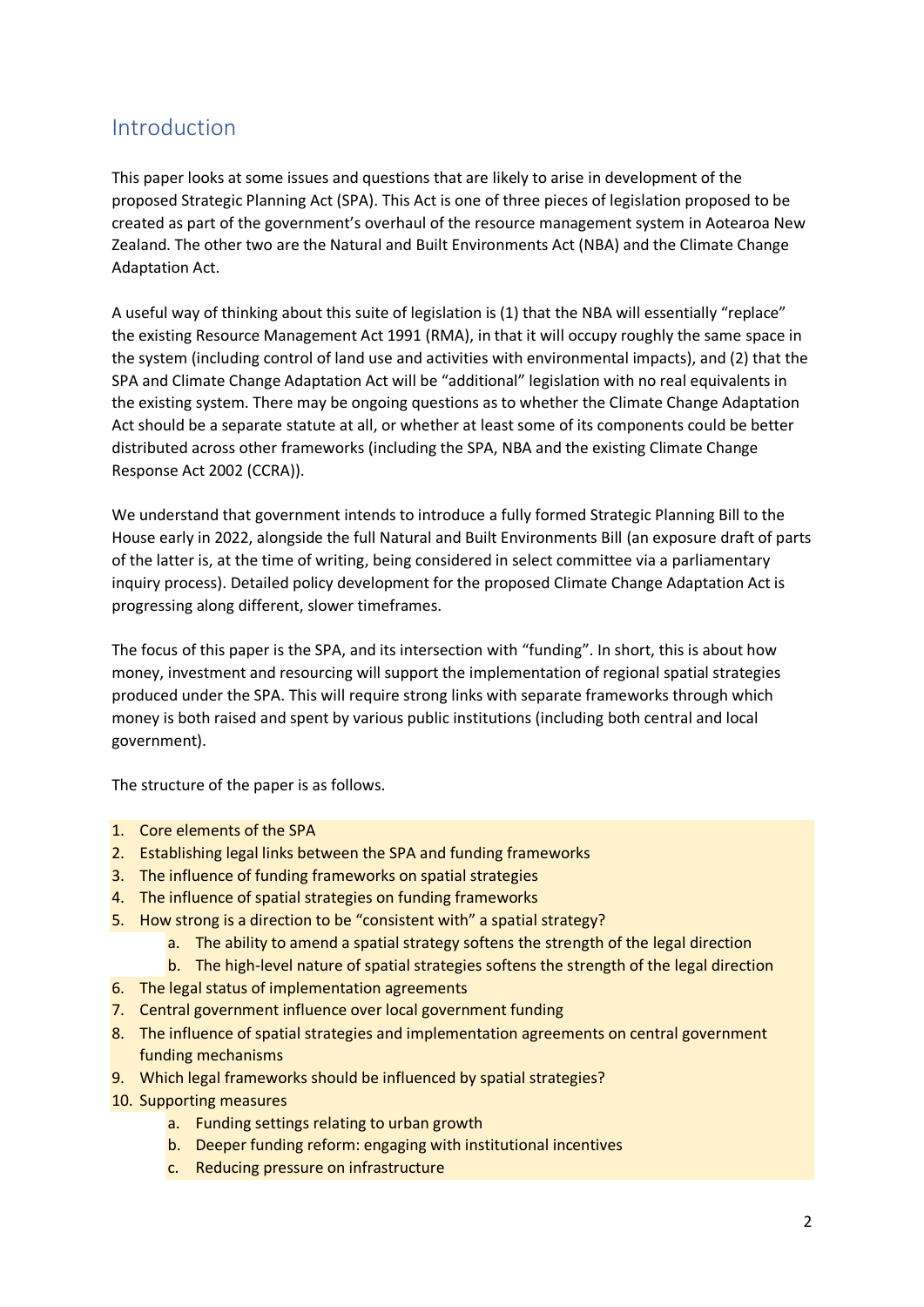### Introduction

This paper looks at some issues and questions that are likely to arise in development of the proposed Strategic Planning Act (SPA). This Act is one of three pieces of legislation proposed to be created as part of the government's overhaul of the resource management system in Aotearoa New Zealand. The other two are the Natural and Built Environments Act (NBA) and the Climate Change Adaptation Act.

A useful way of thinking about this suite of legislation is (1) that the NBA will essentially "replace" the existing Resource Management Act 1991 (RMA), in that it will occupy roughly the same space in the system (including control of land use and activities with environmental impacts), and (2) that the SPA and Climate Change Adaptation Act will be "additional" legislation with no real equivalents in the existing system. There may be ongoing questions as to whether the Climate Change Adaptation Act should be a separate statute at all, or whether at least some of its components could be better distributed across other frameworks (including the SPA, NBA and the existing Climate Change Response Act 2002 (CCRA)).

We understand that government intends to introduce a fully formed Strategic Planning Bill to the House early in 2022, alongside the full Natural and Built Environments Bill (an exposure draft of parts of the latter is, at the time of writing, being considered in select committee via a parliamentary inquiry process). Detailed policy development for the proposed Climate Change Adaptation Act is progressing along different, slower timeframes.

The focus of this paper is the SPA, and its intersection with "funding". In short, this is about how money, investment and resourcing will support the implementation of regional spatial strategies produced under the SPA. This will require strong links with separate frameworks through which money is both raised and spent by various public institutions (including both central and local government).

The structure of the paper is as follows.

- 1. Core elements of the SPA
- 2. Establishing legal links between the SPA and funding frameworks
- 3. The influence of funding frameworks on spatial strategies
- 4. The influence of spatial strategies on funding frameworks
- 5. How strong is a direction to be "consistent with" a spatial strategy?
	- a. The ability to amend a spatial strategy softens the strength of the legal direction
	- b. The high-level nature of spatial strategies softens the strength of the legal direction
- 6. The legal status of implementation agreements
- 7. Central government influence over local government funding
- 8. The influence of spatial strategies and implementation agreements on central government funding mechanisms
- 9. Which legal frameworks should be influenced by spatial strategies?
- 10. Supporting measures
	- a. Funding settings relating to urban growth
	- b. Deeper funding reform: engaging with institutional incentives
	- c. Reducing pressure on infrastructure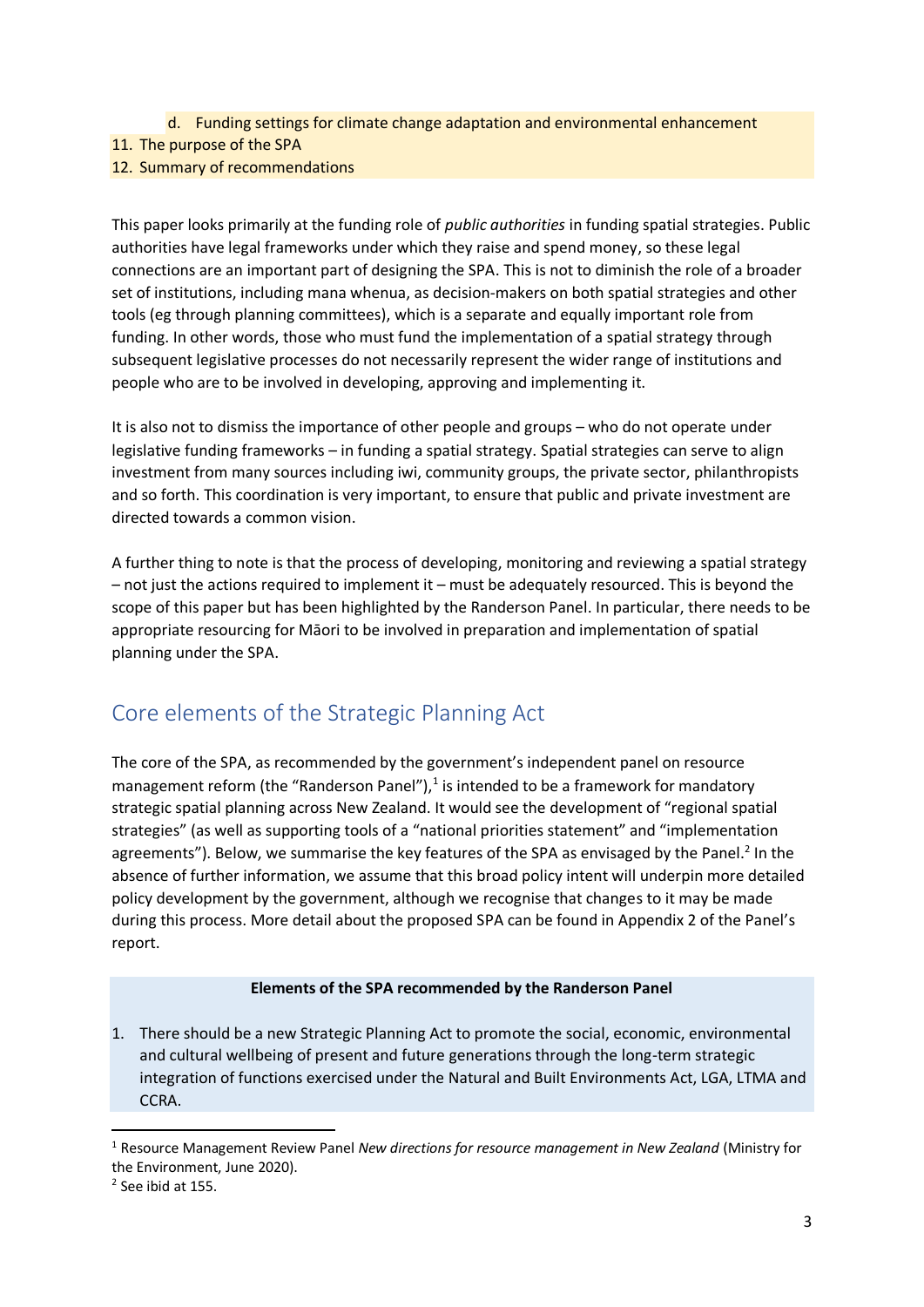- d. Funding settings for climate change adaptation and environmental enhancement
- 11. The purpose of the SPA
- 12. Summary of recommendations

This paper looks primarily at the funding role of *public authorities* in funding spatial strategies. Public authorities have legal frameworks under which they raise and spend money, so these legal connections are an important part of designing the SPA. This is not to diminish the role of a broader set of institutions, including mana whenua, as decision-makers on both spatial strategies and other tools (eg through planning committees), which is a separate and equally important role from funding. In other words, those who must fund the implementation of a spatial strategy through subsequent legislative processes do not necessarily represent the wider range of institutions and people who are to be involved in developing, approving and implementing it.

It is also not to dismiss the importance of other people and groups – who do not operate under legislative funding frameworks – in funding a spatial strategy. Spatial strategies can serve to align investment from many sources including iwi, community groups, the private sector, philanthropists and so forth. This coordination is very important, to ensure that public and private investment are directed towards a common vision.

A further thing to note is that the process of developing, monitoring and reviewing a spatial strategy – not just the actions required to implement it – must be adequately resourced. This is beyond the scope of this paper but has been highlighted by the Randerson Panel. In particular, there needs to be appropriate resourcing for Māori to be involved in preparation and implementation of spatial planning under the SPA.

# Core elements of the Strategic Planning Act

The core of the SPA, as recommended by the government's independent panel on resource management reform (the "Randerson Panel"), $<sup>1</sup>$  is intended to be a framework for mandatory</sup> strategic spatial planning across New Zealand. It would see the development of "regional spatial strategies" (as well as supporting tools of a "national priorities statement" and "implementation agreements"). Below, we summarise the key features of the SPA as envisaged by the Panel.<sup>2</sup> In the absence of further information, we assume that this broad policy intent will underpin more detailed policy development by the government, although we recognise that changes to it may be made during this process. More detail about the proposed SPA can be found in Appendix 2 of the Panel's report.

#### **Elements of the SPA recommended by the Randerson Panel**

1. There should be a new Strategic Planning Act to promote the social, economic, environmental and cultural wellbeing of present and future generations through the long-term strategic integration of functions exercised under the Natural and Built Environments Act, LGA, LTMA and CCRA.

<sup>1</sup> Resource Management Review Panel *New directions for resource management in New Zealand* (Ministry for the Environment, June 2020).

<sup>2</sup> See ibid at 155.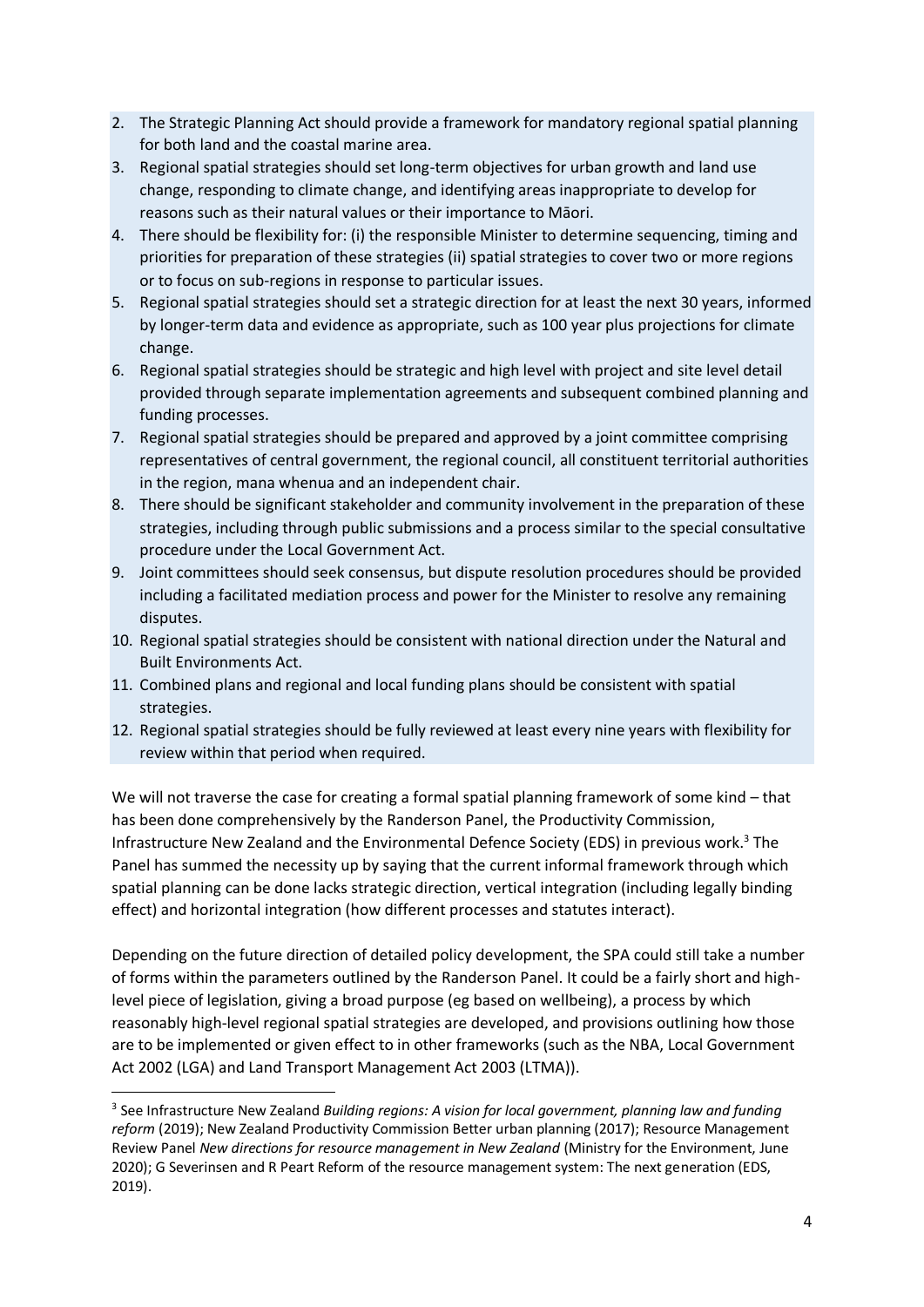- 2. The Strategic Planning Act should provide a framework for mandatory regional spatial planning for both land and the coastal marine area.
- 3. Regional spatial strategies should set long-term objectives for urban growth and land use change, responding to climate change, and identifying areas inappropriate to develop for reasons such as their natural values or their importance to Māori.
- 4. There should be flexibility for: (i) the responsible Minister to determine sequencing, timing and priorities for preparation of these strategies (ii) spatial strategies to cover two or more regions or to focus on sub-regions in response to particular issues.
- 5. Regional spatial strategies should set a strategic direction for at least the next 30 years, informed by longer-term data and evidence as appropriate, such as 100 year plus projections for climate change.
- 6. Regional spatial strategies should be strategic and high level with project and site level detail provided through separate implementation agreements and subsequent combined planning and funding processes.
- 7. Regional spatial strategies should be prepared and approved by a joint committee comprising representatives of central government, the regional council, all constituent territorial authorities in the region, mana whenua and an independent chair.
- 8. There should be significant stakeholder and community involvement in the preparation of these strategies, including through public submissions and a process similar to the special consultative procedure under the Local Government Act.
- 9. Joint committees should seek consensus, but dispute resolution procedures should be provided including a facilitated mediation process and power for the Minister to resolve any remaining disputes.
- 10. Regional spatial strategies should be consistent with national direction under the Natural and Built Environments Act.
- 11. Combined plans and regional and local funding plans should be consistent with spatial strategies.
- 12. Regional spatial strategies should be fully reviewed at least every nine years with flexibility for review within that period when required.

We will not traverse the case for creating a formal spatial planning framework of some kind – that has been done comprehensively by the Randerson Panel, the Productivity Commission, Infrastructure New Zealand and the Environmental Defence Society (EDS) in previous work.<sup>3</sup> The Panel has summed the necessity up by saying that the current informal framework through which spatial planning can be done lacks strategic direction, vertical integration (including legally binding effect) and horizontal integration (how different processes and statutes interact).

Depending on the future direction of detailed policy development, the SPA could still take a number of forms within the parameters outlined by the Randerson Panel. It could be a fairly short and highlevel piece of legislation, giving a broad purpose (eg based on wellbeing), a process by which reasonably high-level regional spatial strategies are developed, and provisions outlining how those are to be implemented or given effect to in other frameworks (such as the NBA, Local Government Act 2002 (LGA) and Land Transport Management Act 2003 (LTMA)).

<sup>&</sup>lt;sup>3</sup> See Infrastructure New Zealand *Building regions: A vision for local government, planning law and funding reform* (2019); New Zealand Productivity Commission Better urban planning (2017); Resource Management Review Panel *New directions for resource management in New Zealand* (Ministry for the Environment, June 2020); G Severinsen and R Peart Reform of the resource management system: The next generation (EDS, 2019).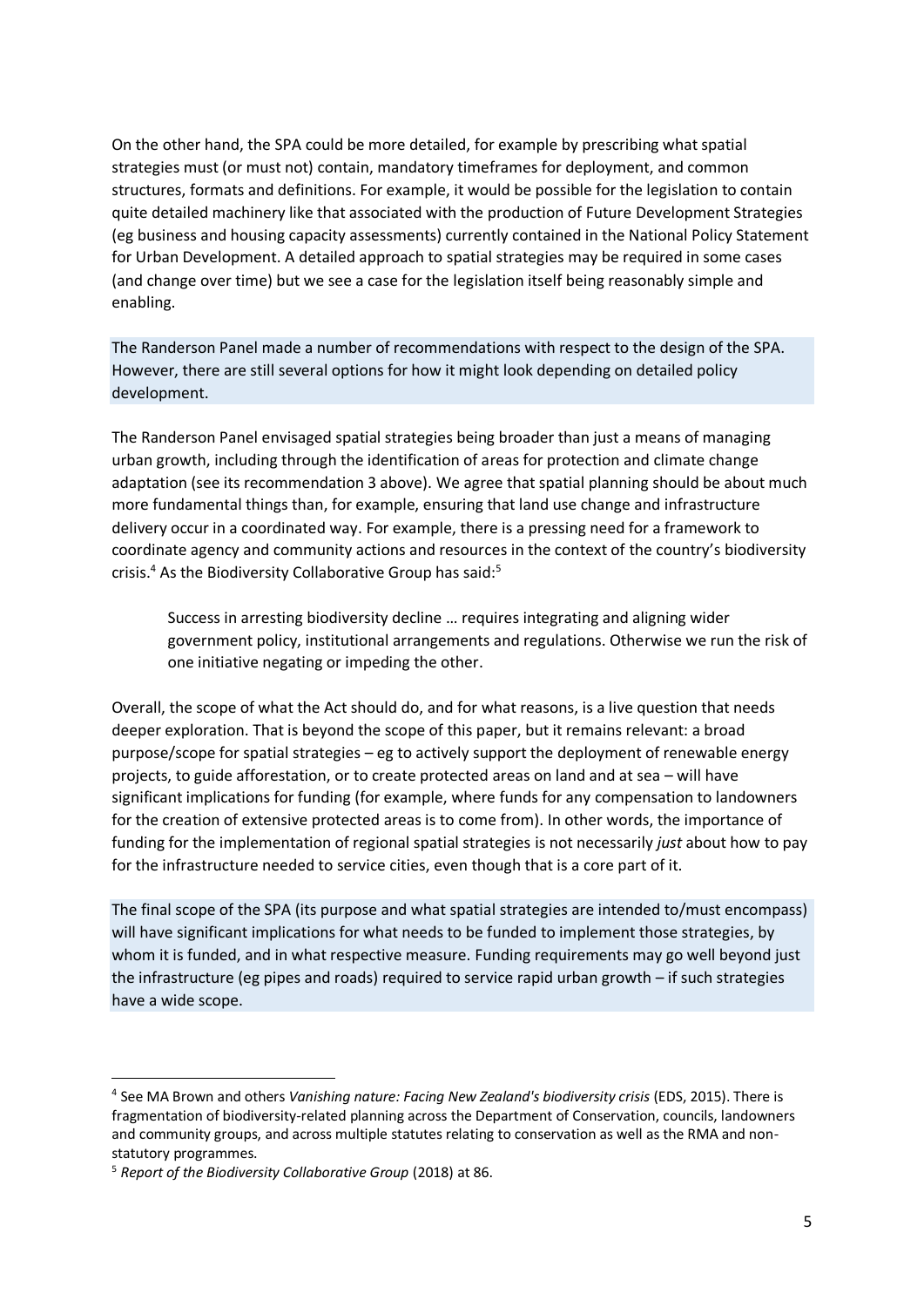On the other hand, the SPA could be more detailed, for example by prescribing what spatial strategies must (or must not) contain, mandatory timeframes for deployment, and common structures, formats and definitions. For example, it would be possible for the legislation to contain quite detailed machinery like that associated with the production of Future Development Strategies (eg business and housing capacity assessments) currently contained in the National Policy Statement for Urban Development. A detailed approach to spatial strategies may be required in some cases (and change over time) but we see a case for the legislation itself being reasonably simple and enabling.

The Randerson Panel made a number of recommendations with respect to the design of the SPA. However, there are still several options for how it might look depending on detailed policy development.

The Randerson Panel envisaged spatial strategies being broader than just a means of managing urban growth, including through the identification of areas for protection and climate change adaptation (see its recommendation 3 above). We agree that spatial planning should be about much more fundamental things than, for example, ensuring that land use change and infrastructure delivery occur in a coordinated way. For example, there is a pressing need for a framework to coordinate agency and community actions and resources in the context of the country's biodiversity crisis.<sup>4</sup> As the Biodiversity Collaborative Group has said:<sup>5</sup>

Success in arresting biodiversity decline … requires integrating and aligning wider government policy, institutional arrangements and regulations. Otherwise we run the risk of one initiative negating or impeding the other.

Overall, the scope of what the Act should do, and for what reasons, is a live question that needs deeper exploration. That is beyond the scope of this paper, but it remains relevant: a broad purpose/scope for spatial strategies – eg to actively support the deployment of renewable energy projects, to guide afforestation, or to create protected areas on land and at sea – will have significant implications for funding (for example, where funds for any compensation to landowners for the creation of extensive protected areas is to come from). In other words, the importance of funding for the implementation of regional spatial strategies is not necessarily *just* about how to pay for the infrastructure needed to service cities, even though that is a core part of it.

The final scope of the SPA (its purpose and what spatial strategies are intended to/must encompass) will have significant implications for what needs to be funded to implement those strategies, by whom it is funded, and in what respective measure. Funding requirements may go well beyond just the infrastructure (eg pipes and roads) required to service rapid urban growth – if such strategies have a wide scope.

<sup>4</sup> See MA Brown and others *Vanishing nature: Facing New Zealand's biodiversity crisis* (EDS, 2015). There is fragmentation of biodiversity-related planning across the Department of Conservation, councils, landowners and community groups, and across multiple statutes relating to conservation as well as the RMA and nonstatutory programmes.

<sup>5</sup> *Report of the Biodiversity Collaborative Group* (2018) at 86.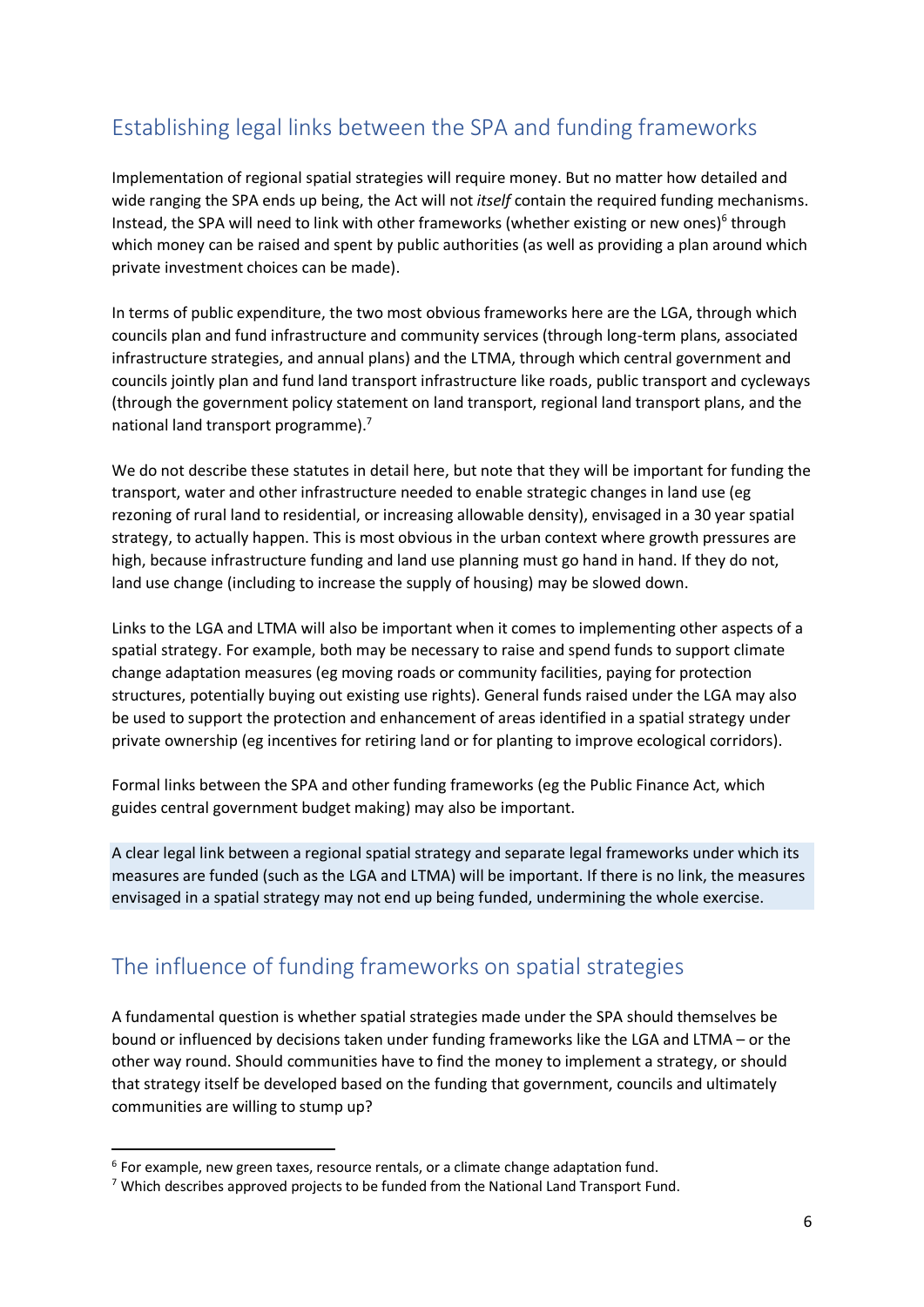# Establishing legal links between the SPA and funding frameworks

Implementation of regional spatial strategies will require money. But no matter how detailed and wide ranging the SPA ends up being, the Act will not *itself* contain the required funding mechanisms. Instead, the SPA will need to link with other frameworks (whether existing or new ones)<sup>6</sup> through which money can be raised and spent by public authorities (as well as providing a plan around which private investment choices can be made).

In terms of public expenditure, the two most obvious frameworks here are the LGA, through which councils plan and fund infrastructure and community services (through long-term plans, associated infrastructure strategies, and annual plans) and the LTMA, through which central government and councils jointly plan and fund land transport infrastructure like roads, public transport and cycleways (through the government policy statement on land transport, regional land transport plans, and the national land transport programme).<sup>7</sup>

We do not describe these statutes in detail here, but note that they will be important for funding the transport, water and other infrastructure needed to enable strategic changes in land use (eg rezoning of rural land to residential, or increasing allowable density), envisaged in a 30 year spatial strategy, to actually happen. This is most obvious in the urban context where growth pressures are high, because infrastructure funding and land use planning must go hand in hand. If they do not, land use change (including to increase the supply of housing) may be slowed down.

Links to the LGA and LTMA will also be important when it comes to implementing other aspects of a spatial strategy. For example, both may be necessary to raise and spend funds to support climate change adaptation measures (eg moving roads or community facilities, paying for protection structures, potentially buying out existing use rights). General funds raised under the LGA may also be used to support the protection and enhancement of areas identified in a spatial strategy under private ownership (eg incentives for retiring land or for planting to improve ecological corridors).

Formal links between the SPA and other funding frameworks (eg the Public Finance Act, which guides central government budget making) may also be important.

A clear legal link between a regional spatial strategy and separate legal frameworks under which its measures are funded (such as the LGA and LTMA) will be important. If there is no link, the measures envisaged in a spatial strategy may not end up being funded, undermining the whole exercise.

### The influence of funding frameworks on spatial strategies

A fundamental question is whether spatial strategies made under the SPA should themselves be bound or influenced by decisions taken under funding frameworks like the LGA and LTMA – or the other way round. Should communities have to find the money to implement a strategy, or should that strategy itself be developed based on the funding that government, councils and ultimately communities are willing to stump up?

 $6$  For example, new green taxes, resource rentals, or a climate change adaptation fund.

<sup>7</sup> Which describes approved projects to be funded from the National Land Transport Fund.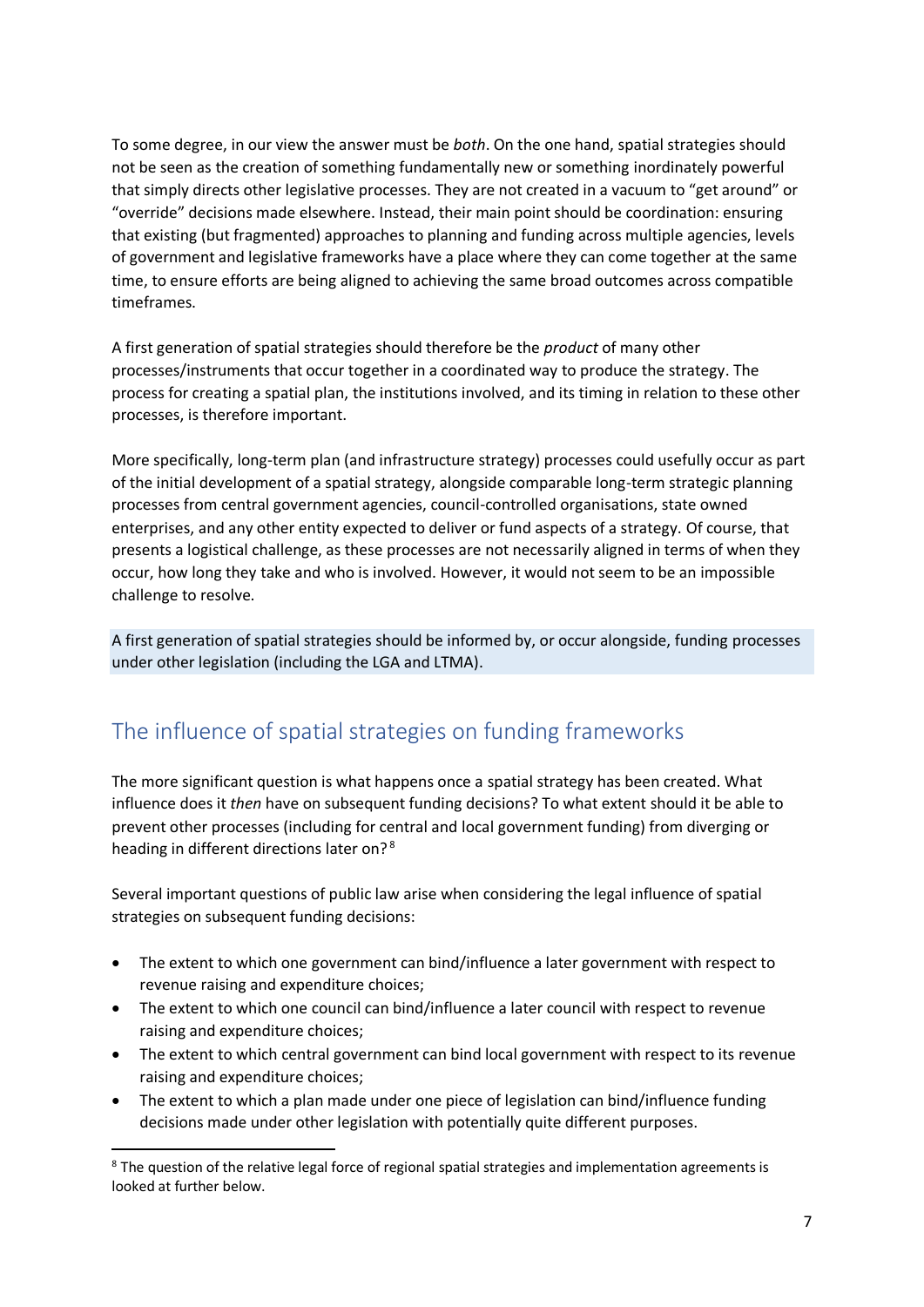To some degree, in our view the answer must be *both*. On the one hand, spatial strategies should not be seen as the creation of something fundamentally new or something inordinately powerful that simply directs other legislative processes. They are not created in a vacuum to "get around" or "override" decisions made elsewhere. Instead, their main point should be coordination: ensuring that existing (but fragmented) approaches to planning and funding across multiple agencies, levels of government and legislative frameworks have a place where they can come together at the same time, to ensure efforts are being aligned to achieving the same broad outcomes across compatible timeframes.

A first generation of spatial strategies should therefore be the *product* of many other processes/instruments that occur together in a coordinated way to produce the strategy. The process for creating a spatial plan, the institutions involved, and its timing in relation to these other processes, is therefore important.

More specifically, long-term plan (and infrastructure strategy) processes could usefully occur as part of the initial development of a spatial strategy, alongside comparable long-term strategic planning processes from central government agencies, council-controlled organisations, state owned enterprises, and any other entity expected to deliver or fund aspects of a strategy. Of course, that presents a logistical challenge, as these processes are not necessarily aligned in terms of when they occur, how long they take and who is involved. However, it would not seem to be an impossible challenge to resolve.

A first generation of spatial strategies should be informed by, or occur alongside, funding processes under other legislation (including the LGA and LTMA).

### The influence of spatial strategies on funding frameworks

The more significant question is what happens once a spatial strategy has been created. What influence does it *then* have on subsequent funding decisions? To what extent should it be able to prevent other processes (including for central and local government funding) from diverging or heading in different directions later on?<sup>8</sup>

Several important questions of public law arise when considering the legal influence of spatial strategies on subsequent funding decisions:

- The extent to which one government can bind/influence a later government with respect to revenue raising and expenditure choices;
- The extent to which one council can bind/influence a later council with respect to revenue raising and expenditure choices;
- The extent to which central government can bind local government with respect to its revenue raising and expenditure choices;
- The extent to which a plan made under one piece of legislation can bind/influence funding decisions made under other legislation with potentially quite different purposes.

<sup>&</sup>lt;sup>8</sup> The question of the relative legal force of regional spatial strategies and implementation agreements is looked at further below.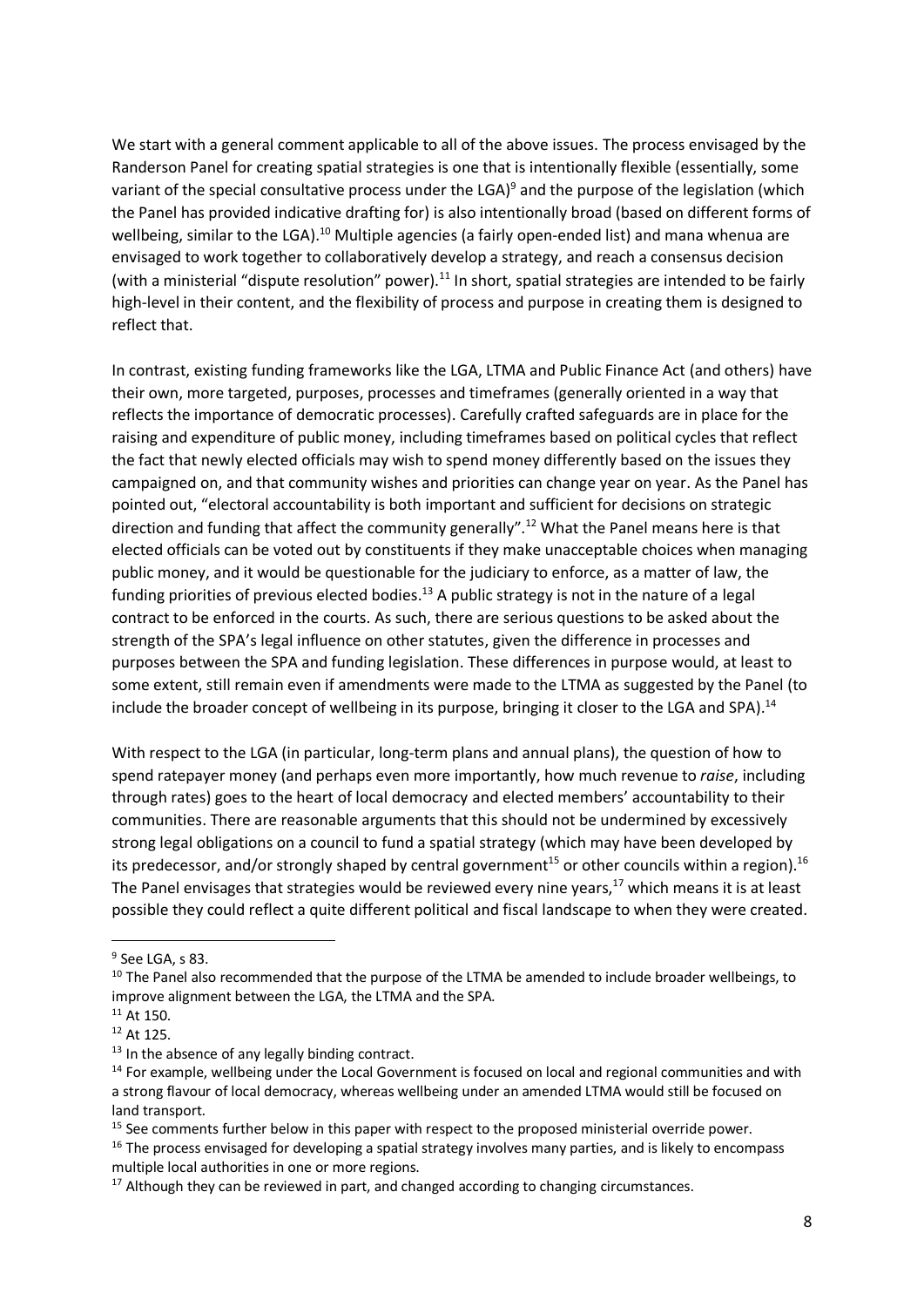We start with a general comment applicable to all of the above issues. The process envisaged by the Randerson Panel for creating spatial strategies is one that is intentionally flexible (essentially, some variant of the special consultative process under the LGA)<sup>9</sup> and the purpose of the legislation (which the Panel has provided indicative drafting for) is also intentionally broad (based on different forms of wellbeing, similar to the LGA).<sup>10</sup> Multiple agencies (a fairly open-ended list) and mana whenua are envisaged to work together to collaboratively develop a strategy, and reach a consensus decision (with a ministerial "dispute resolution" power). $^{11}$  In short, spatial strategies are intended to be fairly high-level in their content, and the flexibility of process and purpose in creating them is designed to reflect that.

In contrast, existing funding frameworks like the LGA, LTMA and Public Finance Act (and others) have their own, more targeted, purposes, processes and timeframes (generally oriented in a way that reflects the importance of democratic processes). Carefully crafted safeguards are in place for the raising and expenditure of public money, including timeframes based on political cycles that reflect the fact that newly elected officials may wish to spend money differently based on the issues they campaigned on, and that community wishes and priorities can change year on year. As the Panel has pointed out, "electoral accountability is both important and sufficient for decisions on strategic direction and funding that affect the community generally".<sup>12</sup> What the Panel means here is that elected officials can be voted out by constituents if they make unacceptable choices when managing public money, and it would be questionable for the judiciary to enforce, as a matter of law, the funding priorities of previous elected bodies.<sup>13</sup> A public strategy is not in the nature of a legal contract to be enforced in the courts. As such, there are serious questions to be asked about the strength of the SPA's legal influence on other statutes, given the difference in processes and purposes between the SPA and funding legislation. These differences in purpose would, at least to some extent, still remain even if amendments were made to the LTMA as suggested by the Panel (to include the broader concept of wellbeing in its purpose, bringing it closer to the LGA and SPA).<sup>14</sup>

With respect to the LGA (in particular, long-term plans and annual plans), the question of how to spend ratepayer money (and perhaps even more importantly, how much revenue to *raise*, including through rates) goes to the heart of local democracy and elected members' accountability to their communities. There are reasonable arguments that this should not be undermined by excessively strong legal obligations on a council to fund a spatial strategy (which may have been developed by its predecessor, and/or strongly shaped by central government<sup>15</sup> or other councils within a region).<sup>16</sup> The Panel envisages that strategies would be reviewed every nine years, $17$  which means it is at least possible they could reflect a quite different political and fiscal landscape to when they were created.

<sup>&</sup>lt;sup>9</sup> See LGA, s 83.

<sup>&</sup>lt;sup>10</sup> The Panel also recommended that the purpose of the LTMA be amended to include broader wellbeings, to improve alignment between the LGA, the LTMA and the SPA.

<sup>11</sup> At 150.

<sup>12</sup> At 125.

<sup>&</sup>lt;sup>13</sup> In the absence of any legally binding contract.

 $14$  For example, wellbeing under the Local Government is focused on local and regional communities and with a strong flavour of local democracy, whereas wellbeing under an amended LTMA would still be focused on land transport.

<sup>&</sup>lt;sup>15</sup> See comments further below in this paper with respect to the proposed ministerial override power.

<sup>&</sup>lt;sup>16</sup> The process envisaged for developing a spatial strategy involves many parties, and is likely to encompass multiple local authorities in one or more regions.

 $17$  Although they can be reviewed in part, and changed according to changing circumstances.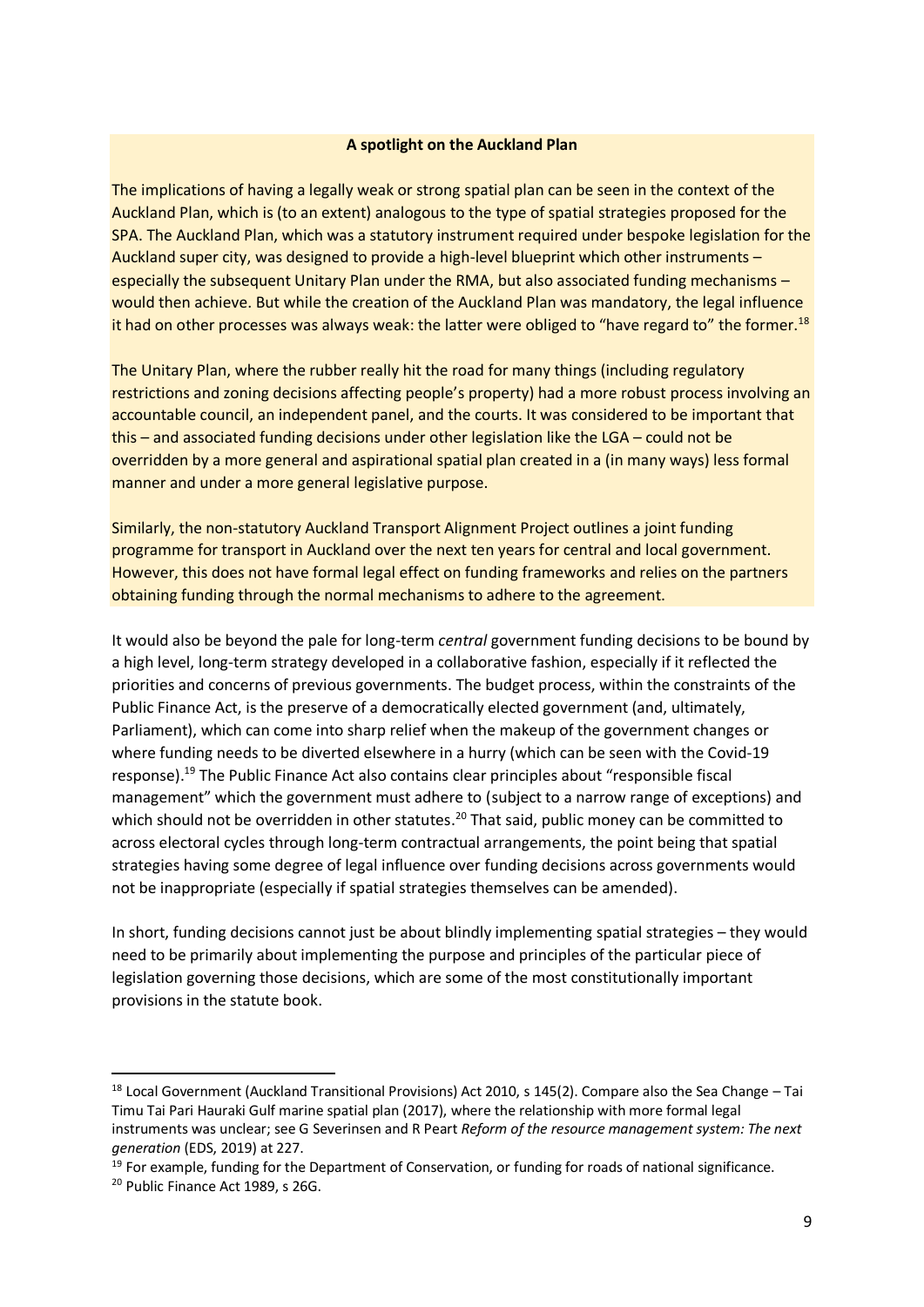#### **A spotlight on the Auckland Plan**

The implications of having a legally weak or strong spatial plan can be seen in the context of the Auckland Plan, which is (to an extent) analogous to the type of spatial strategies proposed for the SPA. The Auckland Plan, which was a statutory instrument required under bespoke legislation for the Auckland super city, was designed to provide a high-level blueprint which other instruments – especially the subsequent Unitary Plan under the RMA, but also associated funding mechanisms – would then achieve. But while the creation of the Auckland Plan was mandatory, the legal influence it had on other processes was always weak: the latter were obliged to "have regard to" the former.<sup>18</sup>

The Unitary Plan, where the rubber really hit the road for many things (including regulatory restrictions and zoning decisions affecting people's property) had a more robust process involving an accountable council, an independent panel, and the courts. It was considered to be important that this – and associated funding decisions under other legislation like the LGA – could not be overridden by a more general and aspirational spatial plan created in a (in many ways) less formal manner and under a more general legislative purpose.

Similarly, the non-statutory Auckland Transport Alignment Project outlines a joint funding programme for transport in Auckland over the next ten years for central and local government. However, this does not have formal legal effect on funding frameworks and relies on the partners obtaining funding through the normal mechanisms to adhere to the agreement.

It would also be beyond the pale for long-term *central* government funding decisions to be bound by a high level, long-term strategy developed in a collaborative fashion, especially if it reflected the priorities and concerns of previous governments. The budget process, within the constraints of the Public Finance Act, is the preserve of a democratically elected government (and, ultimately, Parliament), which can come into sharp relief when the makeup of the government changes or where funding needs to be diverted elsewhere in a hurry (which can be seen with the Covid-19 response).<sup>19</sup> The Public Finance Act also contains clear principles about "responsible fiscal management" which the government must adhere to (subject to a narrow range of exceptions) and which should not be overridden in other statutes.<sup>20</sup> That said, public money can be committed to across electoral cycles through long-term contractual arrangements, the point being that spatial strategies having some degree of legal influence over funding decisions across governments would not be inappropriate (especially if spatial strategies themselves can be amended).

In short, funding decisions cannot just be about blindly implementing spatial strategies – they would need to be primarily about implementing the purpose and principles of the particular piece of legislation governing those decisions, which are some of the most constitutionally important provisions in the statute book.

 $18$  Local Government (Auckland Transitional Provisions) Act 2010, s 145(2). Compare also the Sea Change – Tai Timu Tai Pari Hauraki Gulf marine spatial plan (2017), where the relationship with more formal legal instruments was unclear; see G Severinsen and R Peart *Reform of the resource management system: The next generation* (EDS, 2019) at 227.

 $19$  For example, funding for the Department of Conservation, or funding for roads of national significance.

<sup>20</sup> Public Finance Act 1989, s 26G.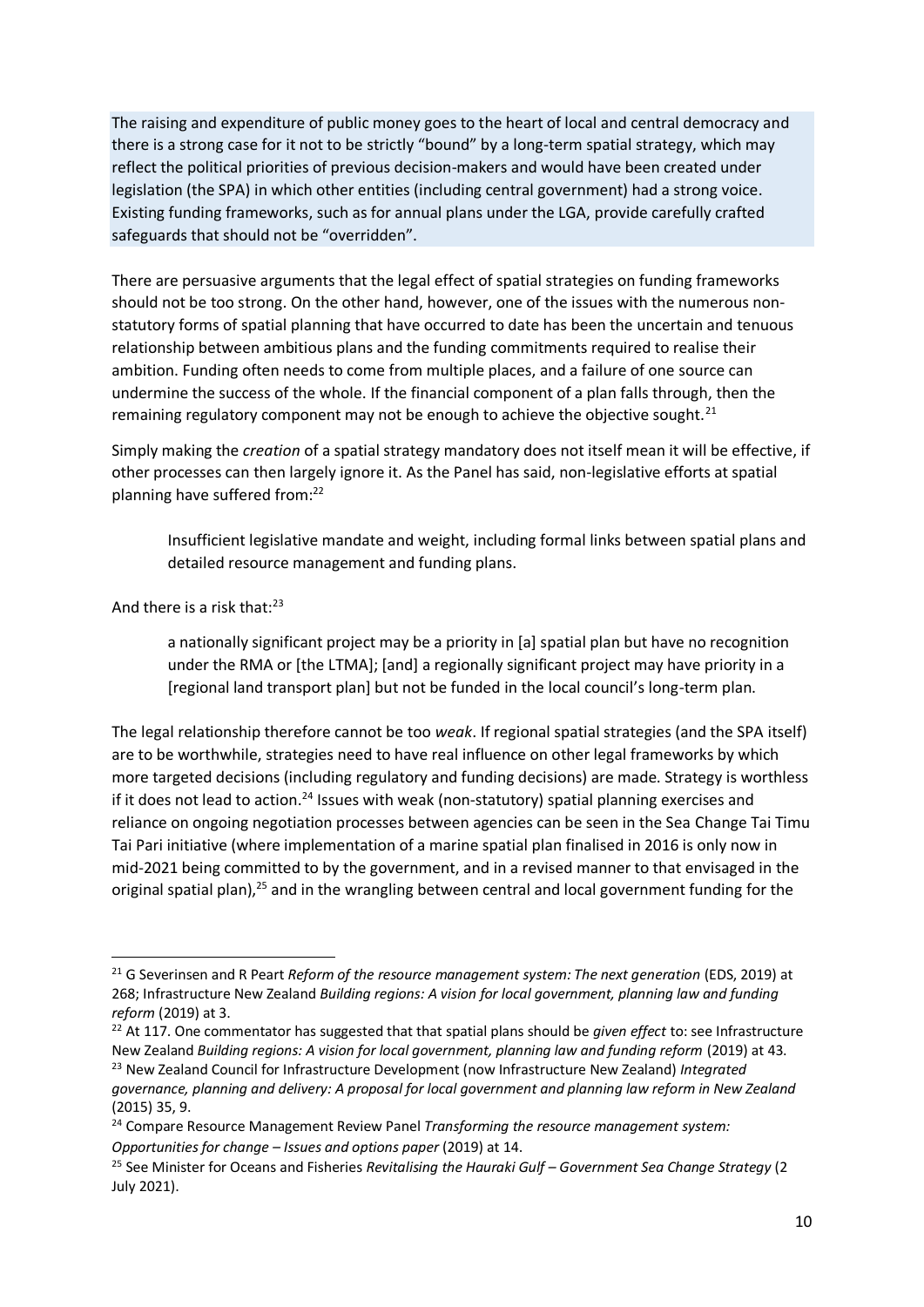The raising and expenditure of public money goes to the heart of local and central democracy and there is a strong case for it not to be strictly "bound" by a long-term spatial strategy, which may reflect the political priorities of previous decision-makers and would have been created under legislation (the SPA) in which other entities (including central government) had a strong voice. Existing funding frameworks, such as for annual plans under the LGA, provide carefully crafted safeguards that should not be "overridden".

There are persuasive arguments that the legal effect of spatial strategies on funding frameworks should not be too strong. On the other hand, however, one of the issues with the numerous nonstatutory forms of spatial planning that have occurred to date has been the uncertain and tenuous relationship between ambitious plans and the funding commitments required to realise their ambition. Funding often needs to come from multiple places, and a failure of one source can undermine the success of the whole. If the financial component of a plan falls through, then the remaining regulatory component may not be enough to achieve the objective sought.<sup>21</sup>

Simply making the *creation* of a spatial strategy mandatory does not itself mean it will be effective, if other processes can then largely ignore it. As the Panel has said, non-legislative efforts at spatial planning have suffered from:<sup>22</sup>

Insufficient legislative mandate and weight, including formal links between spatial plans and detailed resource management and funding plans.

#### And there is a risk that: $23$

a nationally significant project may be a priority in [a] spatial plan but have no recognition under the RMA or [the LTMA]; [and] a regionally significant project may have priority in a [regional land transport plan] but not be funded in the local council's long-term plan.

The legal relationship therefore cannot be too *weak*. If regional spatial strategies (and the SPA itself) are to be worthwhile, strategies need to have real influence on other legal frameworks by which more targeted decisions (including regulatory and funding decisions) are made. Strategy is worthless if it does not lead to action.<sup>24</sup> Issues with weak (non-statutory) spatial planning exercises and reliance on ongoing negotiation processes between agencies can be seen in the Sea Change Tai Timu Tai Pari initiative (where implementation of a marine spatial plan finalised in 2016 is only now in mid-2021 being committed to by the government, and in a revised manner to that envisaged in the original spatial plan),<sup>25</sup> and in the wrangling between central and local government funding for the

<sup>&</sup>lt;sup>21</sup> G Severinsen and R Peart *Reform of the resource management system: The next generation* (EDS, 2019) at 268; Infrastructure New Zealand *Building regions: A vision for local government, planning law and funding reform* (2019) at 3.

<sup>&</sup>lt;sup>22</sup> At 117. One commentator has suggested that that spatial plans should be *given effect* to: see Infrastructure New Zealand *Building regions: A vision for local government, planning law and funding reform* (2019) at 43.

<sup>23</sup> New Zealand Council for Infrastructure Development (now Infrastructure New Zealand) *Integrated governance, planning and delivery: A proposal for local government and planning law reform in New Zealand* (2015) 35, 9.

<sup>24</sup> Compare Resource Management Review Panel *Transforming the resource management system: Opportunities for change – Issues and options paper* (2019) at 14.

<sup>25</sup> See Minister for Oceans and Fisheries *Revitalising the Hauraki Gulf – Government Sea Change Strategy* (2 July 2021).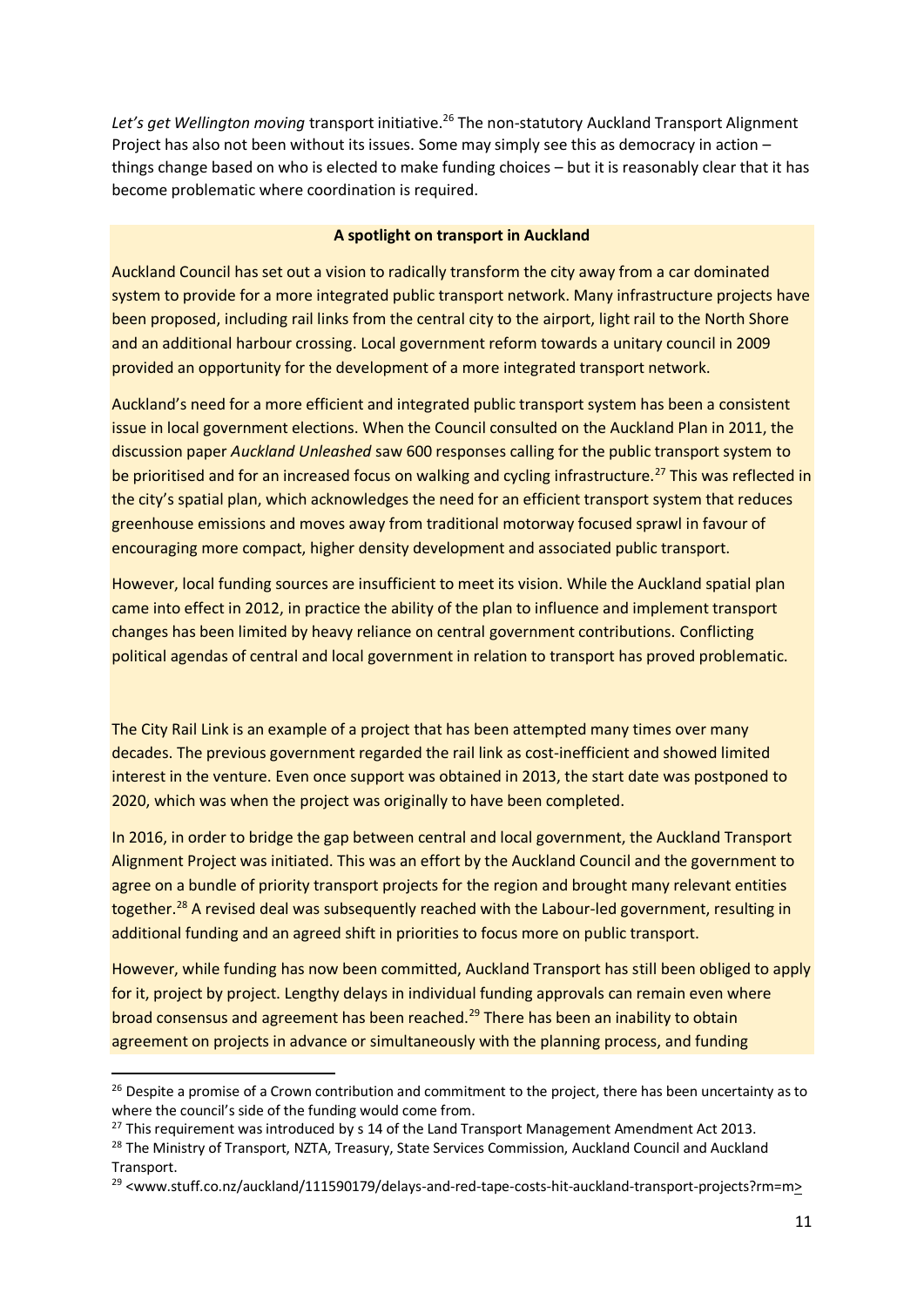Let's get Wellington moving transport initiative.<sup>26</sup> The non-statutory Auckland Transport Alignment Project has also not been without its issues. Some may simply see this as democracy in action – things change based on who is elected to make funding choices – but it is reasonably clear that it has become problematic where coordination is required.

#### **A spotlight on transport in Auckland**

Auckland Council has set out a vision to radically transform the city away from a car dominated system to provide for a more integrated public transport network. Many infrastructure projects have been proposed, including rail links from the central city to the airport, light rail to the North Shore and an additional harbour crossing. Local government reform towards a unitary council in 2009 provided an opportunity for the development of a more integrated transport network.

Auckland's need for a more efficient and integrated public transport system has been a consistent issue in local government elections. When the Council consulted on the Auckland Plan in 2011, the discussion paper *Auckland Unleashed* saw 600 responses calling for the public transport system to be prioritised and for an increased focus on walking and cycling infrastructure.<sup>27</sup> This was reflected in the city's spatial plan, which acknowledges the need for an efficient transport system that reduces greenhouse emissions and moves away from traditional motorway focused sprawl in favour of encouraging more compact, higher density development and associated public transport.

However, local funding sources are insufficient to meet its vision. While the Auckland spatial plan came into effect in 2012, in practice the ability of the plan to influence and implement transport changes has been limited by heavy reliance on central government contributions. Conflicting political agendas of central and local government in relation to transport has proved problematic.

The City Rail Link is an example of a project that has been attempted many times over many decades. The previous government regarded the rail link as cost-inefficient and showed limited interest in the venture. Even once support was obtained in 2013, the start date was postponed to 2020, which was when the project was originally to have been completed.

In 2016, in order to bridge the gap between central and local government, the Auckland Transport Alignment Project was initiated. This was an effort by the Auckland Council and the government to agree on a bundle of priority transport projects for the region and brought many relevant entities together.<sup>28</sup> A revised deal was subsequently reached with the Labour-led government, resulting in additional funding and an agreed shift in priorities to focus more on public transport.

However, while funding has now been committed, Auckland Transport has still been obliged to apply for it, project by project. Lengthy delays in individual funding approvals can remain even where broad consensus and agreement has been reached.<sup>29</sup> There has been an inability to obtain agreement on projects in advance or simultaneously with the planning process, and funding

 $26$  Despite a promise of a Crown contribution and commitment to the project, there has been uncertainty as to where the council's side of the funding would come from.

 $27$  This requirement was introduced by s 14 of the Land Transport Management Amendment Act 2013.

<sup>&</sup>lt;sup>28</sup> The Ministry of Transport, NZTA, Treasury, State Services Commission, Auckland Council and Auckland Transport.

<sup>29</sup> <www.stuff.co.nz/auckland/111590179/delays-and-red-tape-costs-hit-auckland-transport-projects?rm=m>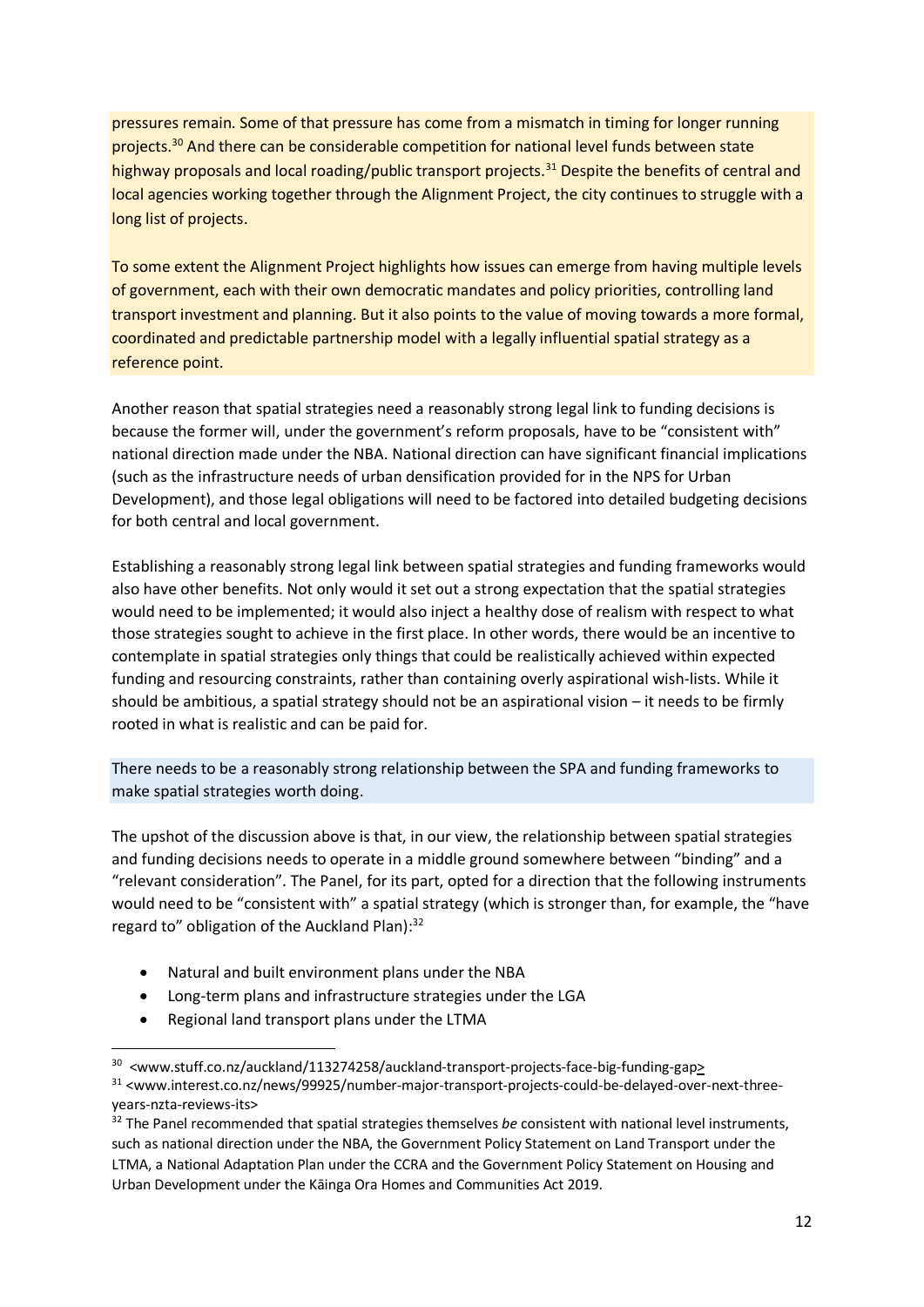pressures remain. Some of that pressure has come from a mismatch in timing for longer running projects.<sup>30</sup> And there can be considerable competition for national level funds between state highway proposals and local roading/public transport projects.<sup>31</sup> Despite the benefits of central and local agencies working together through the Alignment Project, the city continues to struggle with a long list of projects.

To some extent the Alignment Project highlights how issues can emerge from having multiple levels of government, each with their own democratic mandates and policy priorities, controlling land transport investment and planning. But it also points to the value of moving towards a more formal, coordinated and predictable partnership model with a legally influential spatial strategy as a reference point.

Another reason that spatial strategies need a reasonably strong legal link to funding decisions is because the former will, under the government's reform proposals, have to be "consistent with" national direction made under the NBA. National direction can have significant financial implications (such as the infrastructure needs of urban densification provided for in the NPS for Urban Development), and those legal obligations will need to be factored into detailed budgeting decisions for both central and local government.

Establishing a reasonably strong legal link between spatial strategies and funding frameworks would also have other benefits. Not only would it set out a strong expectation that the spatial strategies would need to be implemented; it would also inject a healthy dose of realism with respect to what those strategies sought to achieve in the first place. In other words, there would be an incentive to contemplate in spatial strategies only things that could be realistically achieved within expected funding and resourcing constraints, rather than containing overly aspirational wish-lists. While it should be ambitious, a spatial strategy should not be an aspirational vision – it needs to be firmly rooted in what is realistic and can be paid for.

There needs to be a reasonably strong relationship between the SPA and funding frameworks to make spatial strategies worth doing.

The upshot of the discussion above is that, in our view, the relationship between spatial strategies and funding decisions needs to operate in a middle ground somewhere between "binding" and a "relevant consideration". The Panel, for its part, opted for a direction that the following instruments would need to be "consistent with" a spatial strategy (which is stronger than, for example, the "have regard to" obligation of the Auckland Plan):<sup>32</sup>

- Natural and built environment plans under the NBA
- Long-term plans and infrastructure strategies under the LGA
- Regional land transport plans under the LTMA

<sup>&</sup>lt;sup>30</sup> <www.stuff.co.nz/auckland/113274258/auckland-transport-projects-face-big-funding-gap>

<sup>31 &</sup>lt;www.interest.co.nz/news/99925/number-major-transport-projects-could-be-delayed-over-next-threeyears-nzta-reviews-its>

<sup>32</sup> The Panel recommended that spatial strategies themselves *be* consistent with national level instruments, such as national direction under the NBA, the Government Policy Statement on Land Transport under the LTMA, a National Adaptation Plan under the CCRA and the Government Policy Statement on Housing and Urban Development under the Kāinga Ora Homes and Communities Act 2019.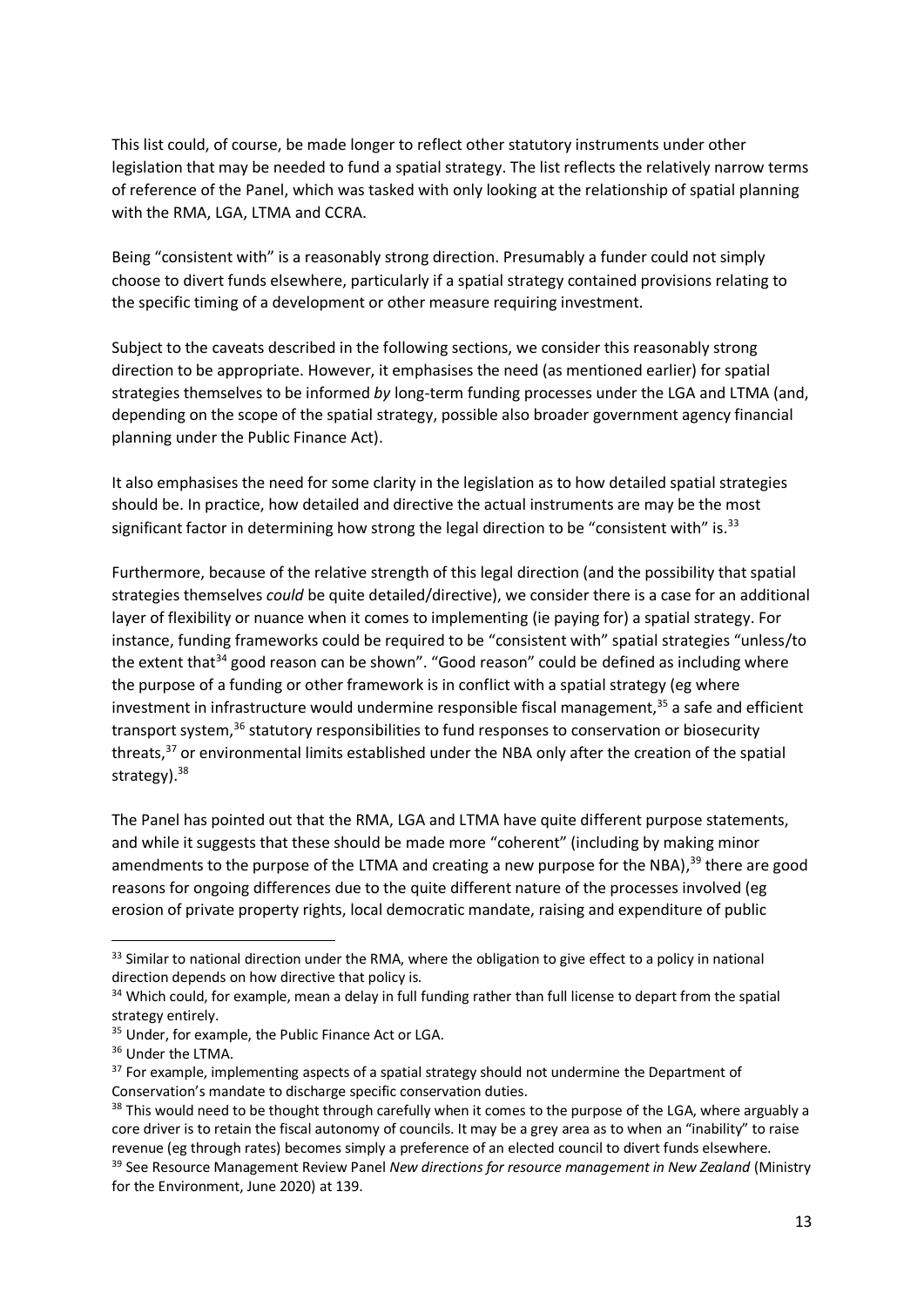This list could, of course, be made longer to reflect other statutory instruments under other legislation that may be needed to fund a spatial strategy. The list reflects the relatively narrow terms of reference of the Panel, which was tasked with only looking at the relationship of spatial planning with the RMA, LGA, LTMA and CCRA.

Being "consistent with" is a reasonably strong direction. Presumably a funder could not simply choose to divert funds elsewhere, particularly if a spatial strategy contained provisions relating to the specific timing of a development or other measure requiring investment.

Subject to the caveats described in the following sections, we consider this reasonably strong direction to be appropriate. However, it emphasises the need (as mentioned earlier) for spatial strategies themselves to be informed *by* long-term funding processes under the LGA and LTMA (and, depending on the scope of the spatial strategy, possible also broader government agency financial planning under the Public Finance Act).

It also emphasises the need for some clarity in the legislation as to how detailed spatial strategies should be. In practice, how detailed and directive the actual instruments are may be the most significant factor in determining how strong the legal direction to be "consistent with" is. $33$ 

Furthermore, because of the relative strength of this legal direction (and the possibility that spatial strategies themselves *could* be quite detailed/directive), we consider there is a case for an additional layer of flexibility or nuance when it comes to implementing (ie paying for) a spatial strategy. For instance, funding frameworks could be required to be "consistent with" spatial strategies "unless/to the extent that<sup>34</sup> good reason can be shown". "Good reason" could be defined as including where the purpose of a funding or other framework is in conflict with a spatial strategy (eg where investment in infrastructure would undermine responsible fiscal management, $35$  a safe and efficient transport system,<sup>36</sup> statutory responsibilities to fund responses to conservation or biosecurity threats,<sup>37</sup> or environmental limits established under the NBA only after the creation of the spatial strategy).<sup>38</sup>

The Panel has pointed out that the RMA, LGA and LTMA have quite different purpose statements, and while it suggests that these should be made more "coherent" (including by making minor amendments to the purpose of the LTMA and creating a new purpose for the NBA),<sup>39</sup> there are good reasons for ongoing differences due to the quite different nature of the processes involved (eg erosion of private property rights, local democratic mandate, raising and expenditure of public

<sup>&</sup>lt;sup>33</sup> Similar to national direction under the RMA, where the obligation to give effect to a policy in national direction depends on how directive that policy is.

<sup>&</sup>lt;sup>34</sup> Which could, for example, mean a delay in full funding rather than full license to depart from the spatial strategy entirely.

<sup>&</sup>lt;sup>35</sup> Under, for example, the Public Finance Act or LGA.

<sup>&</sup>lt;sup>36</sup> Under the LTMA.

<sup>&</sup>lt;sup>37</sup> For example, implementing aspects of a spatial strategy should not undermine the Department of Conservation's mandate to discharge specific conservation duties.

<sup>&</sup>lt;sup>38</sup> This would need to be thought through carefully when it comes to the purpose of the LGA, where arguably a core driver is to retain the fiscal autonomy of councils. It may be a grey area as to when an "inability" to raise revenue (eg through rates) becomes simply a preference of an elected council to divert funds elsewhere. <sup>39</sup> See Resource Management Review Panel *New directions for resource management in New Zealand* (Ministry for the Environment, June 2020) at 139.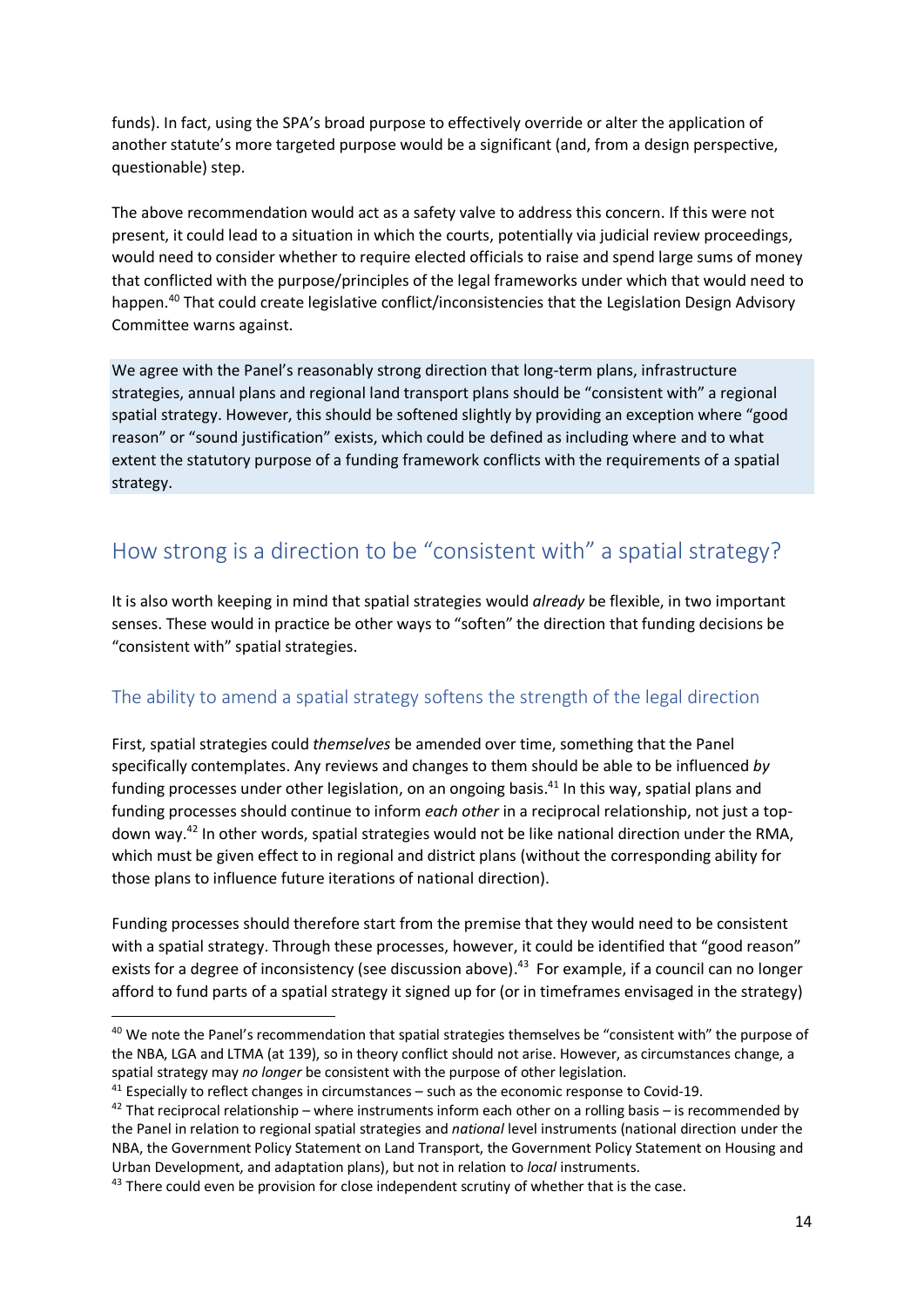funds). In fact, using the SPA's broad purpose to effectively override or alter the application of another statute's more targeted purpose would be a significant (and, from a design perspective, questionable) step.

The above recommendation would act as a safety valve to address this concern. If this were not present, it could lead to a situation in which the courts, potentially via judicial review proceedings, would need to consider whether to require elected officials to raise and spend large sums of money that conflicted with the purpose/principles of the legal frameworks under which that would need to happen.<sup>40</sup> That could create legislative conflict/inconsistencies that the Legislation Design Advisory Committee warns against.

We agree with the Panel's reasonably strong direction that long-term plans, infrastructure strategies, annual plans and regional land transport plans should be "consistent with" a regional spatial strategy. However, this should be softened slightly by providing an exception where "good reason" or "sound justification" exists, which could be defined as including where and to what extent the statutory purpose of a funding framework conflicts with the requirements of a spatial strategy.

## How strong is a direction to be "consistent with" a spatial strategy?

It is also worth keeping in mind that spatial strategies would *already* be flexible, in two important senses. These would in practice be other ways to "soften" the direction that funding decisions be "consistent with" spatial strategies.

### The ability to amend a spatial strategy softens the strength of the legal direction

First, spatial strategies could *themselves* be amended over time, something that the Panel specifically contemplates. Any reviews and changes to them should be able to be influenced *by* funding processes under other legislation, on an ongoing basis.<sup>41</sup> In this way, spatial plans and funding processes should continue to inform *each other* in a reciprocal relationship, not just a topdown way.<sup>42</sup> In other words, spatial strategies would not be like national direction under the RMA, which must be given effect to in regional and district plans (without the corresponding ability for those plans to influence future iterations of national direction).

Funding processes should therefore start from the premise that they would need to be consistent with a spatial strategy. Through these processes, however, it could be identified that "good reason" exists for a degree of inconsistency (see discussion above).<sup>43</sup> For example, if a council can no longer afford to fund parts of a spatial strategy it signed up for (or in timeframes envisaged in the strategy)

<sup>&</sup>lt;sup>40</sup> We note the Panel's recommendation that spatial strategies themselves be "consistent with" the purpose of the NBA, LGA and LTMA (at 139), so in theory conflict should not arise. However, as circumstances change, a spatial strategy may *no longer* be consistent with the purpose of other legislation.

 $41$  Especially to reflect changes in circumstances – such as the economic response to Covid-19.

 $42$  That reciprocal relationship – where instruments inform each other on a rolling basis – is recommended by the Panel in relation to regional spatial strategies and *national* level instruments (national direction under the NBA, the Government Policy Statement on Land Transport, the Government Policy Statement on Housing and Urban Development, and adaptation plans), but not in relation to *local* instruments.

<sup>&</sup>lt;sup>43</sup> There could even be provision for close independent scrutiny of whether that is the case.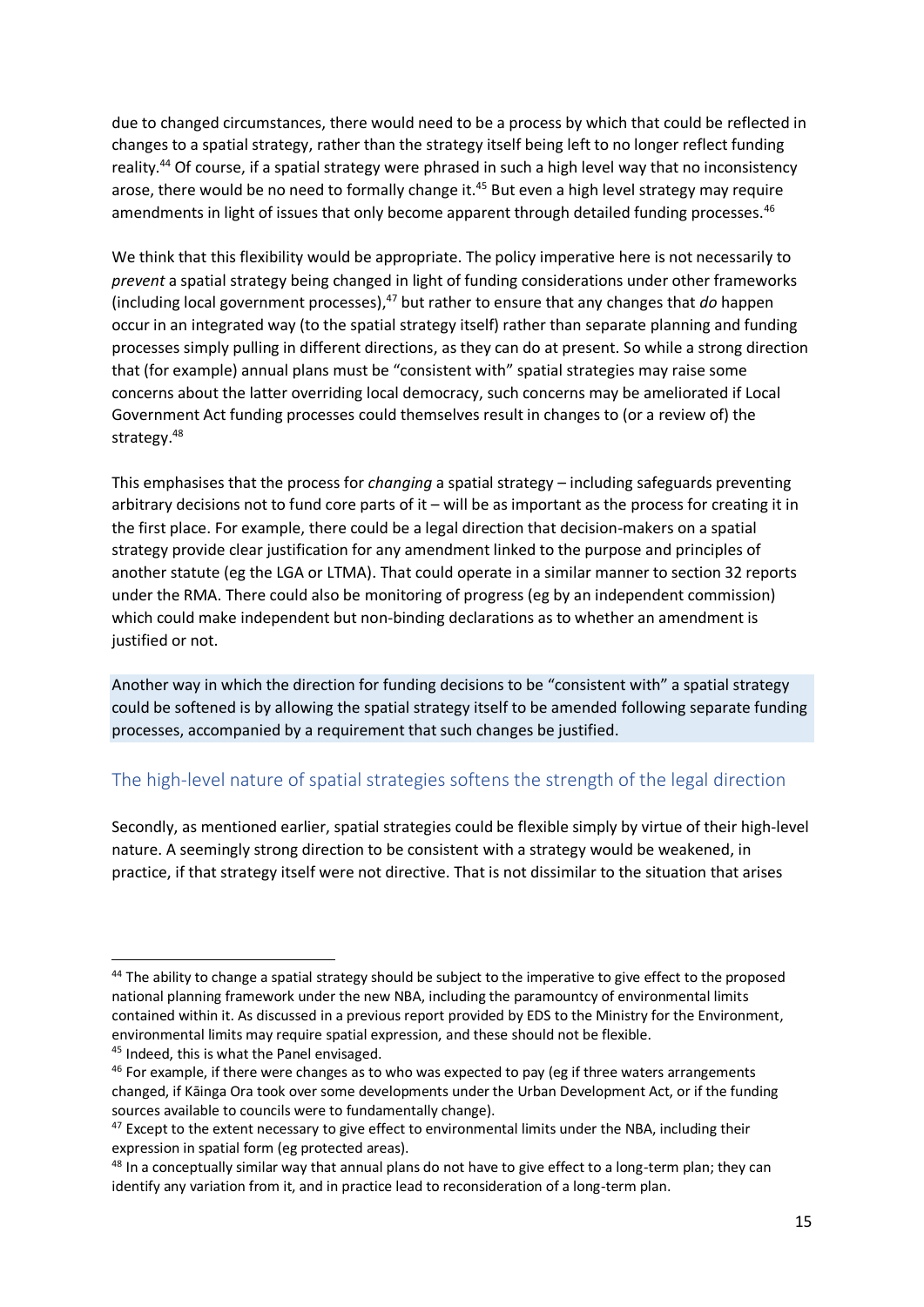due to changed circumstances, there would need to be a process by which that could be reflected in changes to a spatial strategy, rather than the strategy itself being left to no longer reflect funding reality.<sup>44</sup> Of course, if a spatial strategy were phrased in such a high level way that no inconsistency arose, there would be no need to formally change it.<sup>45</sup> But even a high level strategy may require amendments in light of issues that only become apparent through detailed funding processes.<sup>46</sup>

We think that this flexibility would be appropriate. The policy imperative here is not necessarily to *prevent* a spatial strategy being changed in light of funding considerations under other frameworks (including local government processes), <sup>47</sup> but rather to ensure that any changes that *do* happen occur in an integrated way (to the spatial strategy itself) rather than separate planning and funding processes simply pulling in different directions, as they can do at present. So while a strong direction that (for example) annual plans must be "consistent with" spatial strategies may raise some concerns about the latter overriding local democracy, such concerns may be ameliorated if Local Government Act funding processes could themselves result in changes to (or a review of) the strategy. 48

This emphasises that the process for *changing* a spatial strategy – including safeguards preventing arbitrary decisions not to fund core parts of it – will be as important as the process for creating it in the first place. For example, there could be a legal direction that decision-makers on a spatial strategy provide clear justification for any amendment linked to the purpose and principles of another statute (eg the LGA or LTMA). That could operate in a similar manner to section 32 reports under the RMA. There could also be monitoring of progress (eg by an independent commission) which could make independent but non-binding declarations as to whether an amendment is justified or not.

Another way in which the direction for funding decisions to be "consistent with" a spatial strategy could be softened is by allowing the spatial strategy itself to be amended following separate funding processes, accompanied by a requirement that such changes be justified.

### The high-level nature of spatial strategies softens the strength of the legal direction

Secondly, as mentioned earlier, spatial strategies could be flexible simply by virtue of their high-level nature. A seemingly strong direction to be consistent with a strategy would be weakened, in practice, if that strategy itself were not directive. That is not dissimilar to the situation that arises

<sup>&</sup>lt;sup>44</sup> The ability to change a spatial strategy should be subject to the imperative to give effect to the proposed national planning framework under the new NBA, including the paramountcy of environmental limits contained within it. As discussed in a previous report provided by EDS to the Ministry for the Environment, environmental limits may require spatial expression, and these should not be flexible.

<sup>45</sup> Indeed, this is what the Panel envisaged.

<sup>&</sup>lt;sup>46</sup> For example, if there were changes as to who was expected to pay (eg if three waters arrangements changed, if Kāinga Ora took over some developments under the Urban Development Act, or if the funding sources available to councils were to fundamentally change).

 $47$  Except to the extent necessary to give effect to environmental limits under the NBA, including their expression in spatial form (eg protected areas).

<sup>&</sup>lt;sup>48</sup> In a conceptually similar way that annual plans do not have to give effect to a long-term plan; they can identify any variation from it, and in practice lead to reconsideration of a long-term plan.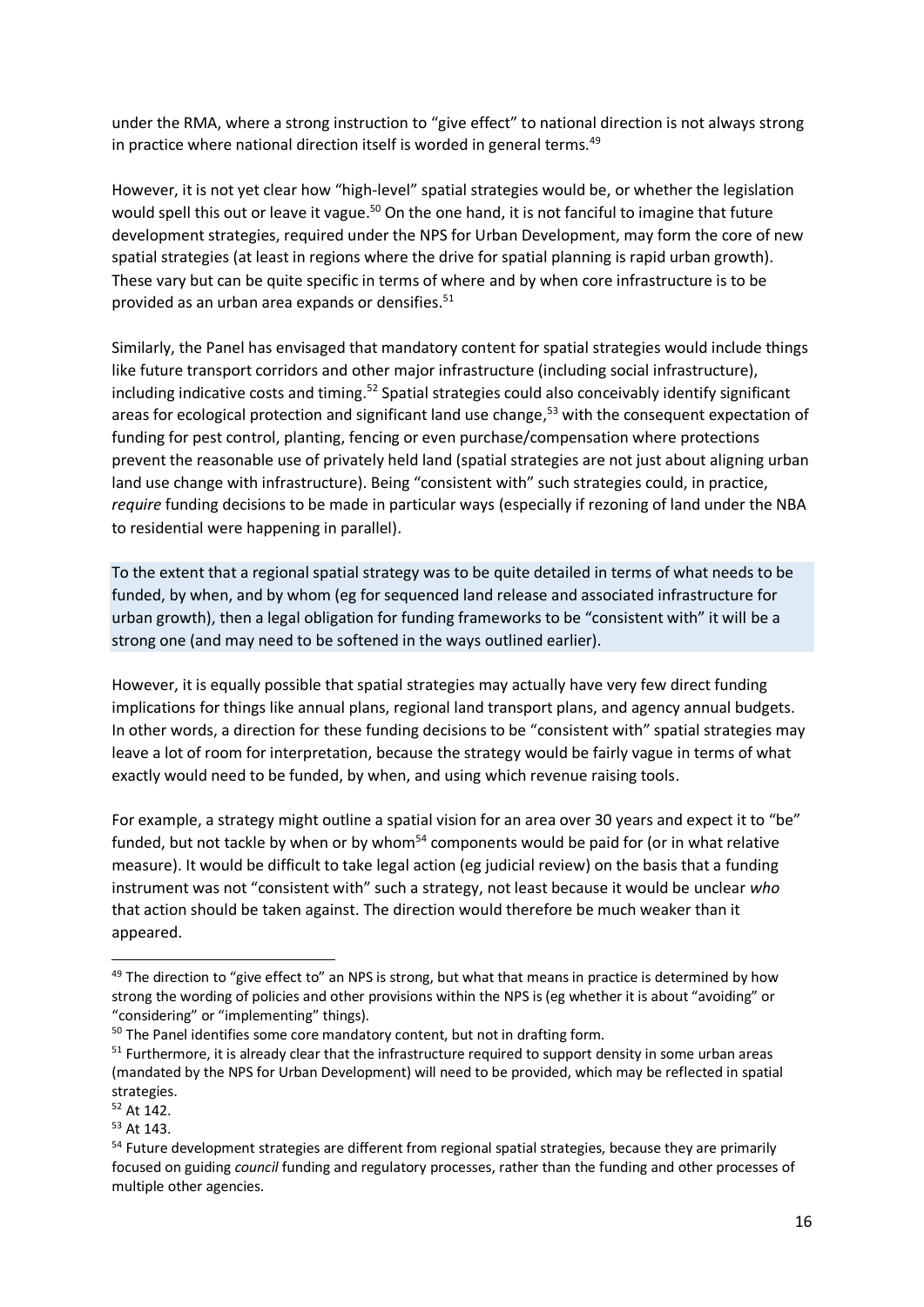under the RMA, where a strong instruction to "give effect" to national direction is not always strong in practice where national direction itself is worded in general terms.<sup>49</sup>

However, it is not yet clear how "high-level" spatial strategies would be, or whether the legislation would spell this out or leave it vague.<sup>50</sup> On the one hand, it is not fanciful to imagine that future development strategies, required under the NPS for Urban Development, may form the core of new spatial strategies (at least in regions where the drive for spatial planning is rapid urban growth). These vary but can be quite specific in terms of where and by when core infrastructure is to be provided as an urban area expands or densifies. $51$ 

Similarly, the Panel has envisaged that mandatory content for spatial strategies would include things like future transport corridors and other major infrastructure (including social infrastructure), including indicative costs and timing.<sup>52</sup> Spatial strategies could also conceivably identify significant areas for ecological protection and significant land use change, <sup>53</sup> with the consequent expectation of funding for pest control, planting, fencing or even purchase/compensation where protections prevent the reasonable use of privately held land (spatial strategies are not just about aligning urban land use change with infrastructure). Being "consistent with" such strategies could, in practice, *require* funding decisions to be made in particular ways (especially if rezoning of land under the NBA to residential were happening in parallel).

To the extent that a regional spatial strategy was to be quite detailed in terms of what needs to be funded, by when, and by whom (eg for sequenced land release and associated infrastructure for urban growth), then a legal obligation for funding frameworks to be "consistent with" it will be a strong one (and may need to be softened in the ways outlined earlier).

However, it is equally possible that spatial strategies may actually have very few direct funding implications for things like annual plans, regional land transport plans, and agency annual budgets. In other words, a direction for these funding decisions to be "consistent with" spatial strategies may leave a lot of room for interpretation, because the strategy would be fairly vague in terms of what exactly would need to be funded, by when, and using which revenue raising tools.

For example, a strategy might outline a spatial vision for an area over 30 years and expect it to "be" funded, but not tackle by when or by whom<sup>54</sup> components would be paid for (or in what relative measure). It would be difficult to take legal action (eg judicial review) on the basis that a funding instrument was not "consistent with" such a strategy, not least because it would be unclear *who*  that action should be taken against. The direction would therefore be much weaker than it appeared.

<sup>52</sup> At 142.

<sup>53</sup> At 143.

<sup>&</sup>lt;sup>49</sup> The direction to "give effect to" an NPS is strong, but what that means in practice is determined by how strong the wording of policies and other provisions within the NPS is (eg whether it is about "avoiding" or "considering" or "implementing" things).

<sup>&</sup>lt;sup>50</sup> The Panel identifies some core mandatory content, but not in drafting form.

<sup>&</sup>lt;sup>51</sup> Furthermore, it is already clear that the infrastructure required to support density in some urban areas (mandated by the NPS for Urban Development) will need to be provided, which may be reflected in spatial strategies.

<sup>&</sup>lt;sup>54</sup> Future development strategies are different from regional spatial strategies, because they are primarily focused on guiding *council* funding and regulatory processes, rather than the funding and other processes of multiple other agencies.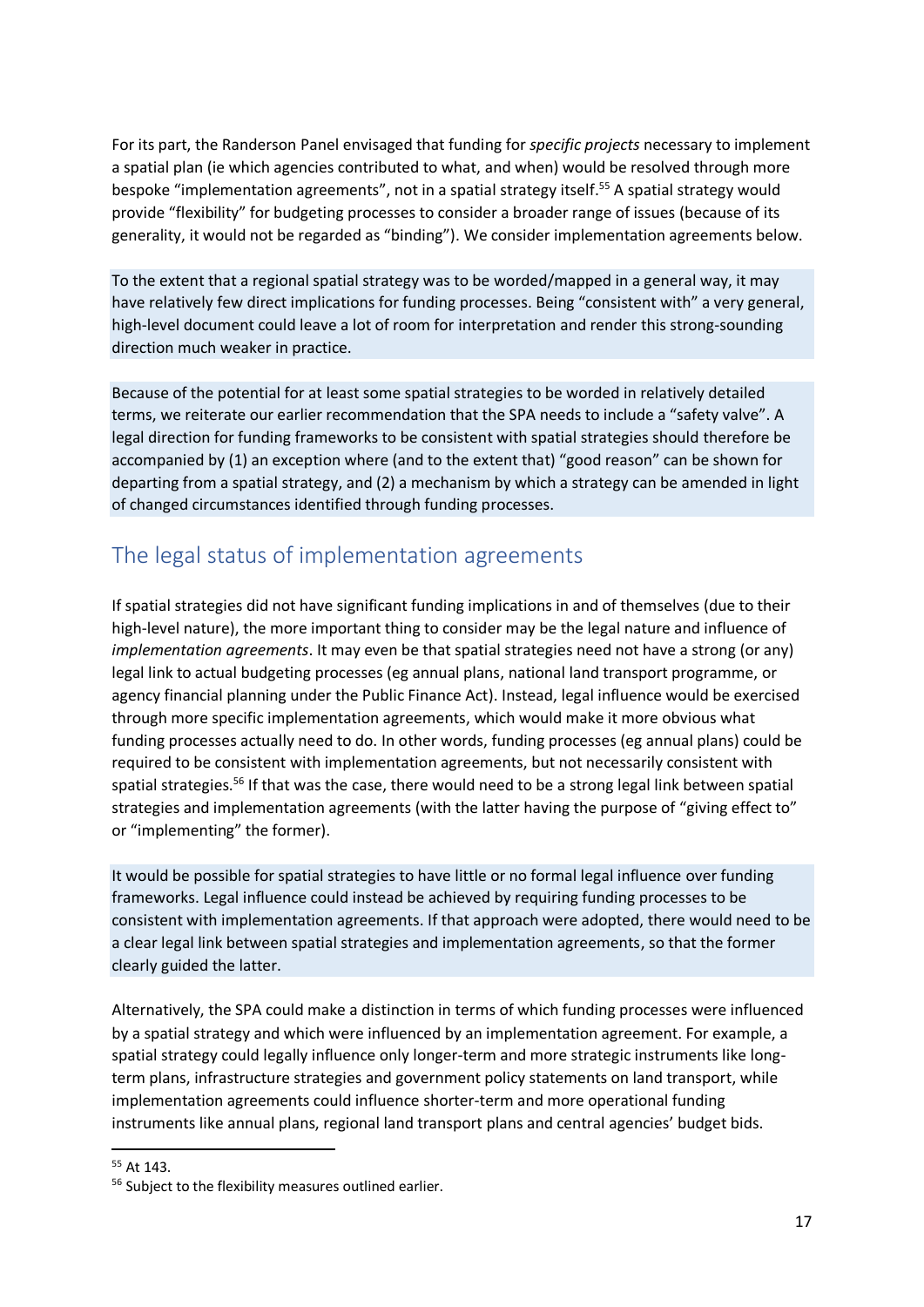For its part, the Randerson Panel envisaged that funding for *specific projects* necessary to implement a spatial plan (ie which agencies contributed to what, and when) would be resolved through more bespoke "implementation agreements", not in a spatial strategy itself. <sup>55</sup> A spatial strategy would provide "flexibility" for budgeting processes to consider a broader range of issues (because of its generality, it would not be regarded as "binding"). We consider implementation agreements below.

To the extent that a regional spatial strategy was to be worded/mapped in a general way, it may have relatively few direct implications for funding processes. Being "consistent with" a very general, high-level document could leave a lot of room for interpretation and render this strong-sounding direction much weaker in practice.

Because of the potential for at least some spatial strategies to be worded in relatively detailed terms, we reiterate our earlier recommendation that the SPA needs to include a "safety valve". A legal direction for funding frameworks to be consistent with spatial strategies should therefore be accompanied by (1) an exception where (and to the extent that) "good reason" can be shown for departing from a spatial strategy, and (2) a mechanism by which a strategy can be amended in light of changed circumstances identified through funding processes.

## The legal status of implementation agreements

If spatial strategies did not have significant funding implications in and of themselves (due to their high-level nature), the more important thing to consider may be the legal nature and influence of *implementation agreements*. It may even be that spatial strategies need not have a strong (or any) legal link to actual budgeting processes (eg annual plans, national land transport programme, or agency financial planning under the Public Finance Act). Instead, legal influence would be exercised through more specific implementation agreements, which would make it more obvious what funding processes actually need to do. In other words, funding processes (eg annual plans) could be required to be consistent with implementation agreements, but not necessarily consistent with spatial strategies.<sup>56</sup> If that was the case, there would need to be a strong legal link between spatial strategies and implementation agreements (with the latter having the purpose of "giving effect to" or "implementing" the former).

It would be possible for spatial strategies to have little or no formal legal influence over funding frameworks. Legal influence could instead be achieved by requiring funding processes to be consistent with implementation agreements. If that approach were adopted, there would need to be a clear legal link between spatial strategies and implementation agreements, so that the former clearly guided the latter.

Alternatively, the SPA could make a distinction in terms of which funding processes were influenced by a spatial strategy and which were influenced by an implementation agreement. For example, a spatial strategy could legally influence only longer-term and more strategic instruments like longterm plans, infrastructure strategies and government policy statements on land transport, while implementation agreements could influence shorter-term and more operational funding instruments like annual plans, regional land transport plans and central agencies' budget bids.

 $55$  At 143

<sup>&</sup>lt;sup>56</sup> Subject to the flexibility measures outlined earlier.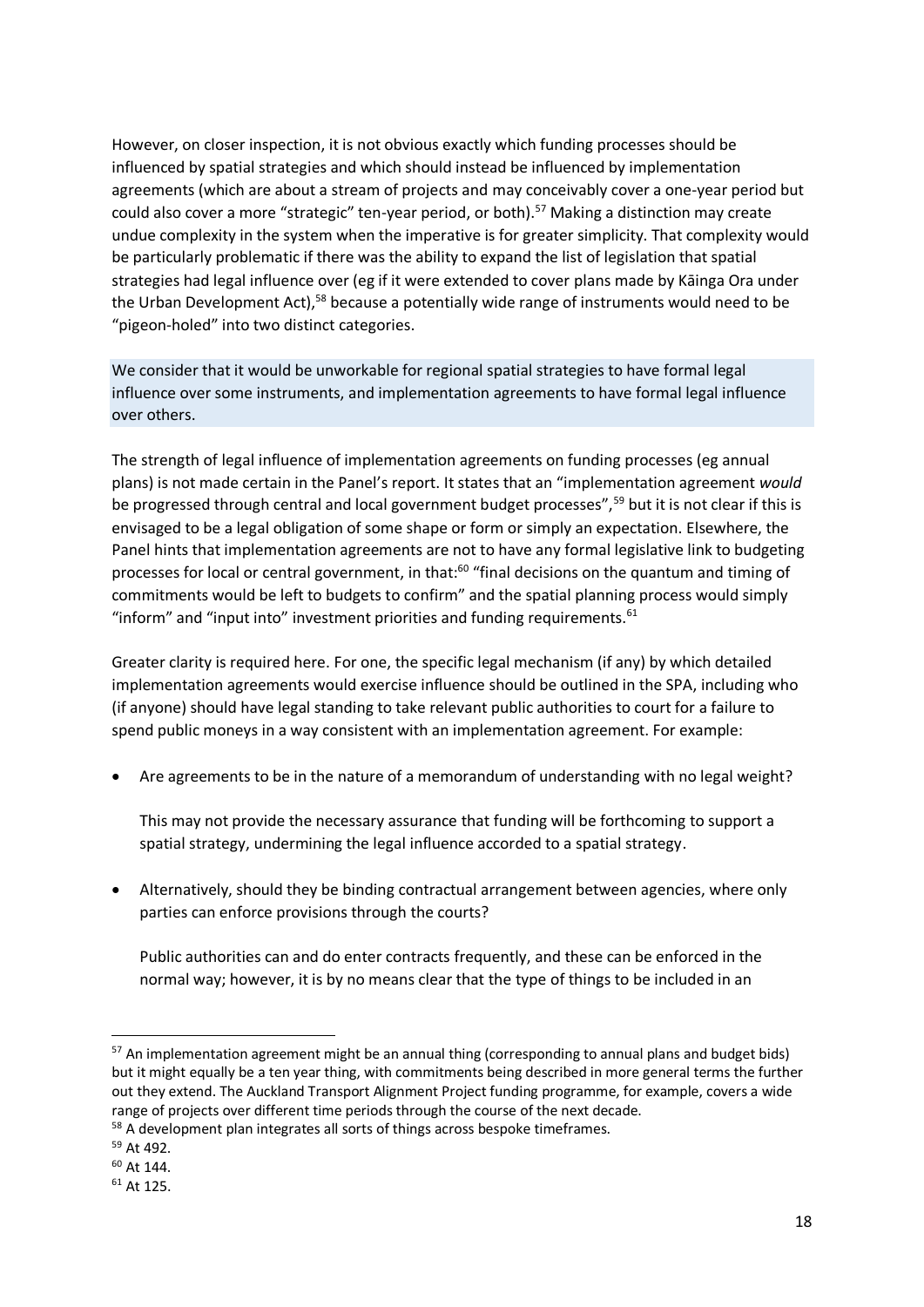However, on closer inspection, it is not obvious exactly which funding processes should be influenced by spatial strategies and which should instead be influenced by implementation agreements (which are about a stream of projects and may conceivably cover a one-year period but could also cover a more "strategic" ten-year period, or both).<sup>57</sup> Making a distinction may create undue complexity in the system when the imperative is for greater simplicity. That complexity would be particularly problematic if there was the ability to expand the list of legislation that spatial strategies had legal influence over (eg if it were extended to cover plans made by Kāinga Ora under the Urban Development Act),<sup>58</sup> because a potentially wide range of instruments would need to be "pigeon-holed" into two distinct categories.

We consider that it would be unworkable for regional spatial strategies to have formal legal influence over some instruments, and implementation agreements to have formal legal influence over others.

The strength of legal influence of implementation agreements on funding processes (eg annual plans) is not made certain in the Panel's report. It states that an "implementation agreement *would*  be progressed through central and local government budget processes",<sup>59</sup> but it is not clear if this is envisaged to be a legal obligation of some shape or form or simply an expectation. Elsewhere, the Panel hints that implementation agreements are not to have any formal legislative link to budgeting processes for local or central government, in that:<sup>60</sup> "final decisions on the quantum and timing of commitments would be left to budgets to confirm" and the spatial planning process would simply "inform" and "input into" investment priorities and funding requirements. $61$ 

Greater clarity is required here. For one, the specific legal mechanism (if any) by which detailed implementation agreements would exercise influence should be outlined in the SPA, including who (if anyone) should have legal standing to take relevant public authorities to court for a failure to spend public moneys in a way consistent with an implementation agreement. For example:

• Are agreements to be in the nature of a memorandum of understanding with no legal weight?

This may not provide the necessary assurance that funding will be forthcoming to support a spatial strategy, undermining the legal influence accorded to a spatial strategy.

• Alternatively, should they be binding contractual arrangement between agencies, where only parties can enforce provisions through the courts?

Public authorities can and do enter contracts frequently, and these can be enforced in the normal way; however, it is by no means clear that the type of things to be included in an

 $57$  An implementation agreement might be an annual thing (corresponding to annual plans and budget bids) but it might equally be a ten year thing, with commitments being described in more general terms the further out they extend. The Auckland Transport Alignment Project funding programme, for example, covers a wide range of projects over different time periods through the course of the next decade.

<sup>&</sup>lt;sup>58</sup> A development plan integrates all sorts of things across bespoke timeframes.

<sup>59</sup> At 492.

<sup>60</sup> At 144.

<sup>61</sup> At 125.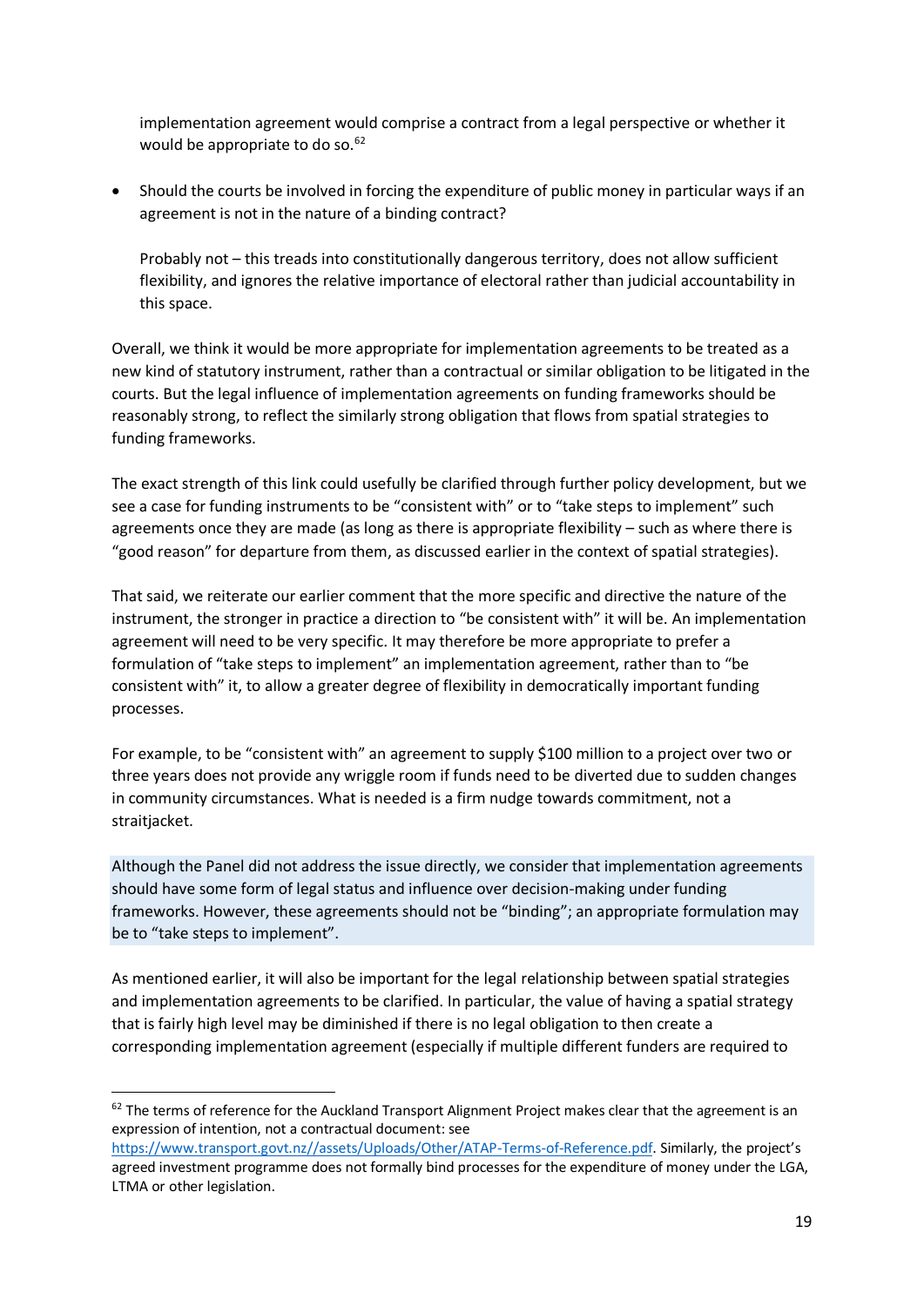implementation agreement would comprise a contract from a legal perspective or whether it would be appropriate to do so. $62$ 

• Should the courts be involved in forcing the expenditure of public money in particular ways if an agreement is not in the nature of a binding contract?

Probably not – this treads into constitutionally dangerous territory, does not allow sufficient flexibility, and ignores the relative importance of electoral rather than judicial accountability in this space.

Overall, we think it would be more appropriate for implementation agreements to be treated as a new kind of statutory instrument, rather than a contractual or similar obligation to be litigated in the courts. But the legal influence of implementation agreements on funding frameworks should be reasonably strong, to reflect the similarly strong obligation that flows from spatial strategies to funding frameworks.

The exact strength of this link could usefully be clarified through further policy development, but we see a case for funding instruments to be "consistent with" or to "take steps to implement" such agreements once they are made (as long as there is appropriate flexibility – such as where there is "good reason" for departure from them, as discussed earlier in the context of spatial strategies).

That said, we reiterate our earlier comment that the more specific and directive the nature of the instrument, the stronger in practice a direction to "be consistent with" it will be. An implementation agreement will need to be very specific. It may therefore be more appropriate to prefer a formulation of "take steps to implement" an implementation agreement, rather than to "be consistent with" it, to allow a greater degree of flexibility in democratically important funding processes.

For example, to be "consistent with" an agreement to supply \$100 million to a project over two or three years does not provide any wriggle room if funds need to be diverted due to sudden changes in community circumstances. What is needed is a firm nudge towards commitment, not a straitjacket.

Although the Panel did not address the issue directly, we consider that implementation agreements should have some form of legal status and influence over decision-making under funding frameworks. However, these agreements should not be "binding"; an appropriate formulation may be to "take steps to implement".

As mentioned earlier, it will also be important for the legal relationship between spatial strategies and implementation agreements to be clarified. In particular, the value of having a spatial strategy that is fairly high level may be diminished if there is no legal obligation to then create a corresponding implementation agreement (especially if multiple different funders are required to

 $62$  The terms of reference for the Auckland Transport Alignment Project makes clear that the agreement is an expression of intention, not a contractual document: see

[https://www.transport.govt.nz//assets/Uploads/Other/ATAP-Terms-of-Reference.pdf.](https://www.transport.govt.nz/assets/Uploads/Other/ATAP-Terms-of-Reference.pdf) Similarly, the project's agreed investment programme does not formally bind processes for the expenditure of money under the LGA, LTMA or other legislation.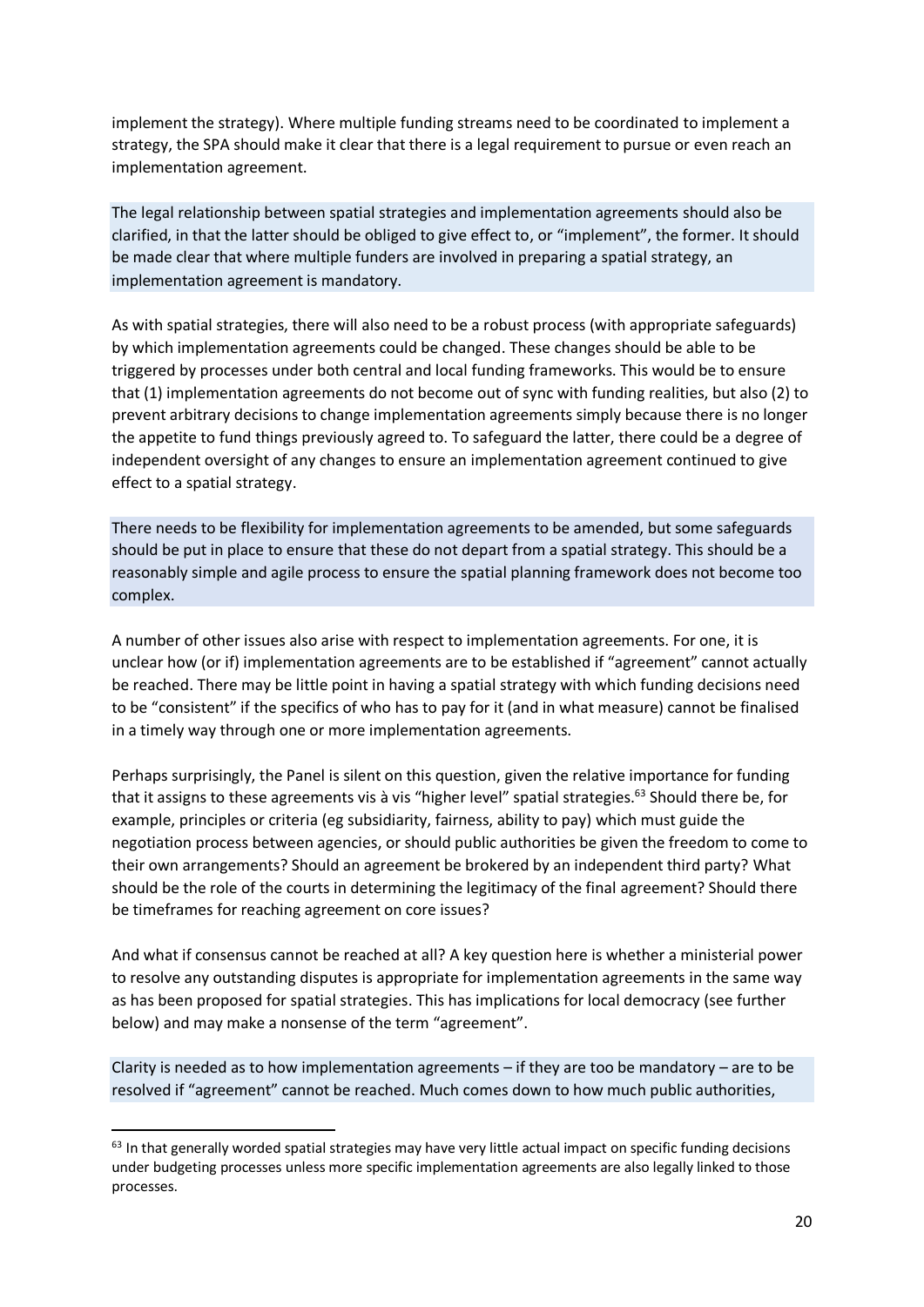implement the strategy). Where multiple funding streams need to be coordinated to implement a strategy, the SPA should make it clear that there is a legal requirement to pursue or even reach an implementation agreement.

The legal relationship between spatial strategies and implementation agreements should also be clarified, in that the latter should be obliged to give effect to, or "implement", the former. It should be made clear that where multiple funders are involved in preparing a spatial strategy, an implementation agreement is mandatory.

As with spatial strategies, there will also need to be a robust process (with appropriate safeguards) by which implementation agreements could be changed. These changes should be able to be triggered by processes under both central and local funding frameworks. This would be to ensure that (1) implementation agreements do not become out of sync with funding realities, but also (2) to prevent arbitrary decisions to change implementation agreements simply because there is no longer the appetite to fund things previously agreed to. To safeguard the latter, there could be a degree of independent oversight of any changes to ensure an implementation agreement continued to give effect to a spatial strategy.

There needs to be flexibility for implementation agreements to be amended, but some safeguards should be put in place to ensure that these do not depart from a spatial strategy. This should be a reasonably simple and agile process to ensure the spatial planning framework does not become too complex.

A number of other issues also arise with respect to implementation agreements. For one, it is unclear how (or if) implementation agreements are to be established if "agreement" cannot actually be reached. There may be little point in having a spatial strategy with which funding decisions need to be "consistent" if the specifics of who has to pay for it (and in what measure) cannot be finalised in a timely way through one or more implementation agreements.

Perhaps surprisingly, the Panel is silent on this question, given the relative importance for funding that it assigns to these agreements vis à vis "higher level" spatial strategies. <sup>63</sup> Should there be, for example, principles or criteria (eg subsidiarity, fairness, ability to pay) which must guide the negotiation process between agencies, or should public authorities be given the freedom to come to their own arrangements? Should an agreement be brokered by an independent third party? What should be the role of the courts in determining the legitimacy of the final agreement? Should there be timeframes for reaching agreement on core issues?

And what if consensus cannot be reached at all? A key question here is whether a ministerial power to resolve any outstanding disputes is appropriate for implementation agreements in the same way as has been proposed for spatial strategies. This has implications for local democracy (see further below) and may make a nonsense of the term "agreement".

Clarity is needed as to how implementation agreements – if they are too be mandatory – are to be resolved if "agreement" cannot be reached. Much comes down to how much public authorities,

<sup>&</sup>lt;sup>63</sup> In that generally worded spatial strategies may have very little actual impact on specific funding decisions under budgeting processes unless more specific implementation agreements are also legally linked to those processes.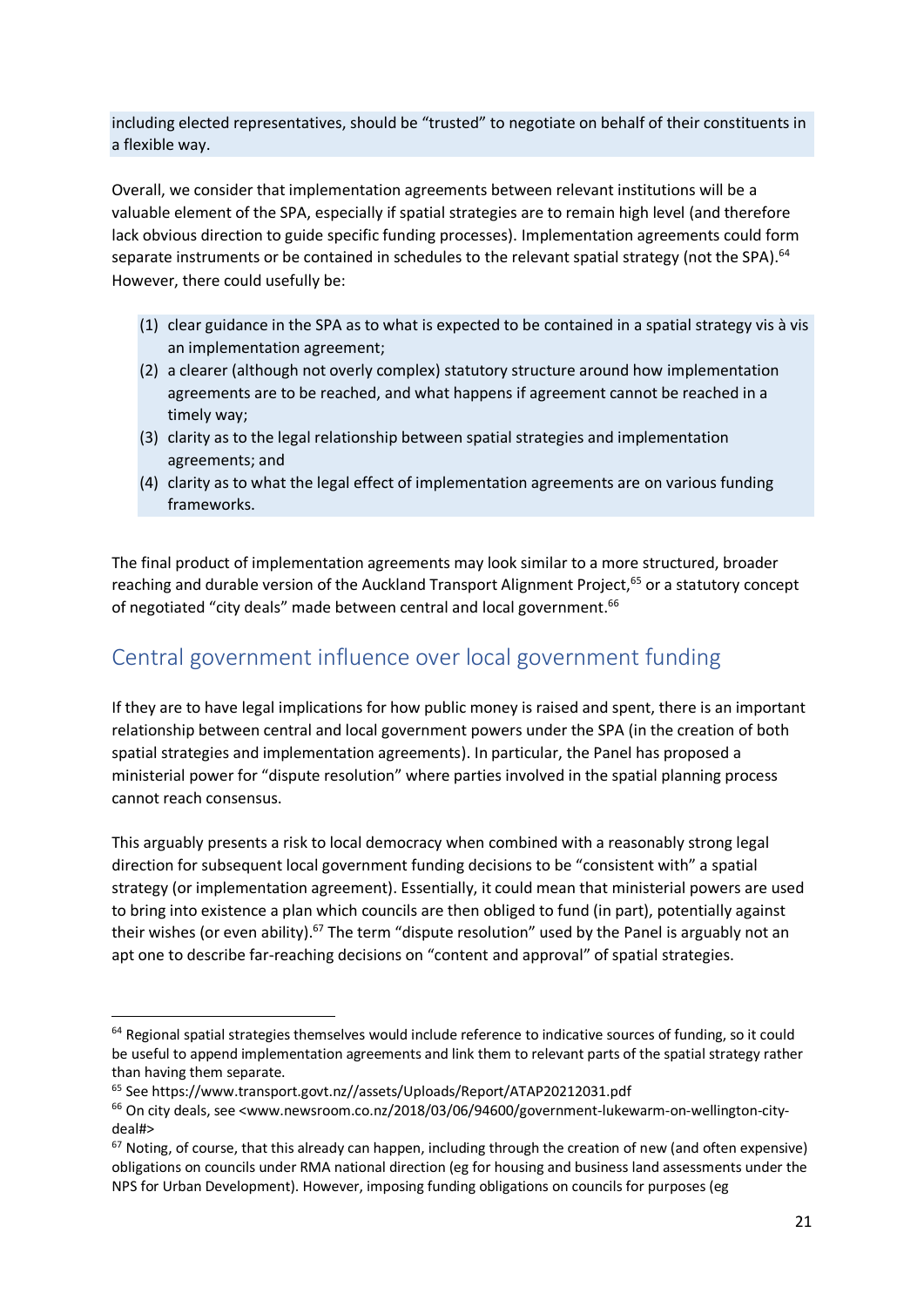including elected representatives, should be "trusted" to negotiate on behalf of their constituents in a flexible way.

Overall, we consider that implementation agreements between relevant institutions will be a valuable element of the SPA, especially if spatial strategies are to remain high level (and therefore lack obvious direction to guide specific funding processes). Implementation agreements could form separate instruments or be contained in schedules to the relevant spatial strategy (not the SPA).<sup>64</sup> However, there could usefully be:

- (1) clear guidance in the SPA as to what is expected to be contained in a spatial strategy vis à vis an implementation agreement;
- (2) a clearer (although not overly complex) statutory structure around how implementation agreements are to be reached, and what happens if agreement cannot be reached in a timely way;
- (3) clarity as to the legal relationship between spatial strategies and implementation agreements; and
- (4) clarity as to what the legal effect of implementation agreements are on various funding frameworks.

The final product of implementation agreements may look similar to a more structured, broader reaching and durable version of the Auckland Transport Alignment Project,<sup>65</sup> or a statutory concept of negotiated "city deals" made between central and local government.<sup>66</sup>

# Central government influence over local government funding

If they are to have legal implications for how public money is raised and spent, there is an important relationship between central and local government powers under the SPA (in the creation of both spatial strategies and implementation agreements). In particular, the Panel has proposed a ministerial power for "dispute resolution" where parties involved in the spatial planning process cannot reach consensus.

This arguably presents a risk to local democracy when combined with a reasonably strong legal direction for subsequent local government funding decisions to be "consistent with" a spatial strategy (or implementation agreement). Essentially, it could mean that ministerial powers are used to bring into existence a plan which councils are then obliged to fund (in part), potentially against their wishes (or even ability).<sup>67</sup> The term "dispute resolution" used by the Panel is arguably not an apt one to describe far-reaching decisions on "content and approval" of spatial strategies.

<sup>&</sup>lt;sup>64</sup> Regional spatial strategies themselves would include reference to indicative sources of funding, so it could be useful to append implementation agreements and link them to relevant parts of the spatial strategy rather than having them separate.

<sup>65</sup> See https://www.transport.govt.nz//assets/Uploads/Report/ATAP20212031.pdf

 $66$  On city deals, see <www.newsroom.co.nz/2018/03/06/94600/government-lukewarm-on-wellington-citydeal#>

<sup>&</sup>lt;sup>67</sup> Noting, of course, that this already can happen, including through the creation of new (and often expensive) obligations on councils under RMA national direction (eg for housing and business land assessments under the NPS for Urban Development). However, imposing funding obligations on councils for purposes (eg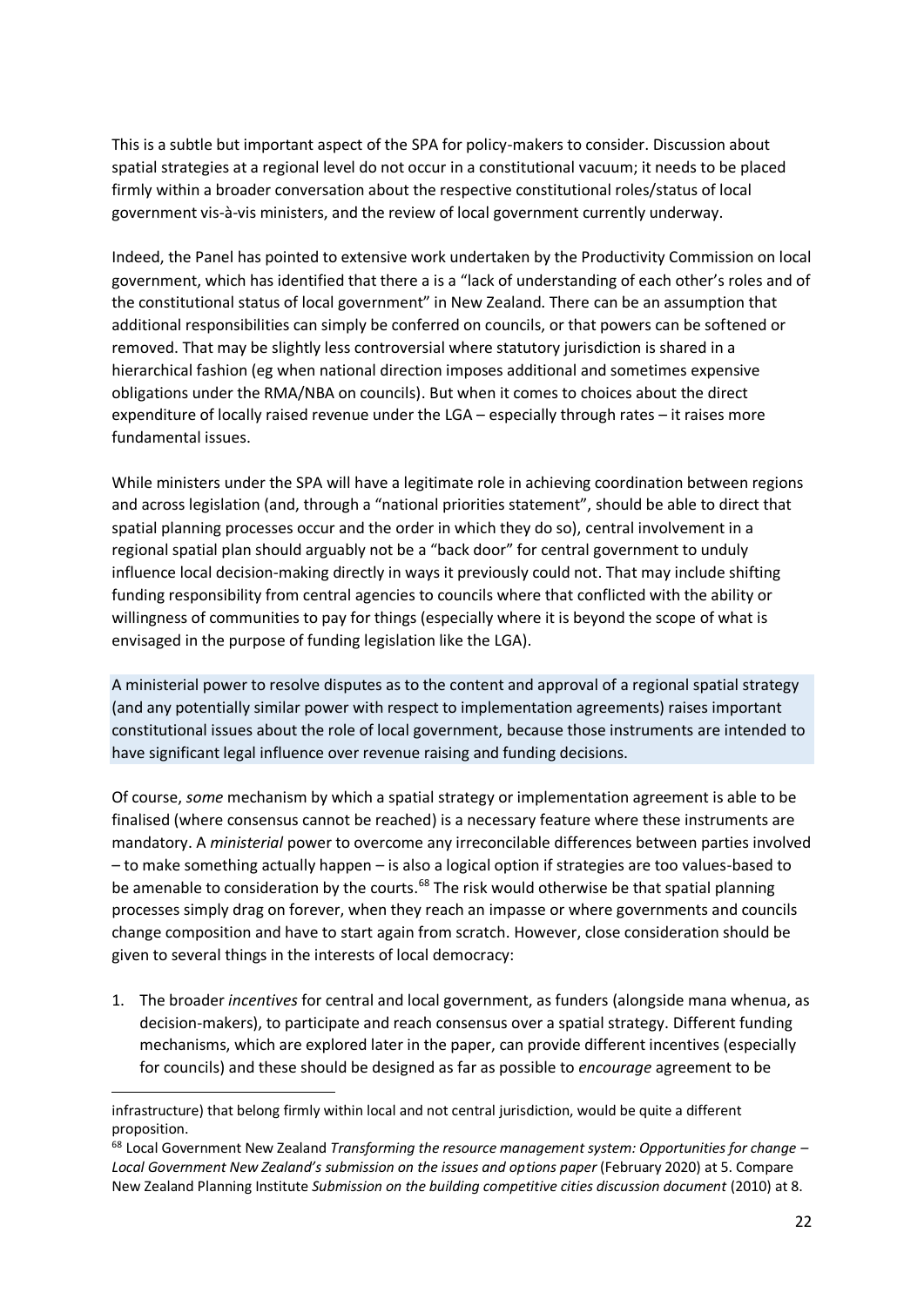This is a subtle but important aspect of the SPA for policy-makers to consider. Discussion about spatial strategies at a regional level do not occur in a constitutional vacuum; it needs to be placed firmly within a broader conversation about the respective constitutional roles/status of local government vis-à-vis ministers, and the review of local government currently underway.

Indeed, the Panel has pointed to extensive work undertaken by the Productivity Commission on local government, which has identified that there a is a "lack of understanding of each other's roles and of the constitutional status of local government" in New Zealand. There can be an assumption that additional responsibilities can simply be conferred on councils, or that powers can be softened or removed. That may be slightly less controversial where statutory jurisdiction is shared in a hierarchical fashion (eg when national direction imposes additional and sometimes expensive obligations under the RMA/NBA on councils). But when it comes to choices about the direct expenditure of locally raised revenue under the LGA – especially through rates – it raises more fundamental issues.

While ministers under the SPA will have a legitimate role in achieving coordination between regions and across legislation (and, through a "national priorities statement", should be able to direct that spatial planning processes occur and the order in which they do so), central involvement in a regional spatial plan should arguably not be a "back door" for central government to unduly influence local decision-making directly in ways it previously could not. That may include shifting funding responsibility from central agencies to councils where that conflicted with the ability or willingness of communities to pay for things (especially where it is beyond the scope of what is envisaged in the purpose of funding legislation like the LGA).

A ministerial power to resolve disputes as to the content and approval of a regional spatial strategy (and any potentially similar power with respect to implementation agreements) raises important constitutional issues about the role of local government, because those instruments are intended to have significant legal influence over revenue raising and funding decisions.

Of course, *some* mechanism by which a spatial strategy or implementation agreement is able to be finalised (where consensus cannot be reached) is a necessary feature where these instruments are mandatory. A *ministerial* power to overcome any irreconcilable differences between parties involved – to make something actually happen – is also a logical option if strategies are too values-based to be amenable to consideration by the courts.<sup>68</sup> The risk would otherwise be that spatial planning processes simply drag on forever, when they reach an impasse or where governments and councils change composition and have to start again from scratch. However, close consideration should be given to several things in the interests of local democracy:

1. The broader *incentives* for central and local government, as funders (alongside mana whenua, as decision-makers), to participate and reach consensus over a spatial strategy. Different funding mechanisms, which are explored later in the paper, can provide different incentives (especially for councils) and these should be designed as far as possible to *encourage* agreement to be

infrastructure) that belong firmly within local and not central jurisdiction, would be quite a different proposition.

<sup>68</sup> Local Government New Zealand *Transforming the resource management system: Opportunities for change – Local Government New Zealand's submission on the issues and options paper* (February 2020) at 5. Compare New Zealand Planning Institute *Submission on the building competitive cities discussion document* (2010) at 8.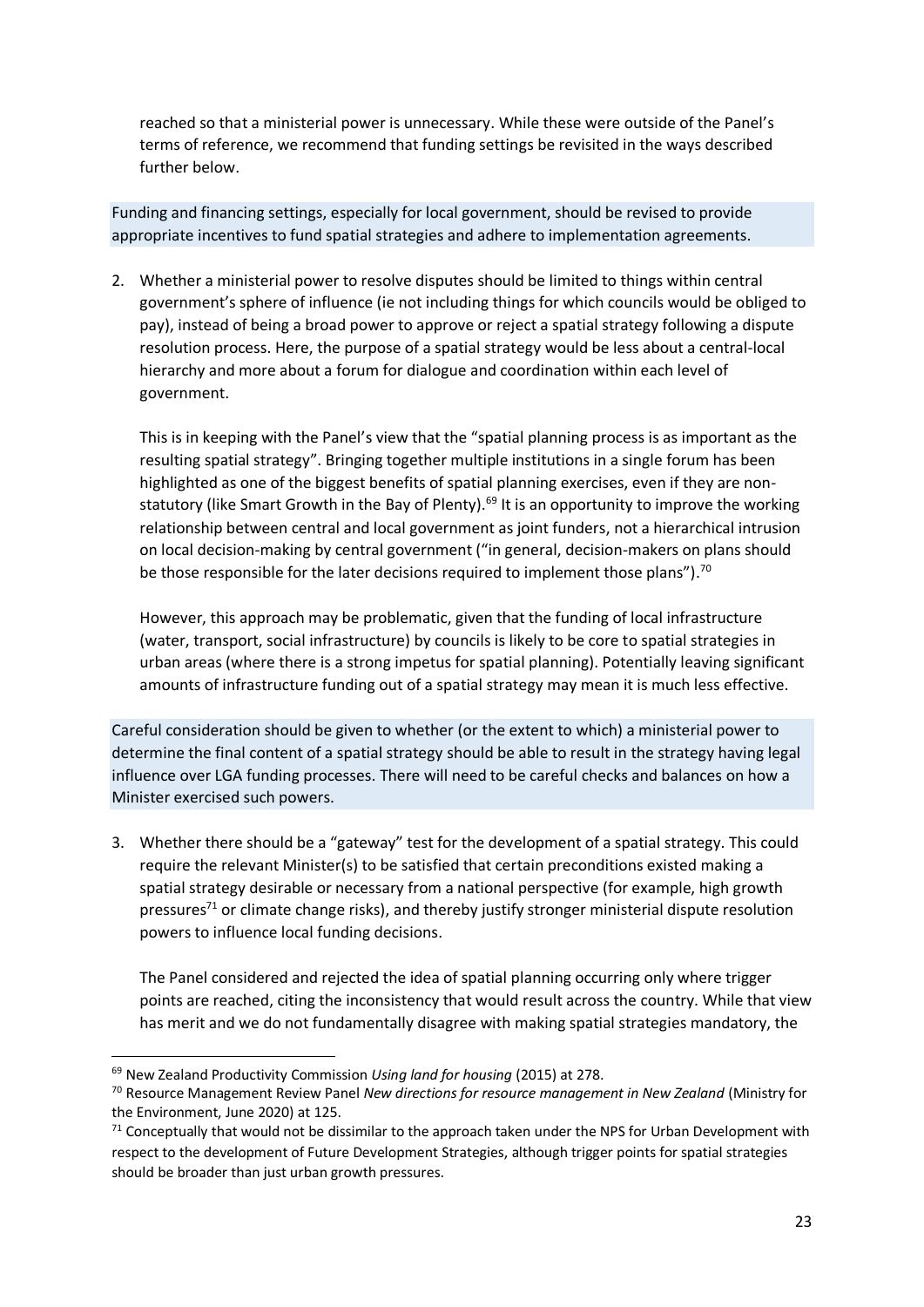reached so that a ministerial power is unnecessary. While these were outside of the Panel's terms of reference, we recommend that funding settings be revisited in the ways described further below.

Funding and financing settings, especially for local government, should be revised to provide appropriate incentives to fund spatial strategies and adhere to implementation agreements.

2. Whether a ministerial power to resolve disputes should be limited to things within central government's sphere of influence (ie not including things for which councils would be obliged to pay), instead of being a broad power to approve or reject a spatial strategy following a dispute resolution process. Here, the purpose of a spatial strategy would be less about a central-local hierarchy and more about a forum for dialogue and coordination within each level of government.

This is in keeping with the Panel's view that the "spatial planning process is as important as the resulting spatial strategy". Bringing together multiple institutions in a single forum has been highlighted as one of the biggest benefits of spatial planning exercises, even if they are nonstatutory (like Smart Growth in the Bay of Plenty).<sup>69</sup> It is an opportunity to improve the working relationship between central and local government as joint funders, not a hierarchical intrusion on local decision-making by central government ("in general, decision-makers on plans should be those responsible for the later decisions required to implement those plans").<sup>70</sup>

However, this approach may be problematic, given that the funding of local infrastructure (water, transport, social infrastructure) by councils is likely to be core to spatial strategies in urban areas (where there is a strong impetus for spatial planning). Potentially leaving significant amounts of infrastructure funding out of a spatial strategy may mean it is much less effective.

Careful consideration should be given to whether (or the extent to which) a ministerial power to determine the final content of a spatial strategy should be able to result in the strategy having legal influence over LGA funding processes. There will need to be careful checks and balances on how a Minister exercised such powers.

3. Whether there should be a "gateway" test for the development of a spatial strategy. This could require the relevant Minister(s) to be satisfied that certain preconditions existed making a spatial strategy desirable or necessary from a national perspective (for example, high growth pressures $71$  or climate change risks), and thereby justify stronger ministerial dispute resolution powers to influence local funding decisions.

The Panel considered and rejected the idea of spatial planning occurring only where trigger points are reached, citing the inconsistency that would result across the country. While that view has merit and we do not fundamentally disagree with making spatial strategies mandatory, the

<sup>69</sup> New Zealand Productivity Commission *Using land for housing* (2015) at 278.

<sup>70</sup> Resource Management Review Panel *New directions for resource management in New Zealand* (Ministry for the Environment, June 2020) at 125.

 $71$  Conceptually that would not be dissimilar to the approach taken under the NPS for Urban Development with respect to the development of Future Development Strategies, although trigger points for spatial strategies should be broader than just urban growth pressures.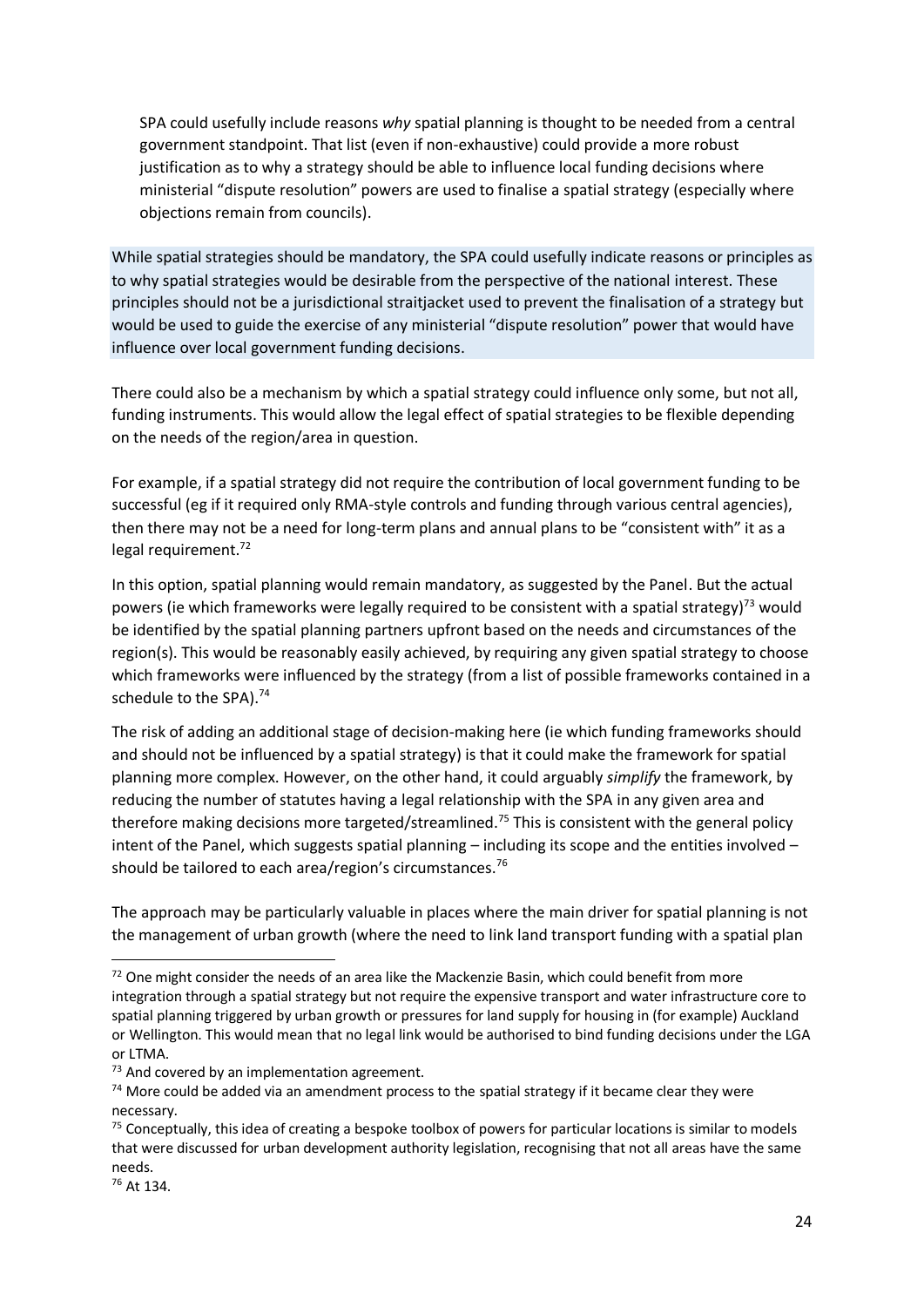SPA could usefully include reasons *why* spatial planning is thought to be needed from a central government standpoint. That list (even if non-exhaustive) could provide a more robust justification as to why a strategy should be able to influence local funding decisions where ministerial "dispute resolution" powers are used to finalise a spatial strategy (especially where objections remain from councils).

While spatial strategies should be mandatory, the SPA could usefully indicate reasons or principles as to why spatial strategies would be desirable from the perspective of the national interest. These principles should not be a jurisdictional straitjacket used to prevent the finalisation of a strategy but would be used to guide the exercise of any ministerial "dispute resolution" power that would have influence over local government funding decisions.

There could also be a mechanism by which a spatial strategy could influence only some, but not all, funding instruments. This would allow the legal effect of spatial strategies to be flexible depending on the needs of the region/area in question.

For example, if a spatial strategy did not require the contribution of local government funding to be successful (eg if it required only RMA-style controls and funding through various central agencies), then there may not be a need for long-term plans and annual plans to be "consistent with" it as a legal requirement. $^{72}$ 

In this option, spatial planning would remain mandatory, as suggested by the Panel. But the actual powers (ie which frameworks were legally required to be consistent with a spatial strategy)<sup>73</sup> would be identified by the spatial planning partners upfront based on the needs and circumstances of the region(s). This would be reasonably easily achieved, by requiring any given spatial strategy to choose which frameworks were influenced by the strategy (from a list of possible frameworks contained in a schedule to the SPA).<sup>74</sup>

The risk of adding an additional stage of decision-making here (ie which funding frameworks should and should not be influenced by a spatial strategy) is that it could make the framework for spatial planning more complex. However, on the other hand, it could arguably *simplify* the framework, by reducing the number of statutes having a legal relationship with the SPA in any given area and therefore making decisions more targeted/streamlined.<sup>75</sup> This is consistent with the general policy intent of the Panel, which suggests spatial planning – including its scope and the entities involved – should be tailored to each area/region's circumstances.<sup>76</sup>

The approach may be particularly valuable in places where the main driver for spatial planning is not the management of urban growth (where the need to link land transport funding with a spatial plan

<sup>76</sup> At 134.

 $72$  One might consider the needs of an area like the Mackenzie Basin, which could benefit from more integration through a spatial strategy but not require the expensive transport and water infrastructure core to spatial planning triggered by urban growth or pressures for land supply for housing in (for example) Auckland or Wellington. This would mean that no legal link would be authorised to bind funding decisions under the LGA or LTMA.

 $73$  And covered by an implementation agreement.

 $74$  More could be added via an amendment process to the spatial strategy if it became clear they were necessary.

<sup>&</sup>lt;sup>75</sup> Conceptually, this idea of creating a bespoke toolbox of powers for particular locations is similar to models that were discussed for urban development authority legislation, recognising that not all areas have the same needs.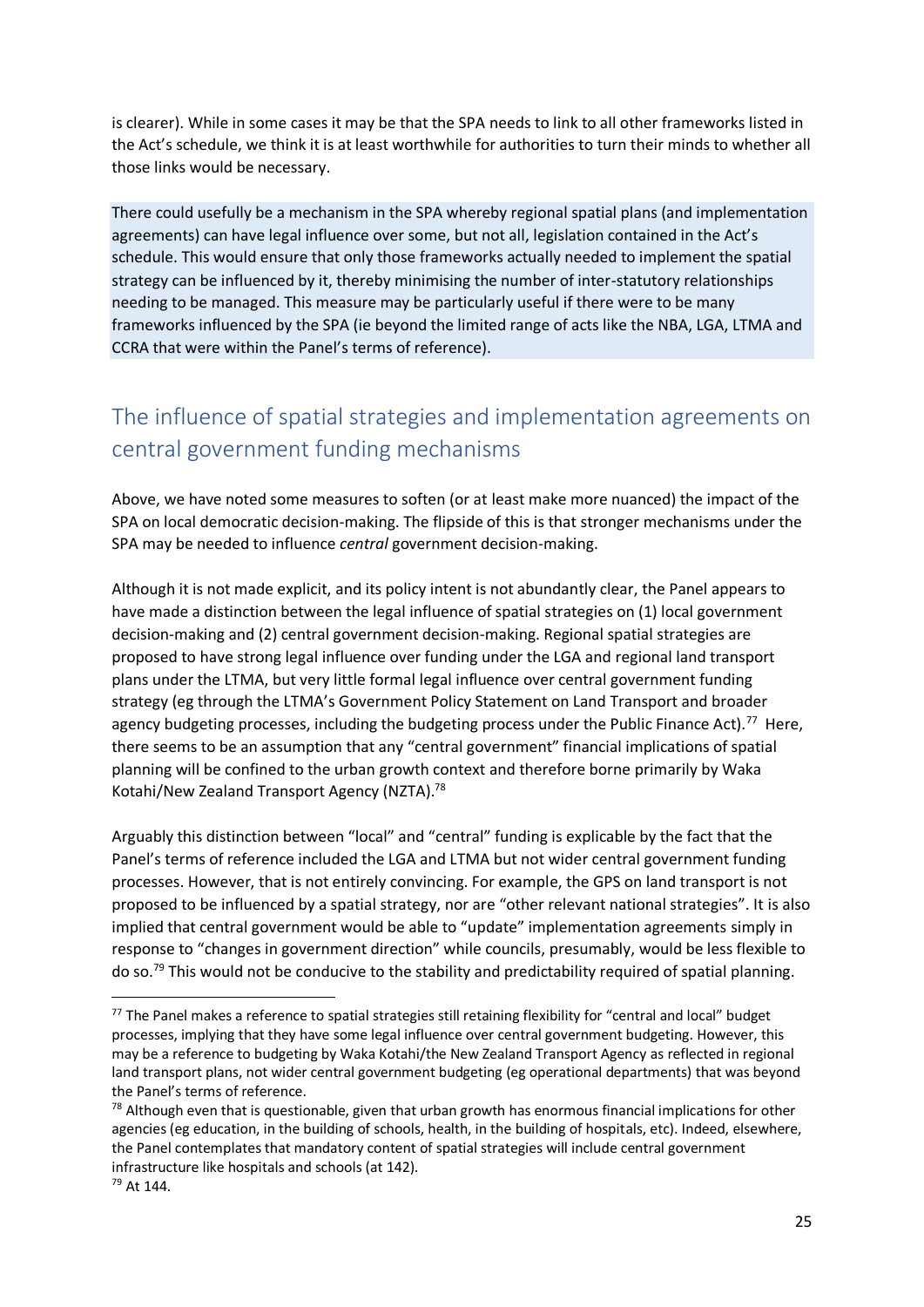is clearer). While in some cases it may be that the SPA needs to link to all other frameworks listed in the Act's schedule, we think it is at least worthwhile for authorities to turn their minds to whether all those links would be necessary.

There could usefully be a mechanism in the SPA whereby regional spatial plans (and implementation agreements) can have legal influence over some, but not all, legislation contained in the Act's schedule. This would ensure that only those frameworks actually needed to implement the spatial strategy can be influenced by it, thereby minimising the number of inter-statutory relationships needing to be managed. This measure may be particularly useful if there were to be many frameworks influenced by the SPA (ie beyond the limited range of acts like the NBA, LGA, LTMA and CCRA that were within the Panel's terms of reference).

# The influence of spatial strategies and implementation agreements on central government funding mechanisms

Above, we have noted some measures to soften (or at least make more nuanced) the impact of the SPA on local democratic decision-making. The flipside of this is that stronger mechanisms under the SPA may be needed to influence *central* government decision-making.

Although it is not made explicit, and its policy intent is not abundantly clear, the Panel appears to have made a distinction between the legal influence of spatial strategies on (1) local government decision-making and (2) central government decision-making. Regional spatial strategies are proposed to have strong legal influence over funding under the LGA and regional land transport plans under the LTMA, but very little formal legal influence over central government funding strategy (eg through the LTMA's Government Policy Statement on Land Transport and broader agency budgeting processes, including the budgeting process under the Public Finance Act).<sup>77</sup> Here, there seems to be an assumption that any "central government" financial implications of spatial planning will be confined to the urban growth context and therefore borne primarily by Waka Kotahi/New Zealand Transport Agency (NZTA).<sup>78</sup>

Arguably this distinction between "local" and "central" funding is explicable by the fact that the Panel's terms of reference included the LGA and LTMA but not wider central government funding processes. However, that is not entirely convincing. For example, the GPS on land transport is not proposed to be influenced by a spatial strategy, nor are "other relevant national strategies". It is also implied that central government would be able to "update" implementation agreements simply in response to "changes in government direction" while councils, presumably, would be less flexible to do so.<sup>79</sup> This would not be conducive to the stability and predictability required of spatial planning.

<sup>&</sup>lt;sup>77</sup> The Panel makes a reference to spatial strategies still retaining flexibility for "central and local" budget processes, implying that they have some legal influence over central government budgeting. However, this may be a reference to budgeting by Waka Kotahi/the New Zealand Transport Agency as reflected in regional land transport plans, not wider central government budgeting (eg operational departments) that was beyond the Panel's terms of reference.

 $78$  Although even that is questionable, given that urban growth has enormous financial implications for other agencies (eg education, in the building of schools, health, in the building of hospitals, etc). Indeed, elsewhere, the Panel contemplates that mandatory content of spatial strategies will include central government infrastructure like hospitals and schools (at 142).

<sup>79</sup> At 144.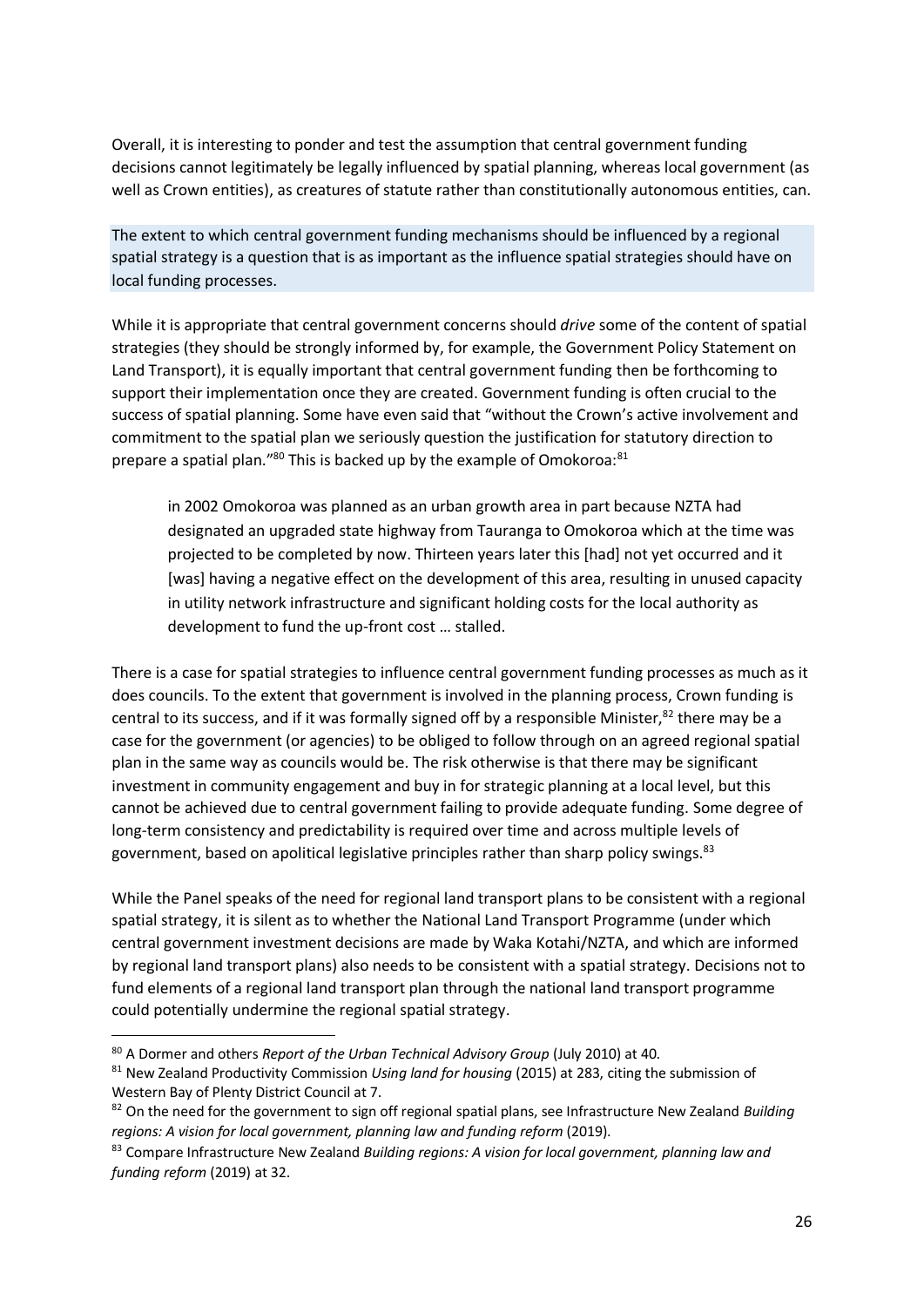Overall, it is interesting to ponder and test the assumption that central government funding decisions cannot legitimately be legally influenced by spatial planning, whereas local government (as well as Crown entities), as creatures of statute rather than constitutionally autonomous entities, can.

The extent to which central government funding mechanisms should be influenced by a regional spatial strategy is a question that is as important as the influence spatial strategies should have on local funding processes.

While it is appropriate that central government concerns should *drive* some of the content of spatial strategies (they should be strongly informed by, for example, the Government Policy Statement on Land Transport), it is equally important that central government funding then be forthcoming to support their implementation once they are created. Government funding is often crucial to the success of spatial planning. Some have even said that "without the Crown's active involvement and commitment to the spatial plan we seriously question the justification for statutory direction to prepare a spatial plan." $80$  This is backed up by the example of Omokoroa: $81$ 

in 2002 Omokoroa was planned as an urban growth area in part because NZTA had designated an upgraded state highway from Tauranga to Omokoroa which at the time was projected to be completed by now. Thirteen years later this [had] not yet occurred and it [was] having a negative effect on the development of this area, resulting in unused capacity in utility network infrastructure and significant holding costs for the local authority as development to fund the up-front cost … stalled.

There is a case for spatial strategies to influence central government funding processes as much as it does councils. To the extent that government is involved in the planning process, Crown funding is central to its success, and if it was formally signed off by a responsible Minister, $82$  there may be a case for the government (or agencies) to be obliged to follow through on an agreed regional spatial plan in the same way as councils would be. The risk otherwise is that there may be significant investment in community engagement and buy in for strategic planning at a local level, but this cannot be achieved due to central government failing to provide adequate funding. Some degree of long-term consistency and predictability is required over time and across multiple levels of government, based on apolitical legislative principles rather than sharp policy swings.<sup>83</sup>

While the Panel speaks of the need for regional land transport plans to be consistent with a regional spatial strategy, it is silent as to whether the National Land Transport Programme (under which central government investment decisions are made by Waka Kotahi/NZTA, and which are informed by regional land transport plans) also needs to be consistent with a spatial strategy. Decisions not to fund elements of a regional land transport plan through the national land transport programme could potentially undermine the regional spatial strategy.

<sup>80</sup> A Dormer and others *Report of the Urban Technical Advisory Group* (July 2010) at 40.

<sup>81</sup> New Zealand Productivity Commission *Using land for housing* (2015) at 283, citing the submission of Western Bay of Plenty District Council at 7.

<sup>82</sup> On the need for the government to sign off regional spatial plans, see Infrastructure New Zealand *Building regions: A vision for local government, planning law and funding reform* (2019).

<sup>83</sup> Compare Infrastructure New Zealand *Building regions: A vision for local government, planning law and funding reform* (2019) at 32.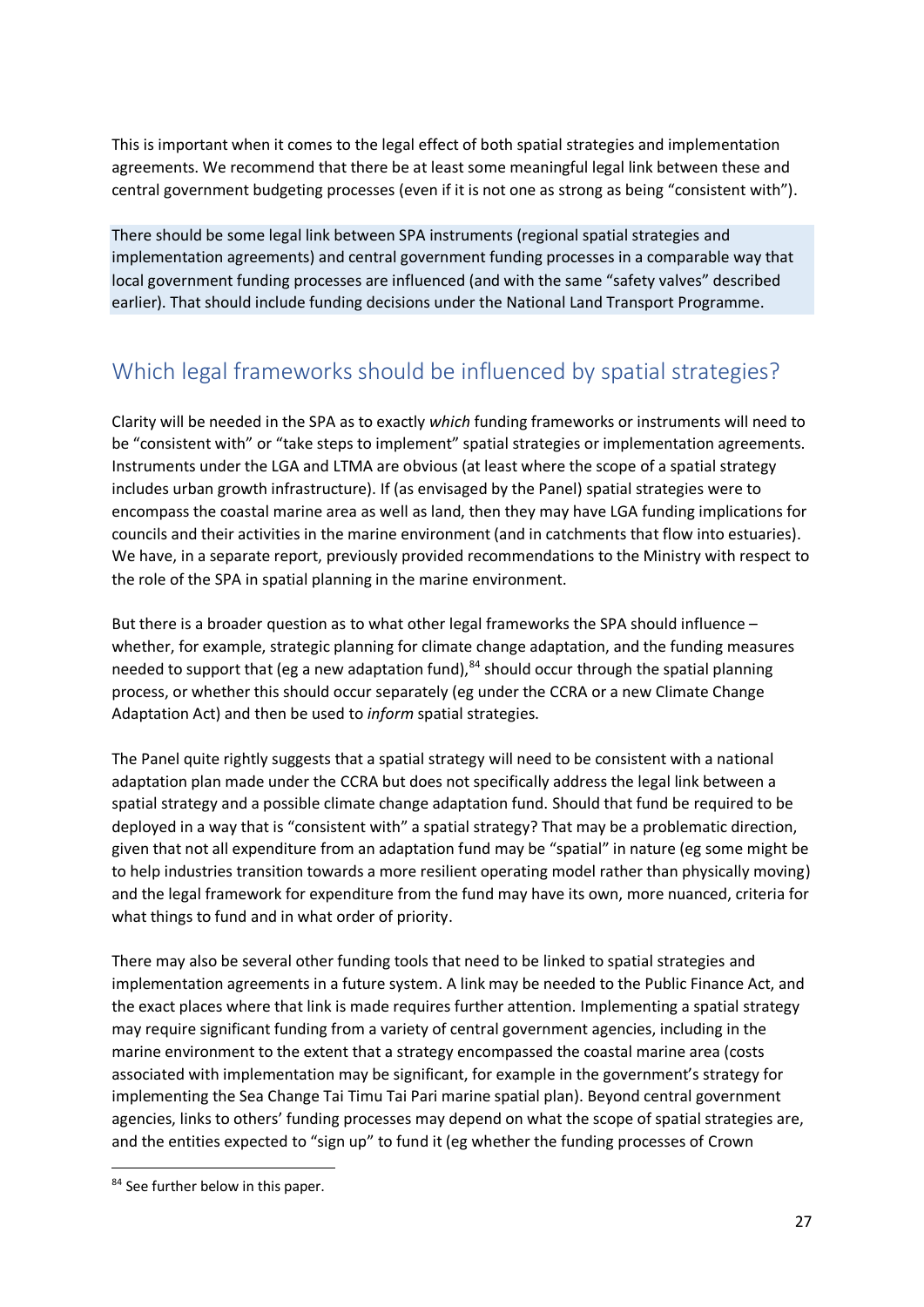This is important when it comes to the legal effect of both spatial strategies and implementation agreements. We recommend that there be at least some meaningful legal link between these and central government budgeting processes (even if it is not one as strong as being "consistent with").

There should be some legal link between SPA instruments (regional spatial strategies and implementation agreements) and central government funding processes in a comparable way that local government funding processes are influenced (and with the same "safety valves" described earlier). That should include funding decisions under the National Land Transport Programme.

# Which legal frameworks should be influenced by spatial strategies?

Clarity will be needed in the SPA as to exactly *which* funding frameworks or instruments will need to be "consistent with" or "take steps to implement" spatial strategies or implementation agreements. Instruments under the LGA and LTMA are obvious (at least where the scope of a spatial strategy includes urban growth infrastructure). If (as envisaged by the Panel) spatial strategies were to encompass the coastal marine area as well as land, then they may have LGA funding implications for councils and their activities in the marine environment (and in catchments that flow into estuaries). We have, in a separate report, previously provided recommendations to the Ministry with respect to the role of the SPA in spatial planning in the marine environment.

But there is a broader question as to what other legal frameworks the SPA should influence – whether, for example, strategic planning for climate change adaptation, and the funding measures needed to support that (eg a new adaptation fund),  $84$  should occur through the spatial planning process, or whether this should occur separately (eg under the CCRA or a new Climate Change Adaptation Act) and then be used to *inform* spatial strategies.

The Panel quite rightly suggests that a spatial strategy will need to be consistent with a national adaptation plan made under the CCRA but does not specifically address the legal link between a spatial strategy and a possible climate change adaptation fund. Should that fund be required to be deployed in a way that is "consistent with" a spatial strategy? That may be a problematic direction, given that not all expenditure from an adaptation fund may be "spatial" in nature (eg some might be to help industries transition towards a more resilient operating model rather than physically moving) and the legal framework for expenditure from the fund may have its own, more nuanced, criteria for what things to fund and in what order of priority.

There may also be several other funding tools that need to be linked to spatial strategies and implementation agreements in a future system. A link may be needed to the Public Finance Act, and the exact places where that link is made requires further attention. Implementing a spatial strategy may require significant funding from a variety of central government agencies, including in the marine environment to the extent that a strategy encompassed the coastal marine area (costs associated with implementation may be significant, for example in the government's strategy for implementing the Sea Change Tai Timu Tai Pari marine spatial plan). Beyond central government agencies, links to others' funding processes may depend on what the scope of spatial strategies are, and the entities expected to "sign up" to fund it (eg whether the funding processes of Crown

<sup>84</sup> See further below in this paper.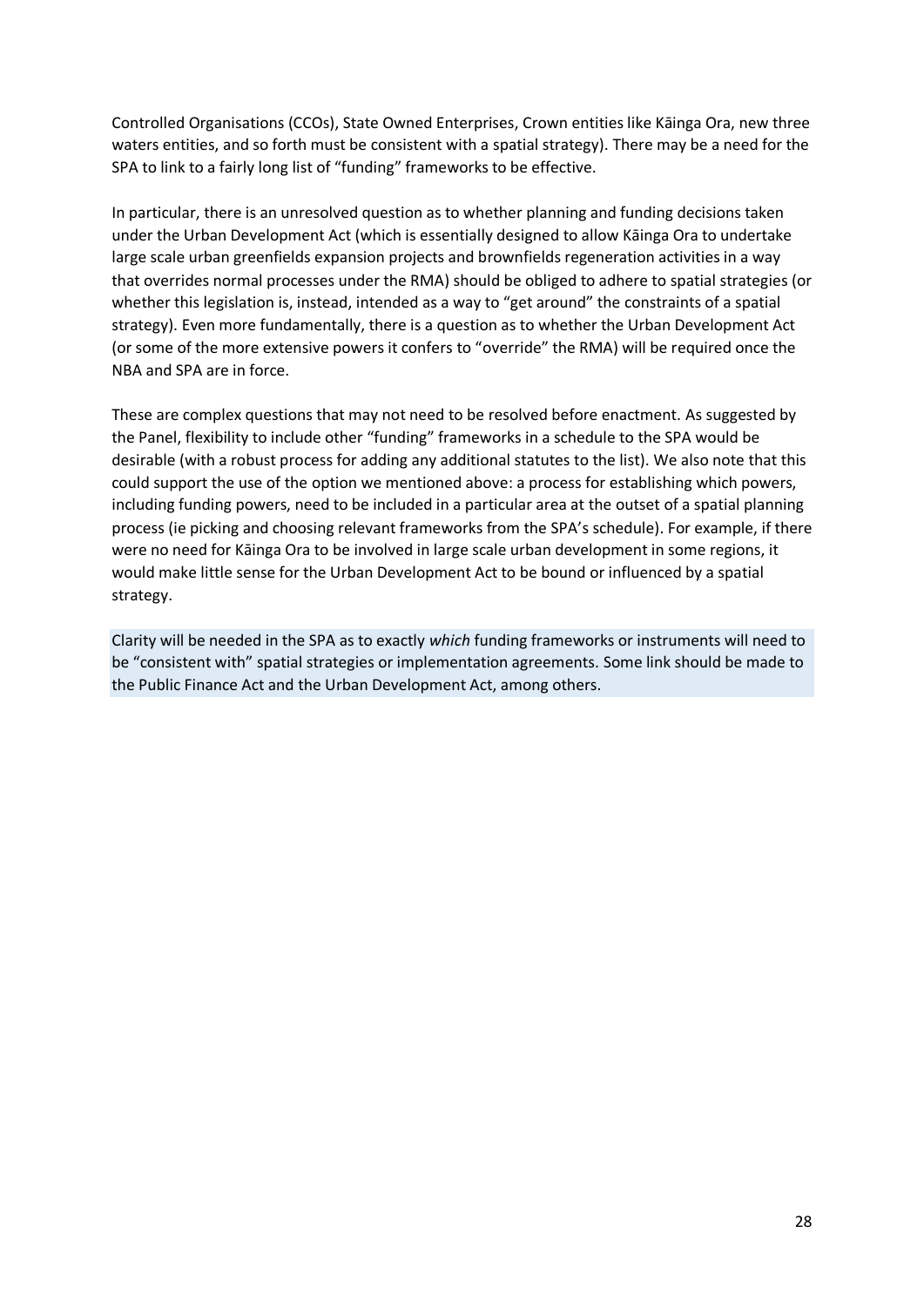Controlled Organisations (CCOs), State Owned Enterprises, Crown entities like Kāinga Ora, new three waters entities, and so forth must be consistent with a spatial strategy). There may be a need for the SPA to link to a fairly long list of "funding" frameworks to be effective.

In particular, there is an unresolved question as to whether planning and funding decisions taken under the Urban Development Act (which is essentially designed to allow Kāinga Ora to undertake large scale urban greenfields expansion projects and brownfields regeneration activities in a way that overrides normal processes under the RMA) should be obliged to adhere to spatial strategies (or whether this legislation is, instead, intended as a way to "get around" the constraints of a spatial strategy). Even more fundamentally, there is a question as to whether the Urban Development Act (or some of the more extensive powers it confers to "override" the RMA) will be required once the NBA and SPA are in force.

These are complex questions that may not need to be resolved before enactment. As suggested by the Panel, flexibility to include other "funding" frameworks in a schedule to the SPA would be desirable (with a robust process for adding any additional statutes to the list). We also note that this could support the use of the option we mentioned above: a process for establishing which powers, including funding powers, need to be included in a particular area at the outset of a spatial planning process (ie picking and choosing relevant frameworks from the SPA's schedule). For example, if there were no need for Kāinga Ora to be involved in large scale urban development in some regions, it would make little sense for the Urban Development Act to be bound or influenced by a spatial strategy.

Clarity will be needed in the SPA as to exactly *which* funding frameworks or instruments will need to be "consistent with" spatial strategies or implementation agreements. Some link should be made to the Public Finance Act and the Urban Development Act, among others.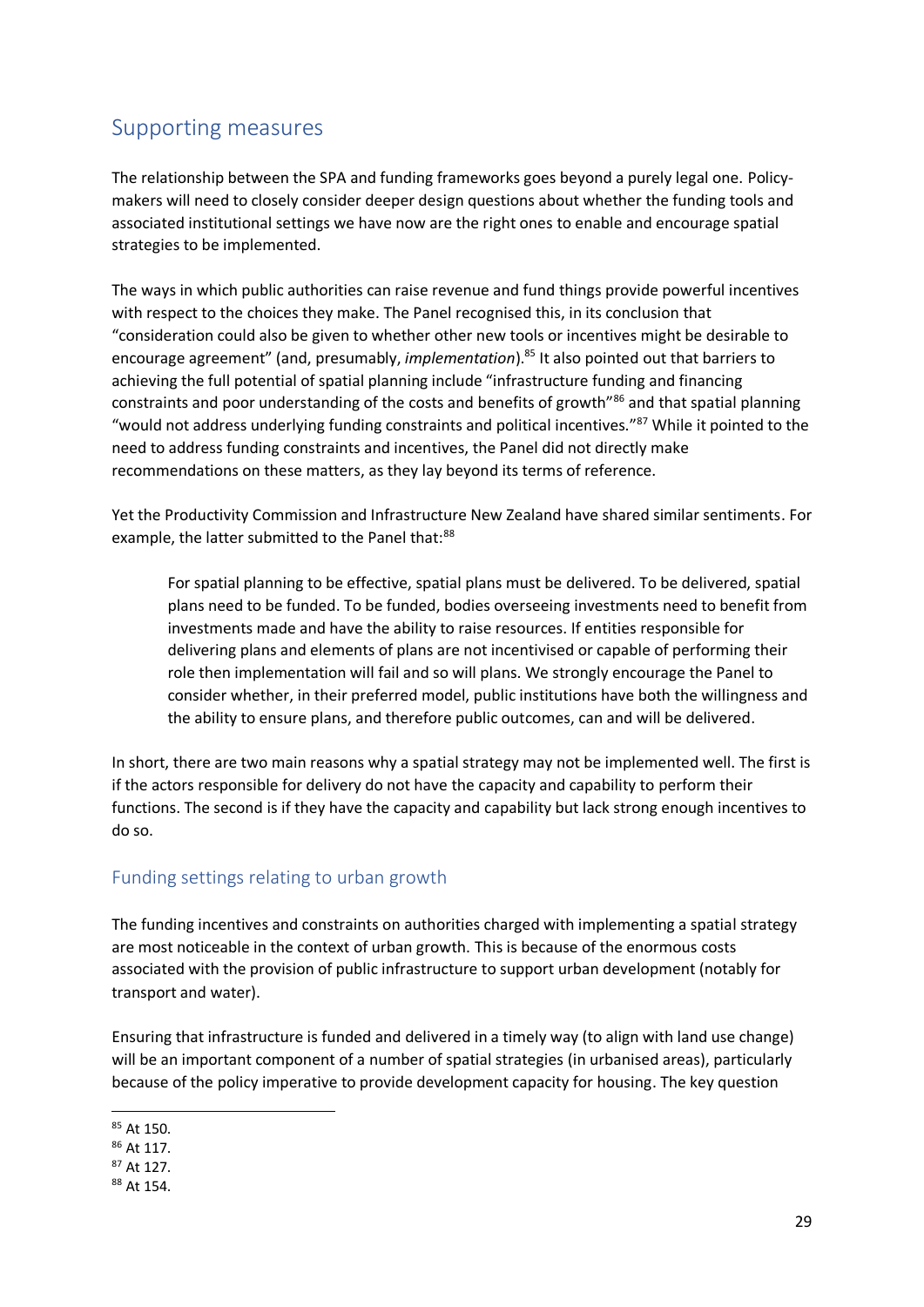### Supporting measures

The relationship between the SPA and funding frameworks goes beyond a purely legal one. Policymakers will need to closely consider deeper design questions about whether the funding tools and associated institutional settings we have now are the right ones to enable and encourage spatial strategies to be implemented.

The ways in which public authorities can raise revenue and fund things provide powerful incentives with respect to the choices they make. The Panel recognised this, in its conclusion that "consideration could also be given to whether other new tools or incentives might be desirable to encourage agreement" (and, presumably, *implementation*). <sup>85</sup> It also pointed out that barriers to achieving the full potential of spatial planning include "infrastructure funding and financing constraints and poor understanding of the costs and benefits of growth"<sup>86</sup> and that spatial planning "would not address underlying funding constraints and political incentives."<sup>87</sup> While it pointed to the need to address funding constraints and incentives, the Panel did not directly make recommendations on these matters, as they lay beyond its terms of reference.

Yet the Productivity Commission and Infrastructure New Zealand have shared similar sentiments. For example, the latter submitted to the Panel that:<sup>88</sup>

For spatial planning to be effective, spatial plans must be delivered. To be delivered, spatial plans need to be funded. To be funded, bodies overseeing investments need to benefit from investments made and have the ability to raise resources. If entities responsible for delivering plans and elements of plans are not incentivised or capable of performing their role then implementation will fail and so will plans. We strongly encourage the Panel to consider whether, in their preferred model, public institutions have both the willingness and the ability to ensure plans, and therefore public outcomes, can and will be delivered.

In short, there are two main reasons why a spatial strategy may not be implemented well. The first is if the actors responsible for delivery do not have the capacity and capability to perform their functions. The second is if they have the capacity and capability but lack strong enough incentives to do so.

### Funding settings relating to urban growth

The funding incentives and constraints on authorities charged with implementing a spatial strategy are most noticeable in the context of urban growth. This is because of the enormous costs associated with the provision of public infrastructure to support urban development (notably for transport and water).

Ensuring that infrastructure is funded and delivered in a timely way (to align with land use change) will be an important component of a number of spatial strategies (in urbanised areas), particularly because of the policy imperative to provide development capacity for housing. The key question

<sup>85</sup> At 150.

<sup>86</sup> At 117.

<sup>87</sup> At 127.

<sup>88</sup> At 154.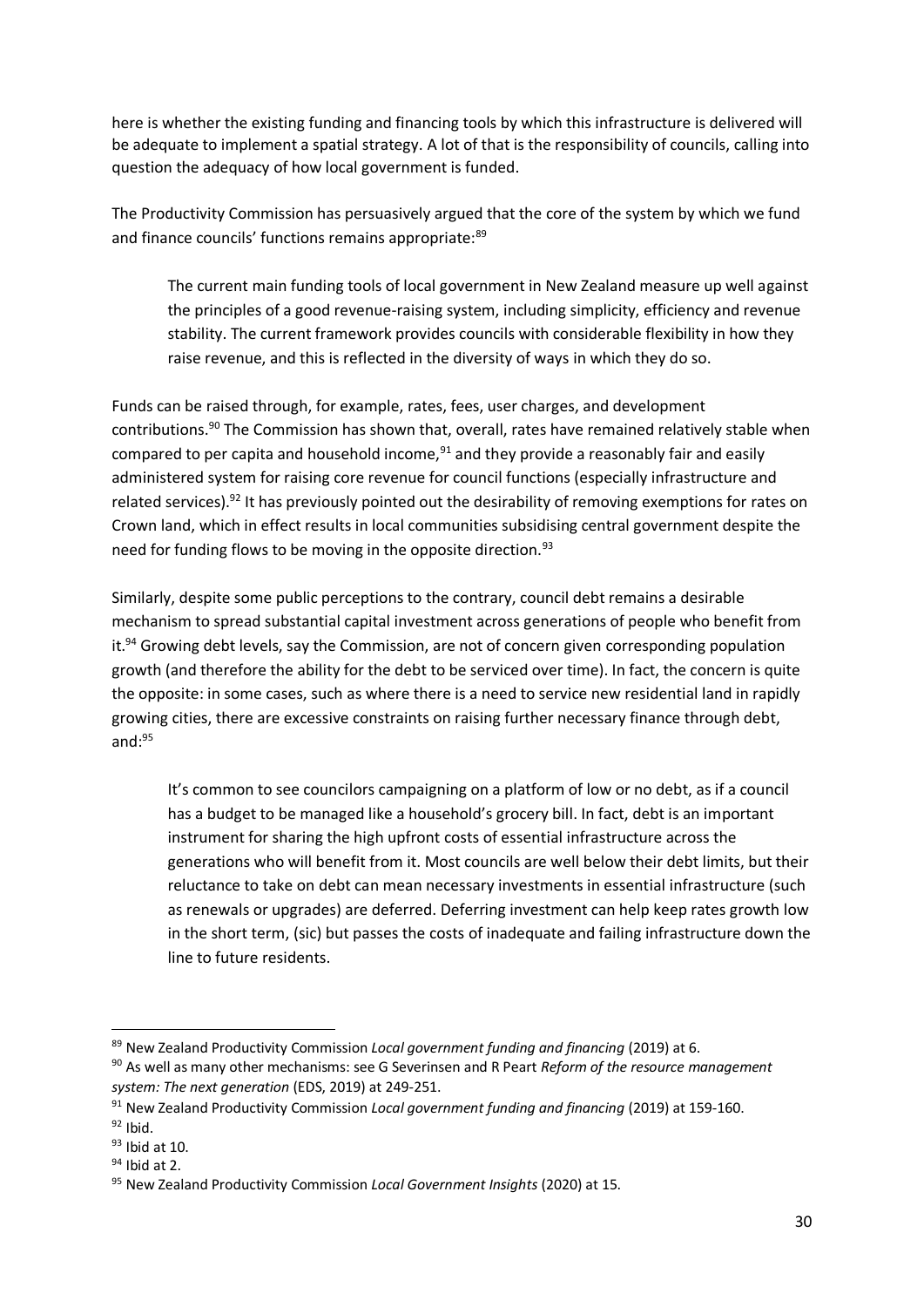here is whether the existing funding and financing tools by which this infrastructure is delivered will be adequate to implement a spatial strategy. A lot of that is the responsibility of councils, calling into question the adequacy of how local government is funded.

The Productivity Commission has persuasively argued that the core of the system by which we fund and finance councils' functions remains appropriate:<sup>89</sup>

The current main funding tools of local government in New Zealand measure up well against the principles of a good revenue-raising system, including simplicity, efficiency and revenue stability. The current framework provides councils with considerable flexibility in how they raise revenue, and this is reflected in the diversity of ways in which they do so.

Funds can be raised through, for example, rates, fees, user charges, and development contributions.<sup>90</sup> The Commission has shown that, overall, rates have remained relatively stable when compared to per capita and household income, $91$  and they provide a reasonably fair and easily administered system for raising core revenue for council functions (especially infrastructure and related services).<sup>92</sup> It has previously pointed out the desirability of removing exemptions for rates on Crown land, which in effect results in local communities subsidising central government despite the need for funding flows to be moving in the opposite direction.<sup>93</sup>

Similarly, despite some public perceptions to the contrary, council debt remains a desirable mechanism to spread substantial capital investment across generations of people who benefit from it.<sup>94</sup> Growing debt levels, say the Commission, are not of concern given corresponding population growth (and therefore the ability for the debt to be serviced over time). In fact, the concern is quite the opposite: in some cases, such as where there is a need to service new residential land in rapidly growing cities, there are excessive constraints on raising further necessary finance through debt, and: $95$ 

It's common to see councilors campaigning on a platform of low or no debt, as if a council has a budget to be managed like a household's grocery bill. In fact, debt is an important instrument for sharing the high upfront costs of essential infrastructure across the generations who will benefit from it. Most councils are well below their debt limits, but their reluctance to take on debt can mean necessary investments in essential infrastructure (such as renewals or upgrades) are deferred. Deferring investment can help keep rates growth low in the short term, (sic) but passes the costs of inadequate and failing infrastructure down the line to future residents.

<sup>89</sup> New Zealand Productivity Commission *Local government funding and financing* (2019) at 6.

<sup>90</sup> As well as many other mechanisms: see G Severinsen and R Peart *Reform of the resource management system: The next generation* (EDS, 2019) at 249-251.

<sup>91</sup> New Zealand Productivity Commission *Local government funding and financing* (2019) at 159-160.

 $92$  Ibid.

 $93$  Ibid at 10.

 $94$  Ibid at 2.

<sup>95</sup> New Zealand Productivity Commission *Local Government Insights* (2020) at 15.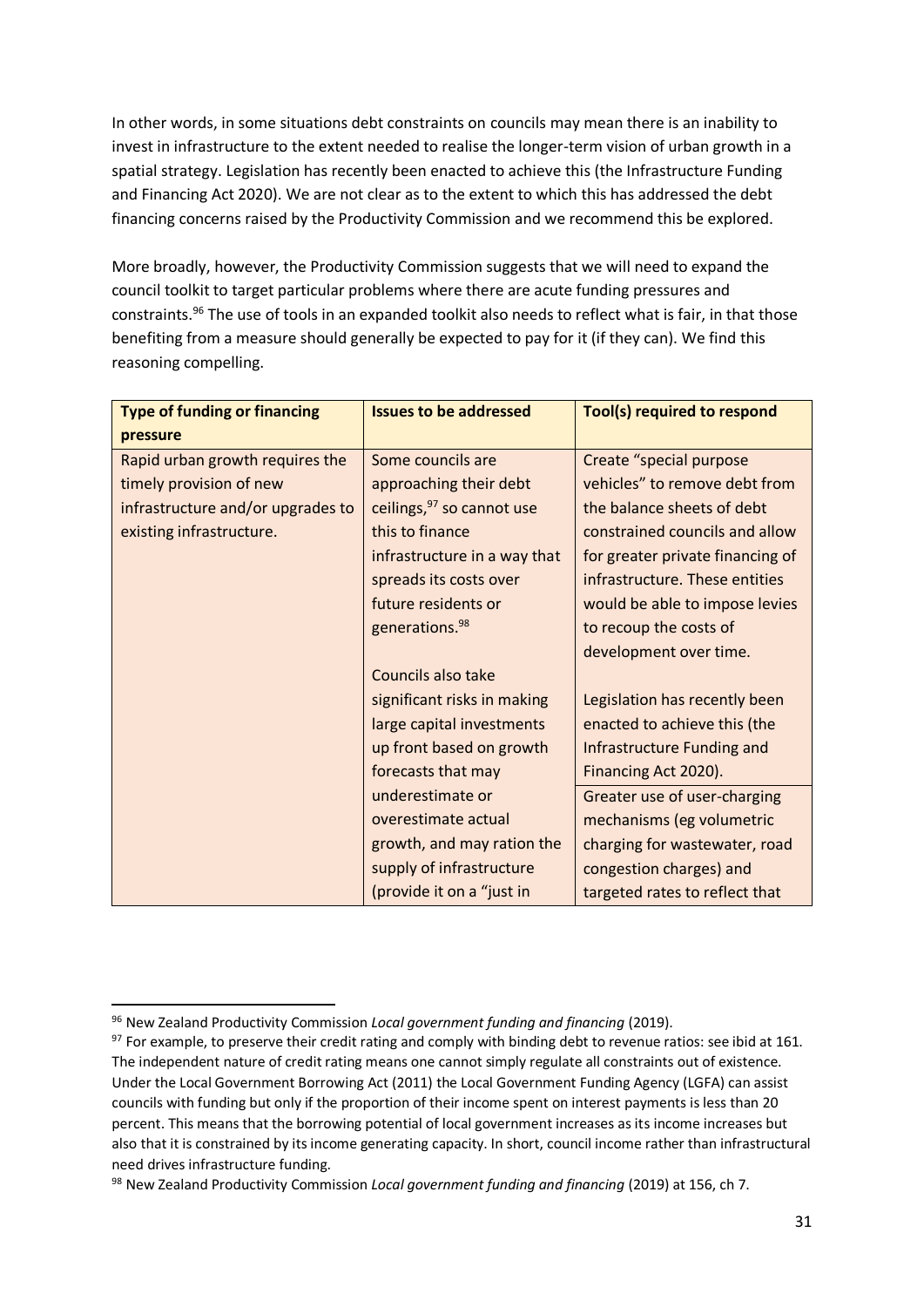In other words, in some situations debt constraints on councils may mean there is an inability to invest in infrastructure to the extent needed to realise the longer-term vision of urban growth in a spatial strategy. Legislation has recently been enacted to achieve this (the Infrastructure Funding and Financing Act 2020). We are not clear as to the extent to which this has addressed the debt financing concerns raised by the Productivity Commission and we recommend this be explored.

More broadly, however, the Productivity Commission suggests that we will need to expand the council toolkit to target particular problems where there are acute funding pressures and constraints.<sup>96</sup> The use of tools in an expanded toolkit also needs to reflect what is fair, in that those benefiting from a measure should generally be expected to pay for it (if they can). We find this reasoning compelling.

| <b>Type of funding or financing</b> | <b>Issues to be addressed</b> | Tool(s) required to respond      |
|-------------------------------------|-------------------------------|----------------------------------|
| pressure                            |                               |                                  |
| Rapid urban growth requires the     | Some councils are             | Create "special purpose          |
| timely provision of new             | approaching their debt        | vehicles" to remove debt from    |
| infrastructure and/or upgrades to   | ceilings, 97 so cannot use    | the balance sheets of debt       |
| existing infrastructure.            | this to finance               | constrained councils and allow   |
|                                     | infrastructure in a way that  | for greater private financing of |
|                                     | spreads its costs over        | infrastructure. These entities   |
|                                     | future residents or           | would be able to impose levies   |
|                                     | generations. <sup>98</sup>    | to recoup the costs of           |
|                                     |                               | development over time.           |
|                                     | Councils also take            |                                  |
|                                     | significant risks in making   | Legislation has recently been    |
|                                     | large capital investments     | enacted to achieve this (the     |
|                                     | up front based on growth      | Infrastructure Funding and       |
|                                     | forecasts that may            | Financing Act 2020).             |
|                                     | underestimate or              | Greater use of user-charging     |
|                                     | overestimate actual           | mechanisms (eg volumetric        |
|                                     | growth, and may ration the    | charging for wastewater, road    |
|                                     | supply of infrastructure      | congestion charges) and          |
|                                     | (provide it on a "just in     | targeted rates to reflect that   |

<sup>96</sup> New Zealand Productivity Commission *Local government funding and financing* (2019).

 $97$  For example, to preserve their credit rating and comply with binding debt to revenue ratios: see ibid at 161. The independent nature of credit rating means one cannot simply regulate all constraints out of existence. Under the Local Government Borrowing Act (2011) the Local Government Funding Agency (LGFA) can assist councils with funding but only if the proportion of their income spent on interest payments is less than 20 percent. This means that the borrowing potential of local government increases as its income increases but also that it is constrained by its income generating capacity. In short, council income rather than infrastructural need drives infrastructure funding.

<sup>98</sup> New Zealand Productivity Commission *Local government funding and financing* (2019) at 156, ch 7.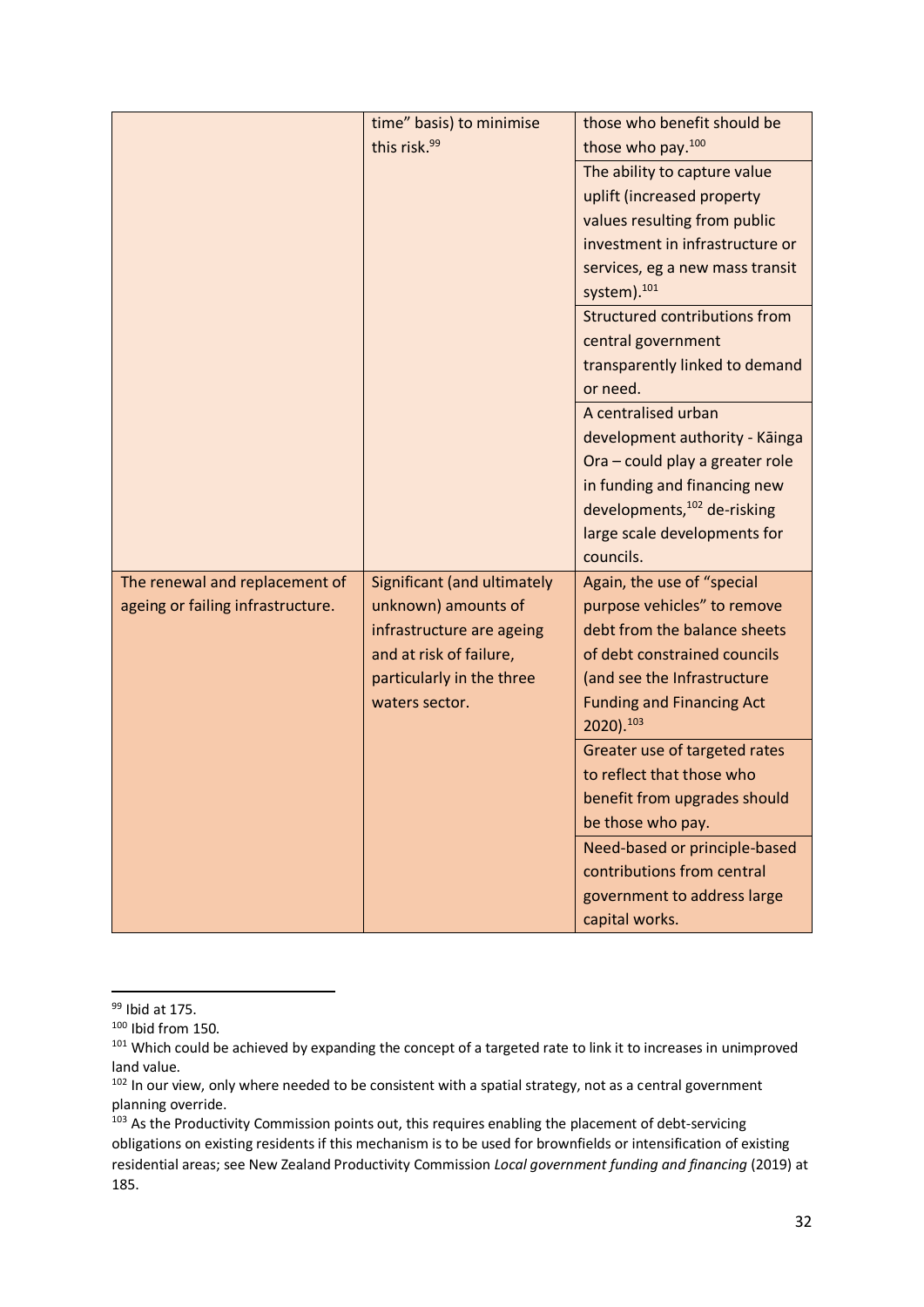|                                   | time" basis) to minimise    | those who benefit should be          |
|-----------------------------------|-----------------------------|--------------------------------------|
|                                   | this risk. <sup>99</sup>    | those who pay. <sup>100</sup>        |
|                                   |                             | The ability to capture value         |
|                                   |                             | uplift (increased property           |
|                                   |                             | values resulting from public         |
|                                   |                             | investment in infrastructure or      |
|                                   |                             | services, eg a new mass transit      |
|                                   |                             | system). <sup>101</sup>              |
|                                   |                             | <b>Structured contributions from</b> |
|                                   |                             | central government                   |
|                                   |                             | transparently linked to demand       |
|                                   |                             | or need.                             |
|                                   |                             | A centralised urban                  |
|                                   |                             | development authority - Kāinga       |
|                                   |                             | Ora - could play a greater role      |
|                                   |                             | in funding and financing new         |
|                                   |                             | developments, 102 de-risking         |
|                                   |                             | large scale developments for         |
|                                   |                             | councils.                            |
| The renewal and replacement of    | Significant (and ultimately | Again, the use of "special           |
| ageing or failing infrastructure. | unknown) amounts of         | purpose vehicles" to remove          |
|                                   | infrastructure are ageing   | debt from the balance sheets         |
|                                   | and at risk of failure,     | of debt constrained councils         |
|                                   | particularly in the three   | (and see the Infrastructure          |
|                                   | waters sector.              | <b>Funding and Financing Act</b>     |
|                                   |                             | 2020). 103                           |
|                                   |                             | Greater use of targeted rates        |
|                                   |                             | to reflect that those who            |
|                                   |                             | benefit from upgrades should         |
|                                   |                             | be those who pay.                    |
|                                   |                             | Need-based or principle-based        |
|                                   |                             | contributions from central           |
|                                   |                             | government to address large          |
|                                   |                             | capital works.                       |

<sup>99</sup> Ibid at 175.

 $100$  Ibid from 150.

<sup>101</sup> Which could be achieved by expanding the concept of a targeted rate to link it to increases in unimproved land value.

<sup>102</sup> In our view, only where needed to be consistent with a spatial strategy, not as a central government planning override.

<sup>&</sup>lt;sup>103</sup> As the Productivity Commission points out, this requires enabling the placement of debt-servicing obligations on existing residents if this mechanism is to be used for brownfields or intensification of existing residential areas; see New Zealand Productivity Commission *Local government funding and financing* (2019) at 185.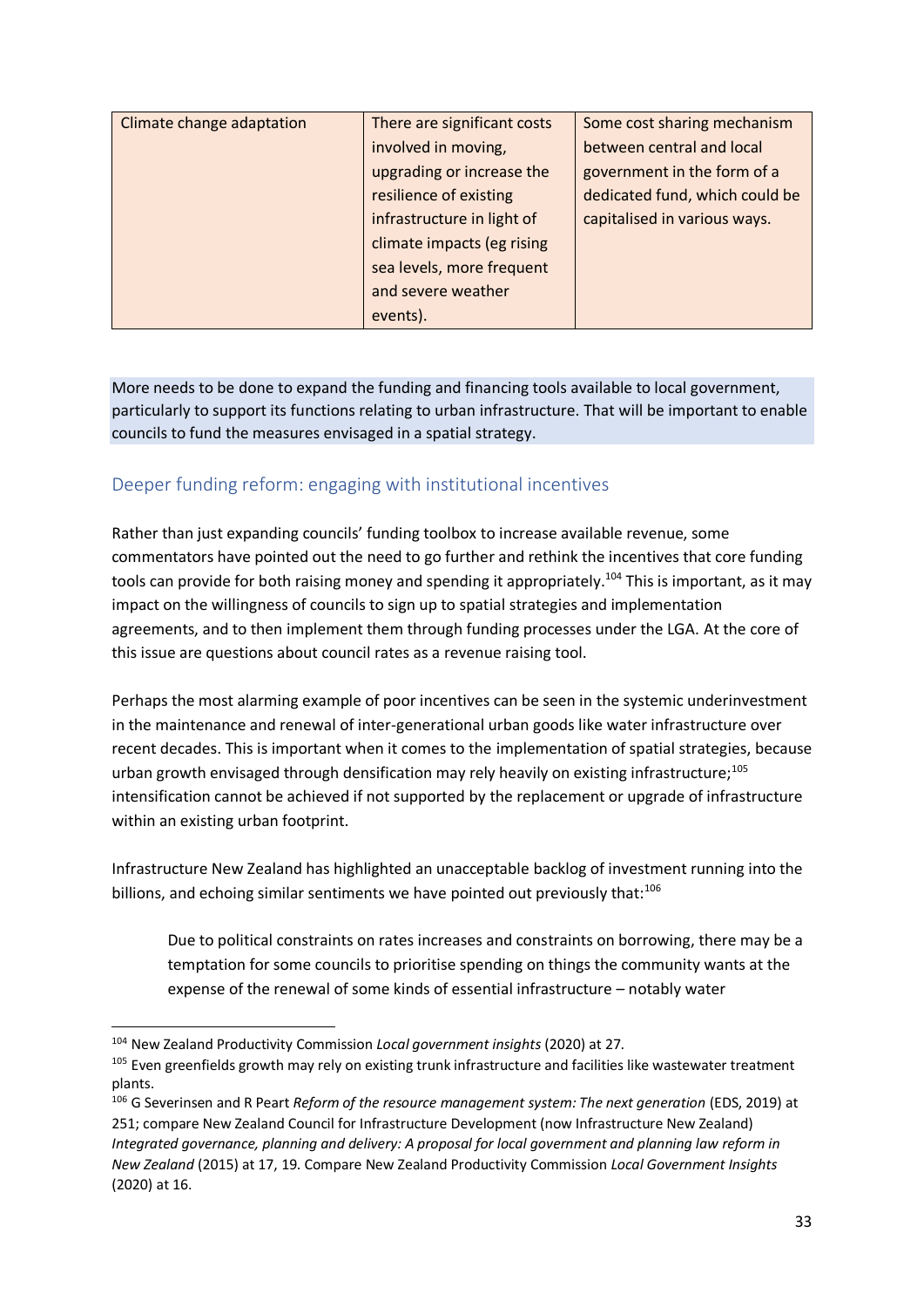| Climate change adaptation | There are significant costs | Some cost sharing mechanism    |
|---------------------------|-----------------------------|--------------------------------|
|                           | involved in moving,         | between central and local      |
|                           | upgrading or increase the   | government in the form of a    |
|                           | resilience of existing      | dedicated fund, which could be |
|                           | infrastructure in light of  | capitalised in various ways.   |
|                           | climate impacts (eg rising  |                                |
|                           | sea levels, more frequent   |                                |
|                           | and severe weather          |                                |
|                           | events).                    |                                |

More needs to be done to expand the funding and financing tools available to local government, particularly to support its functions relating to urban infrastructure. That will be important to enable councils to fund the measures envisaged in a spatial strategy.

### Deeper funding reform: engaging with institutional incentives

Rather than just expanding councils' funding toolbox to increase available revenue, some commentators have pointed out the need to go further and rethink the incentives that core funding tools can provide for both raising money and spending it appropriately.<sup>104</sup> This is important, as it may impact on the willingness of councils to sign up to spatial strategies and implementation agreements, and to then implement them through funding processes under the LGA. At the core of this issue are questions about council rates as a revenue raising tool.

Perhaps the most alarming example of poor incentives can be seen in the systemic underinvestment in the maintenance and renewal of inter-generational urban goods like water infrastructure over recent decades. This is important when it comes to the implementation of spatial strategies, because urban growth envisaged through densification may rely heavily on existing infrastructure;<sup>105</sup> intensification cannot be achieved if not supported by the replacement or upgrade of infrastructure within an existing urban footprint.

Infrastructure New Zealand has highlighted an unacceptable backlog of investment running into the billions, and echoing similar sentiments we have pointed out previously that:<sup>106</sup>

Due to political constraints on rates increases and constraints on borrowing, there may be a temptation for some councils to prioritise spending on things the community wants at the expense of the renewal of some kinds of essential infrastructure – notably water

<sup>104</sup> New Zealand Productivity Commission *Local government insights* (2020) at 27.

<sup>&</sup>lt;sup>105</sup> Even greenfields growth may rely on existing trunk infrastructure and facilities like wastewater treatment plants.

<sup>&</sup>lt;sup>106</sup> G Severinsen and R Peart *Reform of the resource management system: The next generation* (EDS, 2019) at 251; compare New Zealand Council for Infrastructure Development (now Infrastructure New Zealand) *Integrated governance, planning and delivery: A proposal for local government and planning law reform in New Zealand* (2015) at 17, 19. Compare New Zealand Productivity Commission *Local Government Insights*  (2020) at 16.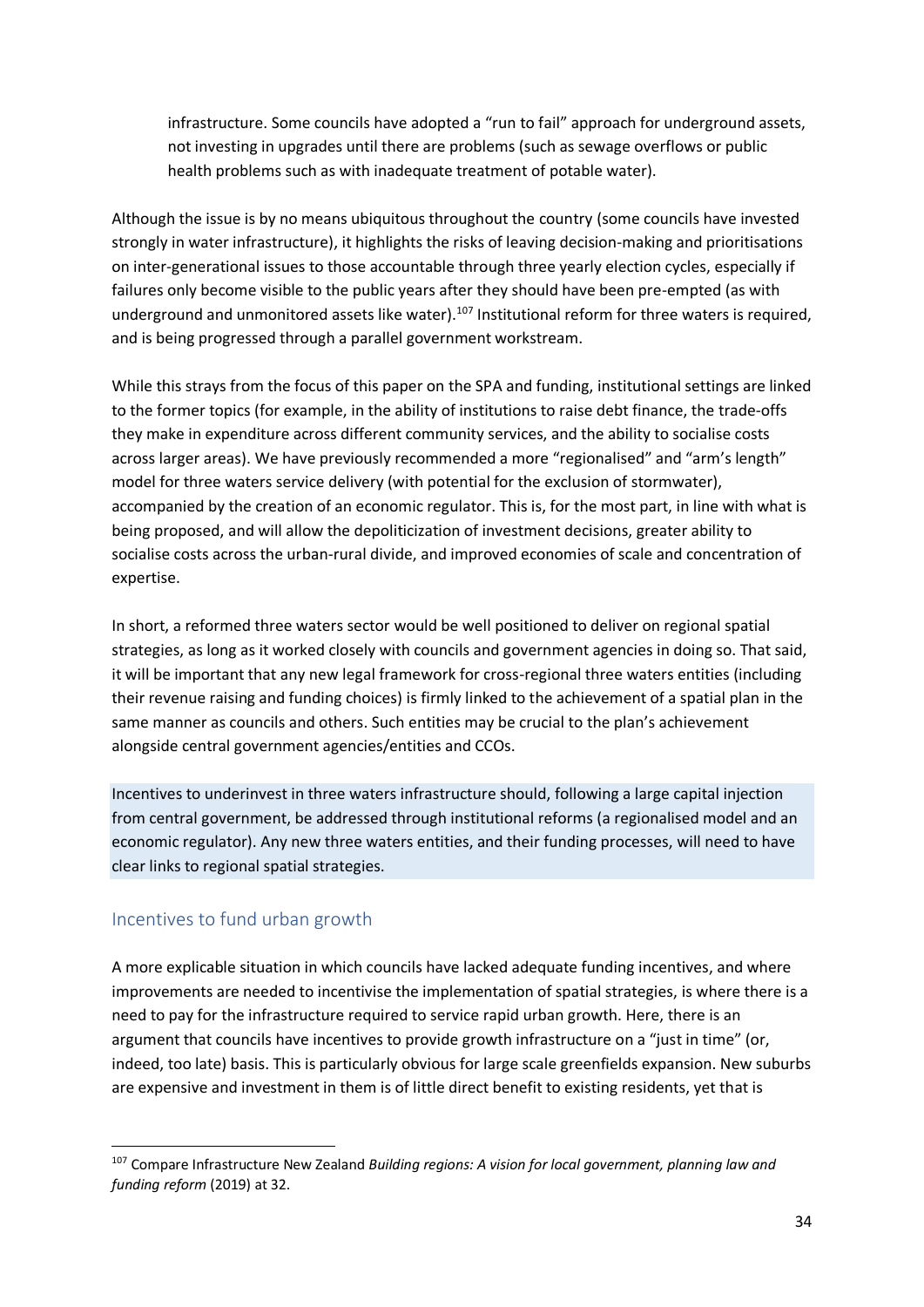infrastructure. Some councils have adopted a "run to fail" approach for underground assets, not investing in upgrades until there are problems (such as sewage overflows or public health problems such as with inadequate treatment of potable water).

Although the issue is by no means ubiquitous throughout the country (some councils have invested strongly in water infrastructure), it highlights the risks of leaving decision-making and prioritisations on inter-generational issues to those accountable through three yearly election cycles, especially if failures only become visible to the public years after they should have been pre-empted (as with underground and unmonitored assets like water).<sup>107</sup> Institutional reform for three waters is required, and is being progressed through a parallel government workstream.

While this strays from the focus of this paper on the SPA and funding, institutional settings are linked to the former topics (for example, in the ability of institutions to raise debt finance, the trade-offs they make in expenditure across different community services, and the ability to socialise costs across larger areas). We have previously recommended a more "regionalised" and "arm's length" model for three waters service delivery (with potential for the exclusion of stormwater), accompanied by the creation of an economic regulator. This is, for the most part, in line with what is being proposed, and will allow the depoliticization of investment decisions, greater ability to socialise costs across the urban-rural divide, and improved economies of scale and concentration of expertise.

In short, a reformed three waters sector would be well positioned to deliver on regional spatial strategies, as long as it worked closely with councils and government agencies in doing so. That said, it will be important that any new legal framework for cross-regional three waters entities (including their revenue raising and funding choices) is firmly linked to the achievement of a spatial plan in the same manner as councils and others. Such entities may be crucial to the plan's achievement alongside central government agencies/entities and CCOs.

Incentives to underinvest in three waters infrastructure should, following a large capital injection from central government, be addressed through institutional reforms (a regionalised model and an economic regulator). Any new three waters entities, and their funding processes, will need to have clear links to regional spatial strategies.

### Incentives to fund urban growth

A more explicable situation in which councils have lacked adequate funding incentives, and where improvements are needed to incentivise the implementation of spatial strategies, is where there is a need to pay for the infrastructure required to service rapid urban growth. Here, there is an argument that councils have incentives to provide growth infrastructure on a "just in time" (or, indeed, too late) basis. This is particularly obvious for large scale greenfields expansion. New suburbs are expensive and investment in them is of little direct benefit to existing residents, yet that is

<sup>107</sup> Compare Infrastructure New Zealand *Building regions: A vision for local government, planning law and funding reform* (2019) at 32.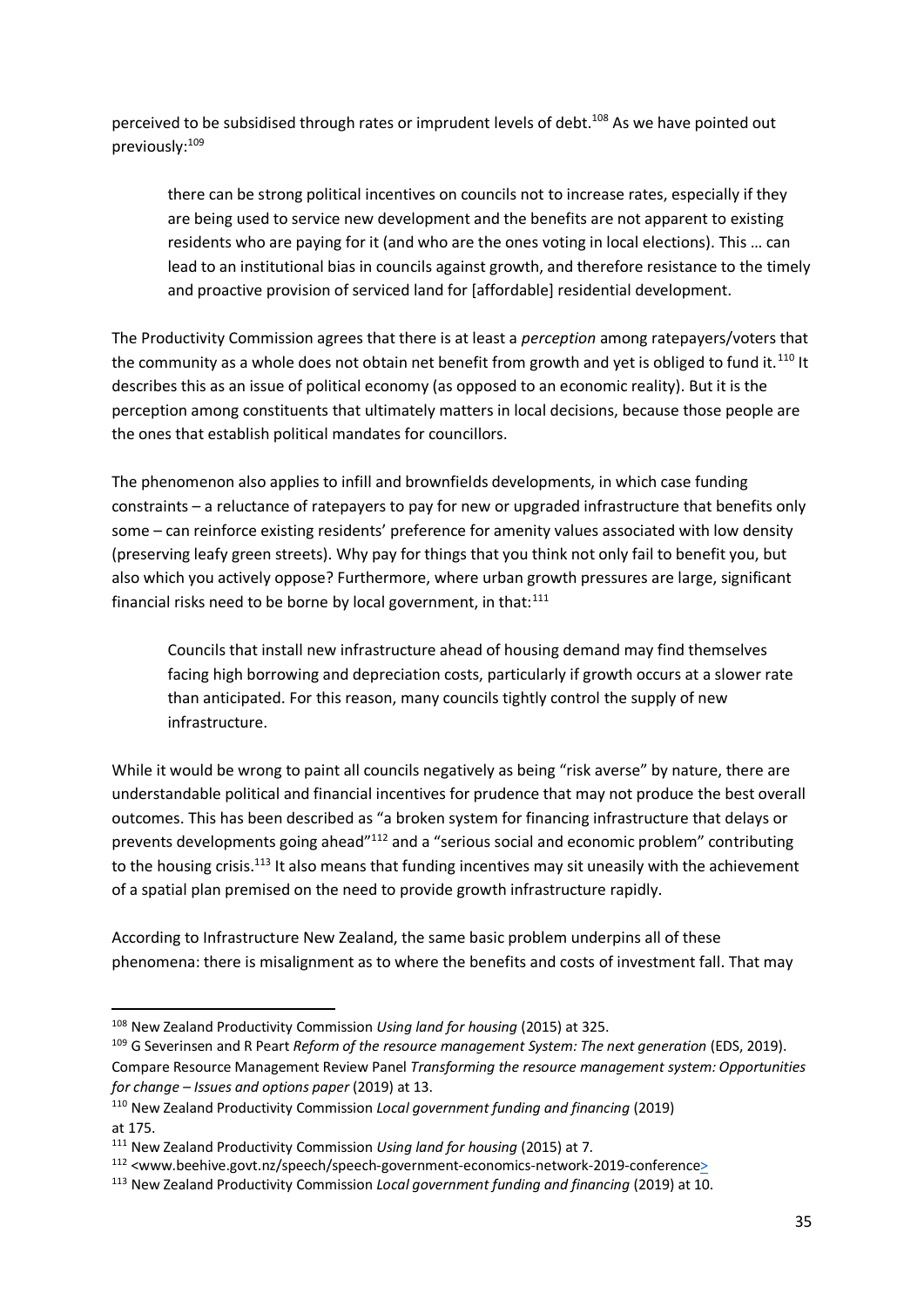perceived to be subsidised through rates or imprudent levels of debt.<sup>108</sup> As we have pointed out previously:<sup>109</sup>

there can be strong political incentives on councils not to increase rates, especially if they are being used to service new development and the benefits are not apparent to existing residents who are paying for it (and who are the ones voting in local elections). This … can lead to an institutional bias in councils against growth, and therefore resistance to the timely and proactive provision of serviced land for [affordable] residential development.

The Productivity Commission agrees that there is at least a *perception* among ratepayers/voters that the community as a whole does not obtain net benefit from growth and yet is obliged to fund it.<sup>110</sup> It describes this as an issue of political economy (as opposed to an economic reality). But it is the perception among constituents that ultimately matters in local decisions, because those people are the ones that establish political mandates for councillors.

The phenomenon also applies to infill and brownfields developments, in which case funding constraints – a reluctance of ratepayers to pay for new or upgraded infrastructure that benefits only some – can reinforce existing residents' preference for amenity values associated with low density (preserving leafy green streets). Why pay for things that you think not only fail to benefit you, but also which you actively oppose? Furthermore, where urban growth pressures are large, significant financial risks need to be borne by local government, in that: $111$ 

Councils that install new infrastructure ahead of housing demand may find themselves facing high borrowing and depreciation costs, particularly if growth occurs at a slower rate than anticipated. For this reason, many councils tightly control the supply of new infrastructure.

While it would be wrong to paint all councils negatively as being "risk averse" by nature, there are understandable political and financial incentives for prudence that may not produce the best overall outcomes. This has been described as "a broken system for financing infrastructure that delays or prevents developments going ahead"<sup>112</sup> and a "serious social and economic problem" contributing to the housing crisis.<sup>113</sup> It also means that funding incentives may sit uneasily with the achievement of a spatial plan premised on the need to provide growth infrastructure rapidly.

According to Infrastructure New Zealand, the same basic problem underpins all of these phenomena: there is misalignment as to where the benefits and costs of investment fall. That may

<sup>108</sup> New Zealand Productivity Commission *Using land for housing* (2015) at 325.

<sup>&</sup>lt;sup>109</sup> G Severinsen and R Peart *Reform of the resource management System: The next generation* (EDS, 2019). Compare Resource Management Review Panel *Transforming the resource management system: Opportunities for change – Issues and options paper* (2019) at 13.

<sup>110</sup> New Zealand Productivity Commission *Local government funding and financing* (2019) at 175.

<sup>111</sup> New Zealand Productivity Commission *Using land for housing* (2015) at 7.

<sup>112 &</sup>lt;www.beehive.govt.nz/speech/speech-government-economics-network-2019-conference>

<sup>113</sup> New Zealand Productivity Commission *Local government funding and financing* (2019) at 10.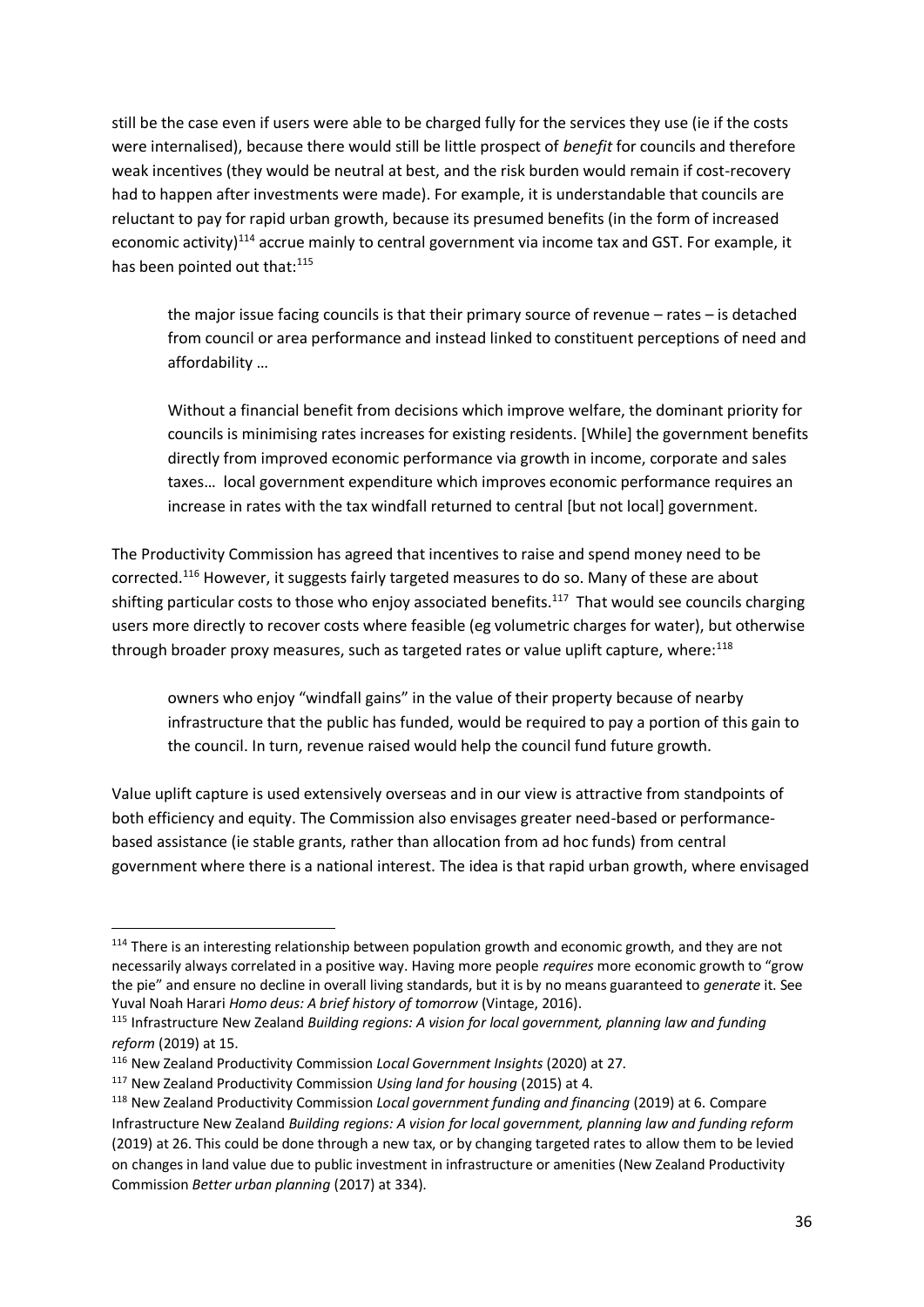still be the case even if users were able to be charged fully for the services they use (ie if the costs were internalised), because there would still be little prospect of *benefit* for councils and therefore weak incentives (they would be neutral at best, and the risk burden would remain if cost-recovery had to happen after investments were made). For example, it is understandable that councils are reluctant to pay for rapid urban growth, because its presumed benefits (in the form of increased economic activity)<sup>114</sup> accrue mainly to central government via income tax and GST. For example, it has been pointed out that:<sup>115</sup>

the major issue facing councils is that their primary source of revenue – rates – is detached from council or area performance and instead linked to constituent perceptions of need and affordability …

Without a financial benefit from decisions which improve welfare, the dominant priority for councils is minimising rates increases for existing residents. [While] the government benefits directly from improved economic performance via growth in income, corporate and sales taxes… local government expenditure which improves economic performance requires an increase in rates with the tax windfall returned to central [but not local] government.

The Productivity Commission has agreed that incentives to raise and spend money need to be corrected.<sup>116</sup> However, it suggests fairly targeted measures to do so. Many of these are about shifting particular costs to those who enjoy associated benefits.<sup>117</sup> That would see councils charging users more directly to recover costs where feasible (eg volumetric charges for water), but otherwise through broader proxy measures, such as targeted rates or value uplift capture, where:<sup>118</sup>

owners who enjoy "windfall gains" in the value of their property because of nearby infrastructure that the public has funded, would be required to pay a portion of this gain to the council. In turn, revenue raised would help the council fund future growth.

Value uplift capture is used extensively overseas and in our view is attractive from standpoints of both efficiency and equity. The Commission also envisages greater need-based or performancebased assistance (ie stable grants, rather than allocation from ad hoc funds) from central government where there is a national interest. The idea is that rapid urban growth, where envisaged

<sup>&</sup>lt;sup>114</sup> There is an interesting relationship between population growth and economic growth, and they are not necessarily always correlated in a positive way. Having more people *requires* more economic growth to "grow the pie" and ensure no decline in overall living standards, but it is by no means guaranteed to *generate* it. See Yuval Noah Harari *Homo deus: A brief history of tomorrow* (Vintage, 2016).

<sup>115</sup> Infrastructure New Zealand *Building regions: A vision for local government, planning law and funding reform* (2019) at 15.

<sup>116</sup> New Zealand Productivity Commission *Local Government Insights* (2020) at 27.

<sup>117</sup> New Zealand Productivity Commission *Using land for housing* (2015) at 4.

<sup>118</sup> New Zealand Productivity Commission *Local government funding and financing* (2019) at 6. Compare Infrastructure New Zealand *Building regions: A vision for local government, planning law and funding reform* (2019) at 26. This could be done through a new tax, or by changing targeted rates to allow them to be levied on changes in land value due to public investment in infrastructure or amenities (New Zealand Productivity Commission *Better urban planning* (2017) at 334).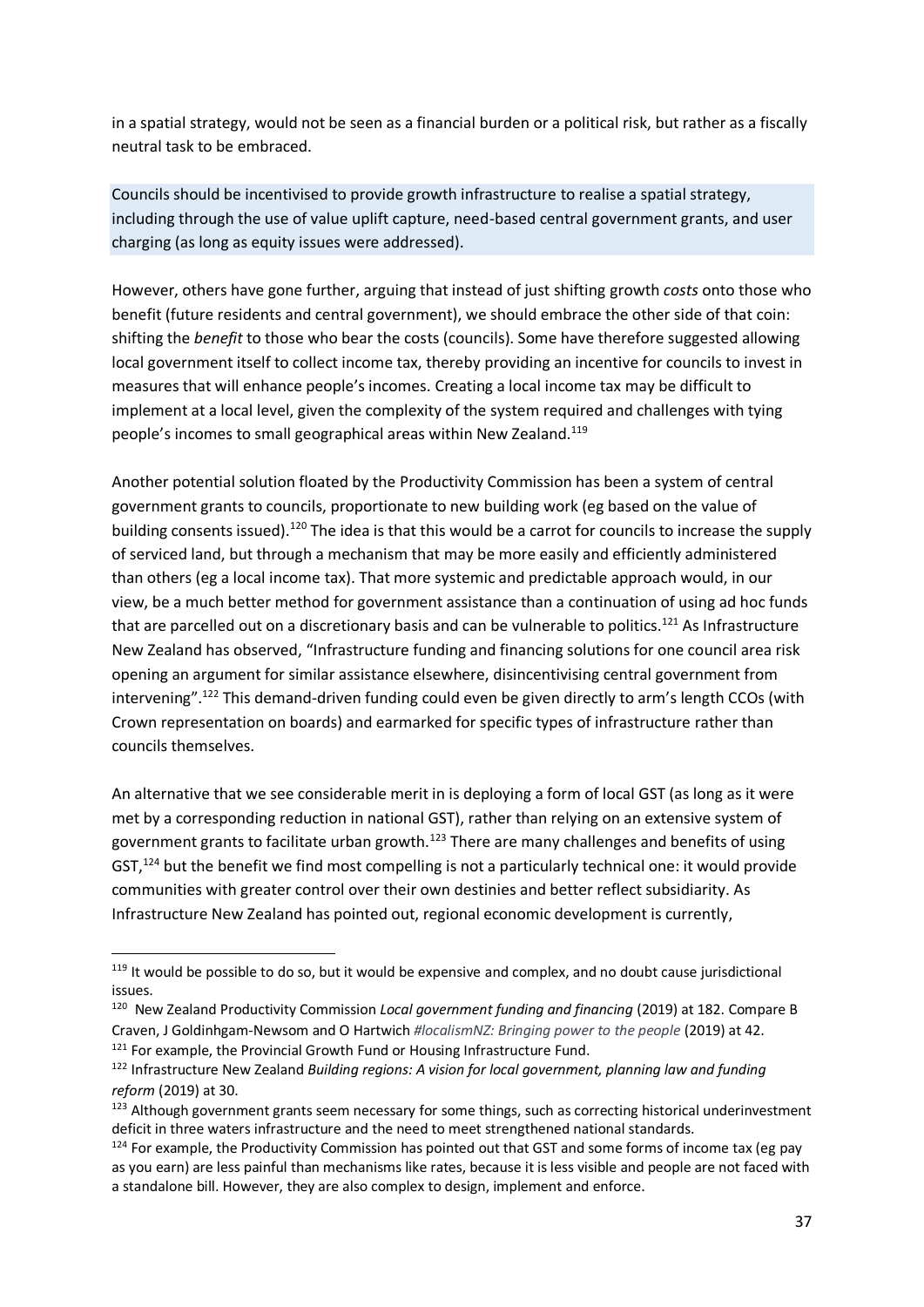in a spatial strategy, would not be seen as a financial burden or a political risk, but rather as a fiscally neutral task to be embraced.

Councils should be incentivised to provide growth infrastructure to realise a spatial strategy, including through the use of value uplift capture, need-based central government grants, and user charging (as long as equity issues were addressed).

However, others have gone further, arguing that instead of just shifting growth *costs* onto those who benefit (future residents and central government), we should embrace the other side of that coin: shifting the *benefit* to those who bear the costs (councils). Some have therefore suggested allowing local government itself to collect income tax, thereby providing an incentive for councils to invest in measures that will enhance people's incomes. Creating a local income tax may be difficult to implement at a local level, given the complexity of the system required and challenges with tying people's incomes to small geographical areas within New Zealand.<sup>119</sup>

Another potential solution floated by the Productivity Commission has been a system of central government grants to councils, proportionate to new building work (eg based on the value of building consents issued).<sup>120</sup> The idea is that this would be a carrot for councils to increase the supply of serviced land, but through a mechanism that may be more easily and efficiently administered than others (eg a local income tax). That more systemic and predictable approach would, in our view, be a much better method for government assistance than a continuation of using ad hoc funds that are parcelled out on a discretionary basis and can be vulnerable to politics.<sup>121</sup> As Infrastructure New Zealand has observed, "Infrastructure funding and financing solutions for one council area risk opening an argument for similar assistance elsewhere, disincentivising central government from intervening".<sup>122</sup> This demand-driven funding could even be given directly to arm's length CCOs (with Crown representation on boards) and earmarked for specific types of infrastructure rather than councils themselves.

An alternative that we see considerable merit in is deploying a form of local GST (as long as it were met by a corresponding reduction in national GST), rather than relying on an extensive system of government grants to facilitate urban growth.<sup>123</sup> There are many challenges and benefits of using GST,  $124$  but the benefit we find most compelling is not a particularly technical one: it would provide communities with greater control over their own destinies and better reflect subsidiarity. As Infrastructure New Zealand has pointed out, regional economic development is currently,

<sup>&</sup>lt;sup>119</sup> It would be possible to do so, but it would be expensive and complex, and no doubt cause jurisdictional issues.

<sup>120</sup> New Zealand Productivity Commission *Local government funding and financing* (2019) at 182. Compare B Craven, J Goldinhgam-Newsom and O Hartwich *#localismNZ: Bringing power to the people* (2019) at 42. <sup>121</sup> For example, the Provincial Growth Fund or Housing Infrastructure Fund.

<sup>122</sup> Infrastructure New Zealand *Building regions: A vision for local government, planning law and funding reform* (2019) at 30.

<sup>&</sup>lt;sup>123</sup> Although government grants seem necessary for some things, such as correcting historical underinvestment deficit in three waters infrastructure and the need to meet strengthened national standards.

 $124$  For example, the Productivity Commission has pointed out that GST and some forms of income tax (eg pay as you earn) are less painful than mechanisms like rates, because it is less visible and people are not faced with a standalone bill. However, they are also complex to design, implement and enforce.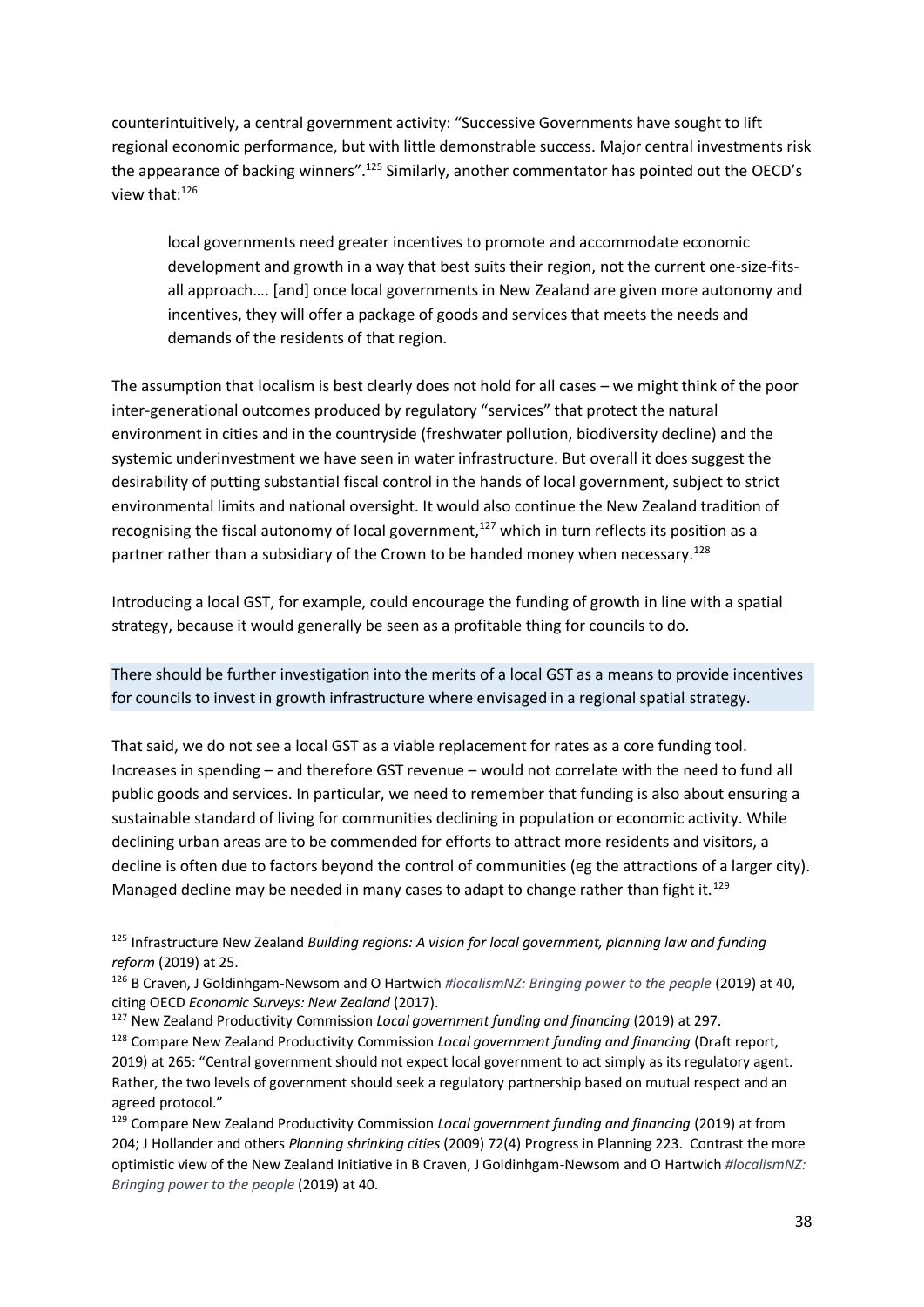counterintuitively, a central government activity: "Successive Governments have sought to lift regional economic performance, but with little demonstrable success. Major central investments risk the appearance of backing winners".<sup>125</sup> Similarly, another commentator has pointed out the OECD's view that:<sup>126</sup>

local governments need greater incentives to promote and accommodate economic development and growth in a way that best suits their region, not the current one-size-fitsall approach…. [and] once local governments in New Zealand are given more autonomy and incentives, they will offer a package of goods and services that meets the needs and demands of the residents of that region.

The assumption that localism is best clearly does not hold for all cases – we might think of the poor inter-generational outcomes produced by regulatory "services" that protect the natural environment in cities and in the countryside (freshwater pollution, biodiversity decline) and the systemic underinvestment we have seen in water infrastructure. But overall it does suggest the desirability of putting substantial fiscal control in the hands of local government, subject to strict environmental limits and national oversight. It would also continue the New Zealand tradition of recognising the fiscal autonomy of local government, $127$  which in turn reflects its position as a partner rather than a subsidiary of the Crown to be handed money when necessary.<sup>128</sup>

Introducing a local GST, for example, could encourage the funding of growth in line with a spatial strategy, because it would generally be seen as a profitable thing for councils to do.

There should be further investigation into the merits of a local GST as a means to provide incentives for councils to invest in growth infrastructure where envisaged in a regional spatial strategy.

That said, we do not see a local GST as a viable replacement for rates as a core funding tool. Increases in spending – and therefore GST revenue – would not correlate with the need to fund all public goods and services. In particular, we need to remember that funding is also about ensuring a sustainable standard of living for communities declining in population or economic activity. While declining urban areas are to be commended for efforts to attract more residents and visitors, a decline is often due to factors beyond the control of communities (eg the attractions of a larger city). Managed decline may be needed in many cases to adapt to change rather than fight it.<sup>129</sup>

<sup>125</sup> Infrastructure New Zealand *Building regions: A vision for local government, planning law and funding reform* (2019) at 25.

<sup>126</sup> B Craven, J Goldinhgam-Newsom and O Hartwich *#localismNZ: Bringing power to the people* (2019) at 40, citing OECD *Economic Surveys: New Zealand* (2017).

<sup>127</sup> New Zealand Productivity Commission *Local government funding and financing* (2019) at 297.

<sup>128</sup> Compare New Zealand Productivity Commission *Local government funding and financing* (Draft report, 2019) at 265: "Central government should not expect local government to act simply as its regulatory agent. Rather, the two levels of government should seek a regulatory partnership based on mutual respect and an agreed protocol."

<sup>129</sup> Compare New Zealand Productivity Commission *Local government funding and financing* (2019) at from 204; J Hollander and others *Planning shrinking cities* (2009) 72(4) Progress in Planning 223. Contrast the more optimistic view of the New Zealand Initiative in B Craven, J Goldinhgam-Newsom and O Hartwich *#localismNZ: Bringing power to the people* (2019) at 40.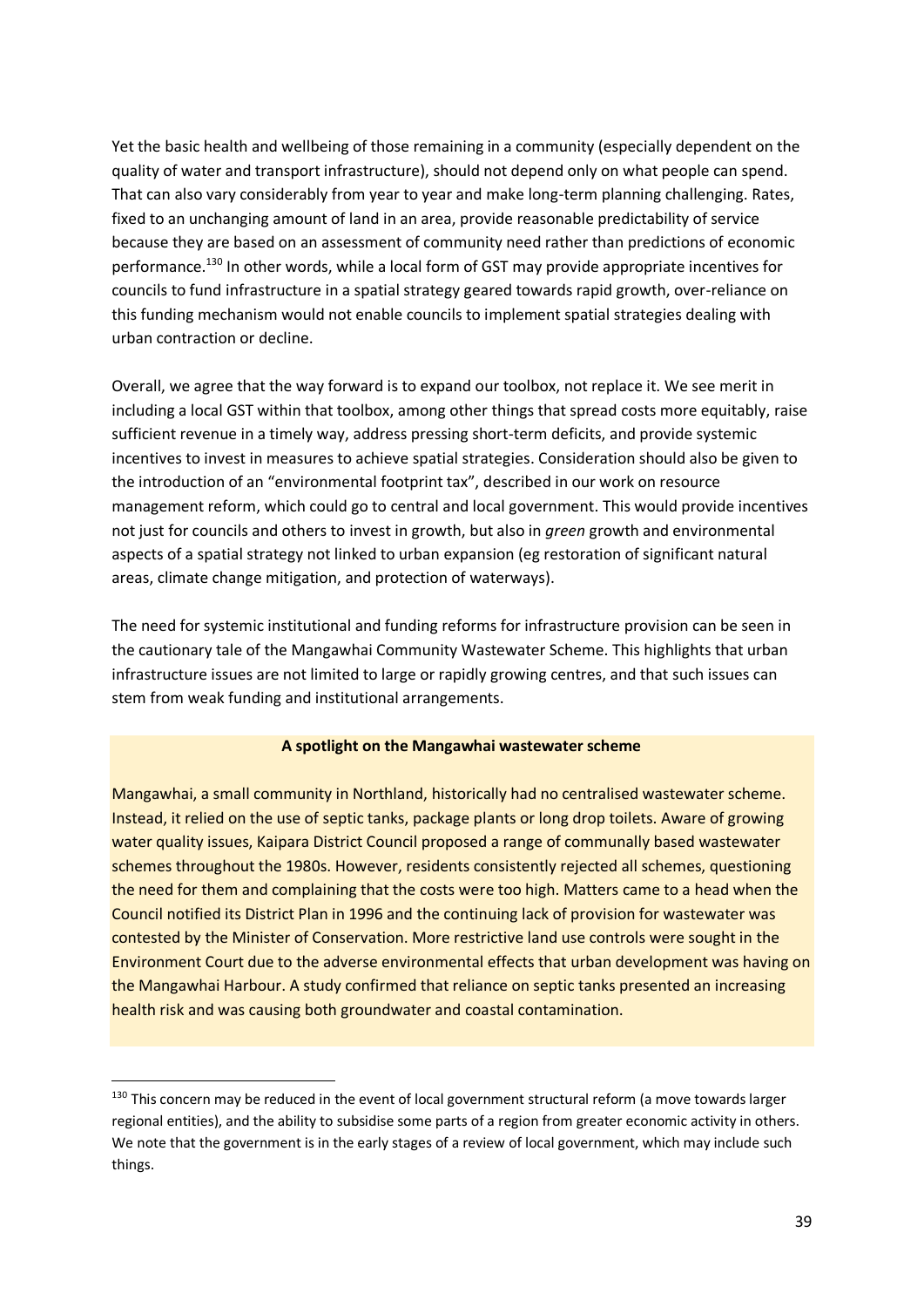Yet the basic health and wellbeing of those remaining in a community (especially dependent on the quality of water and transport infrastructure), should not depend only on what people can spend. That can also vary considerably from year to year and make long-term planning challenging. Rates, fixed to an unchanging amount of land in an area, provide reasonable predictability of service because they are based on an assessment of community need rather than predictions of economic performance.<sup>130</sup> In other words, while a local form of GST may provide appropriate incentives for councils to fund infrastructure in a spatial strategy geared towards rapid growth, over-reliance on this funding mechanism would not enable councils to implement spatial strategies dealing with urban contraction or decline.

Overall, we agree that the way forward is to expand our toolbox, not replace it. We see merit in including a local GST within that toolbox, among other things that spread costs more equitably, raise sufficient revenue in a timely way, address pressing short-term deficits, and provide systemic incentives to invest in measures to achieve spatial strategies. Consideration should also be given to the introduction of an "environmental footprint tax", described in our work on resource management reform, which could go to central and local government. This would provide incentives not just for councils and others to invest in growth, but also in *green* growth and environmental aspects of a spatial strategy not linked to urban expansion (eg restoration of significant natural areas, climate change mitigation, and protection of waterways).

The need for systemic institutional and funding reforms for infrastructure provision can be seen in the cautionary tale of the Mangawhai Community Wastewater Scheme. This highlights that urban infrastructure issues are not limited to large or rapidly growing centres, and that such issues can stem from weak funding and institutional arrangements.

#### **A spotlight on the Mangawhai wastewater scheme**

Mangawhai, a small community in Northland, historically had no centralised wastewater scheme. Instead, it relied on the use of septic tanks, package plants or long drop toilets. Aware of growing water quality issues, Kaipara District Council proposed a range of communally based wastewater schemes throughout the 1980s. However, residents consistently rejected all schemes, questioning the need for them and complaining that the costs were too high. Matters came to a head when the Council notified its District Plan in 1996 and the continuing lack of provision for wastewater was contested by the Minister of Conservation. More restrictive land use controls were sought in the Environment Court due to the adverse environmental effects that urban development was having on the Mangawhai Harbour. A study confirmed that reliance on septic tanks presented an increasing health risk and was causing both groundwater and coastal contamination.

<sup>130</sup> This concern may be reduced in the event of local government structural reform (a move towards larger regional entities), and the ability to subsidise some parts of a region from greater economic activity in others. We note that the government is in the early stages of a review of local government, which may include such things.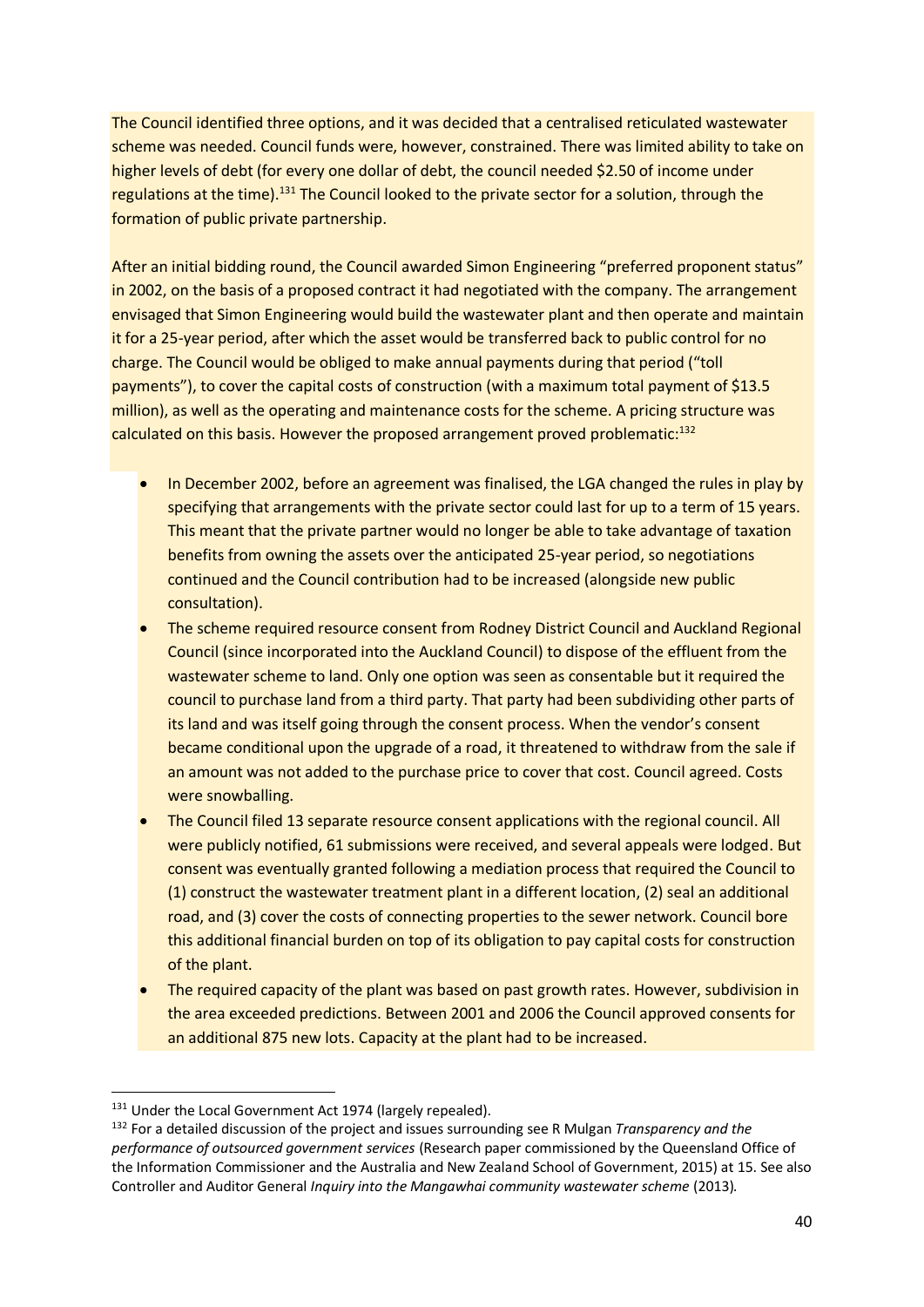The Council identified three options, and it was decided that a centralised reticulated wastewater scheme was needed. Council funds were, however, constrained. There was limited ability to take on higher levels of debt (for every one dollar of debt, the council needed \$2.50 of income under regulations at the time).<sup>131</sup> The Council looked to the private sector for a solution, through the formation of public private partnership.

After an initial bidding round, the Council awarded Simon Engineering "preferred proponent status" in 2002, on the basis of a proposed contract it had negotiated with the company. The arrangement envisaged that Simon Engineering would build the wastewater plant and then operate and maintain it for a 25-year period, after which the asset would be transferred back to public control for no charge. The Council would be obliged to make annual payments during that period ("toll payments"), to cover the capital costs of construction (with a maximum total payment of \$13.5 million), as well as the operating and maintenance costs for the scheme. A pricing structure was calculated on this basis. However the proposed arrangement proved problematic: $132$ 

- In December 2002, before an agreement was finalised, the LGA changed the rules in play by specifying that arrangements with the private sector could last for up to a term of 15 years. This meant that the private partner would no longer be able to take advantage of taxation benefits from owning the assets over the anticipated 25-year period, so negotiations continued and the Council contribution had to be increased (alongside new public consultation).
- The scheme required resource consent from Rodney District Council and Auckland Regional Council (since incorporated into the Auckland Council) to dispose of the effluent from the wastewater scheme to land. Only one option was seen as consentable but it required the council to purchase land from a third party. That party had been subdividing other parts of its land and was itself going through the consent process. When the vendor's consent became conditional upon the upgrade of a road, it threatened to withdraw from the sale if an amount was not added to the purchase price to cover that cost. Council agreed. Costs were snowballing.
- The Council filed 13 separate resource consent applications with the regional council. All were publicly notified, 61 submissions were received, and several appeals were lodged. But consent was eventually granted following a mediation process that required the Council to (1) construct the wastewater treatment plant in a different location, (2) seal an additional road, and (3) cover the costs of connecting properties to the sewer network. Council bore this additional financial burden on top of its obligation to pay capital costs for construction of the plant.
- The required capacity of the plant was based on past growth rates. However, subdivision in the area exceeded predictions. Between 2001 and 2006 the Council approved consents for an additional 875 new lots. Capacity at the plant had to be increased.

<sup>&</sup>lt;sup>131</sup> Under the Local Government Act 1974 (largely repealed).

<sup>132</sup> For a detailed discussion of the project and issues surrounding see R Mulgan *Transparency and the performance of outsourced government services* (Research paper commissioned by the Queensland Office of the Information Commissioner and the Australia and New Zealand School of Government, 2015) at 15. See also Controller and Auditor General *Inquiry into the Mangawhai community wastewater scheme* (2013)*.*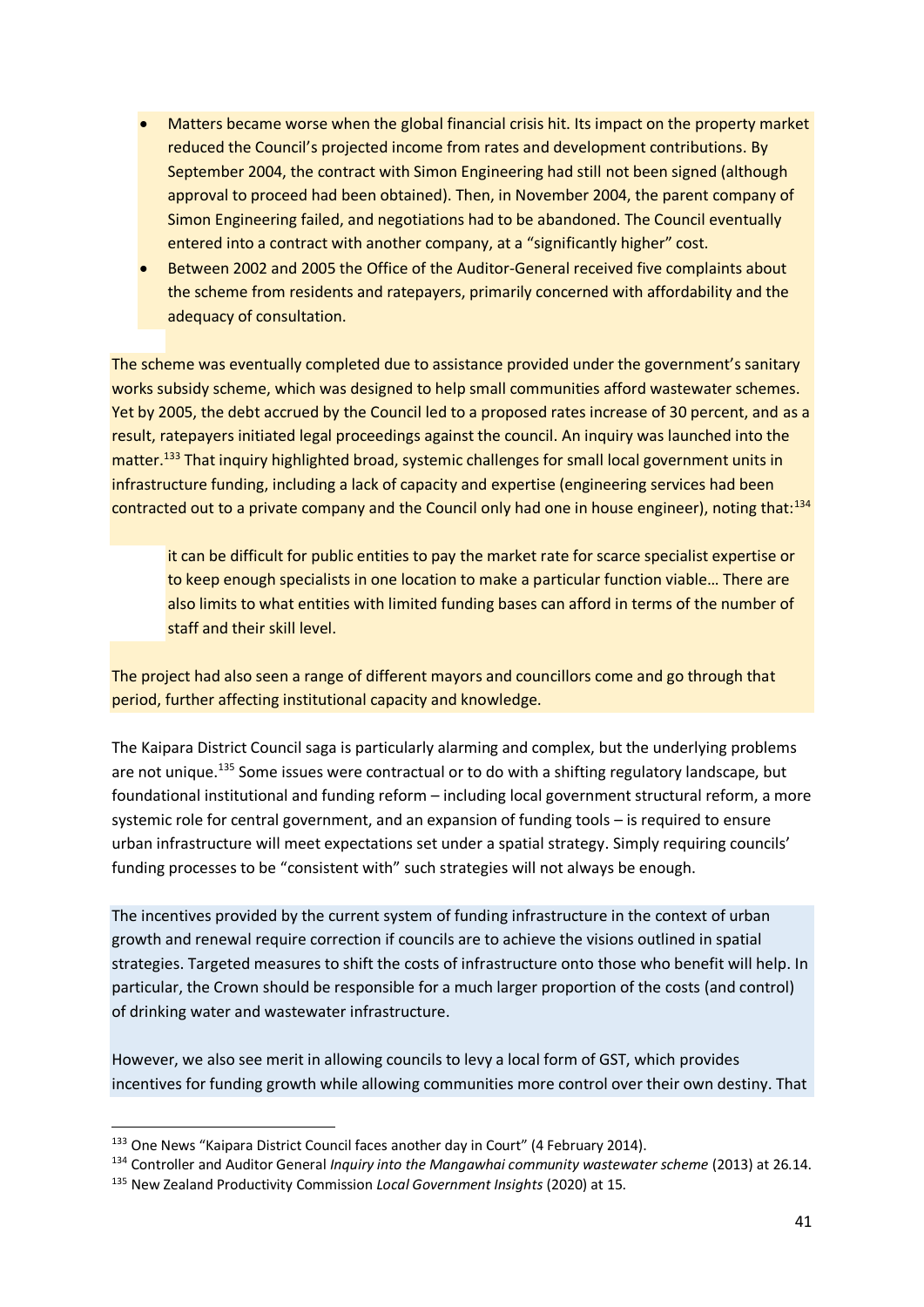- Matters became worse when the global financial crisis hit. Its impact on the property market reduced the Council's projected income from rates and development contributions. By September 2004, the contract with Simon Engineering had still not been signed (although approval to proceed had been obtained). Then, in November 2004, the parent company of Simon Engineering failed, and negotiations had to be abandoned. The Council eventually entered into a contract with another company, at a "significantly higher" cost.
- Between 2002 and 2005 the Office of the Auditor-General received five complaints about the scheme from residents and ratepayers, primarily concerned with affordability and the adequacy of consultation.

The scheme was eventually completed due to assistance provided under the government's sanitary works subsidy scheme, which was designed to help small communities afford wastewater schemes. Yet by 2005, the debt accrued by the Council led to a proposed rates increase of 30 percent, and as a result, ratepayers initiated legal proceedings against the council. An inquiry was launched into the matter.<sup>133</sup> That inquiry highlighted broad, systemic challenges for small local government units in infrastructure funding, including a lack of capacity and expertise (engineering services had been contracted out to a private company and the Council only had one in house engineer), noting that:<sup>134</sup>

it can be difficult for public entities to pay the market rate for scarce specialist expertise or to keep enough specialists in one location to make a particular function viable… There are also limits to what entities with limited funding bases can afford in terms of the number of staff and their skill level.

The project had also seen a range of different mayors and councillors come and go through that period, further affecting institutional capacity and knowledge.

The Kaipara District Council saga is particularly alarming and complex, but the underlying problems are not unique.<sup>135</sup> Some issues were contractual or to do with a shifting regulatory landscape, but foundational institutional and funding reform – including local government structural reform, a more systemic role for central government, and an expansion of funding tools – is required to ensure urban infrastructure will meet expectations set under a spatial strategy. Simply requiring councils' funding processes to be "consistent with" such strategies will not always be enough.

The incentives provided by the current system of funding infrastructure in the context of urban growth and renewal require correction if councils are to achieve the visions outlined in spatial strategies. Targeted measures to shift the costs of infrastructure onto those who benefit will help. In particular, the Crown should be responsible for a much larger proportion of the costs (and control) of drinking water and wastewater infrastructure.

However, we also see merit in allowing councils to levy a local form of GST, which provides incentives for funding growth while allowing communities more control over their own destiny. That

<sup>&</sup>lt;sup>133</sup> One News "Kaipara District Council faces another day in Court" (4 February 2014).

<sup>&</sup>lt;sup>134</sup> Controller and Auditor General *Inquiry into the Mangawhai community wastewater scheme* (2013) at 26.14.

<sup>135</sup> New Zealand Productivity Commission *Local Government Insights* (2020) at 15.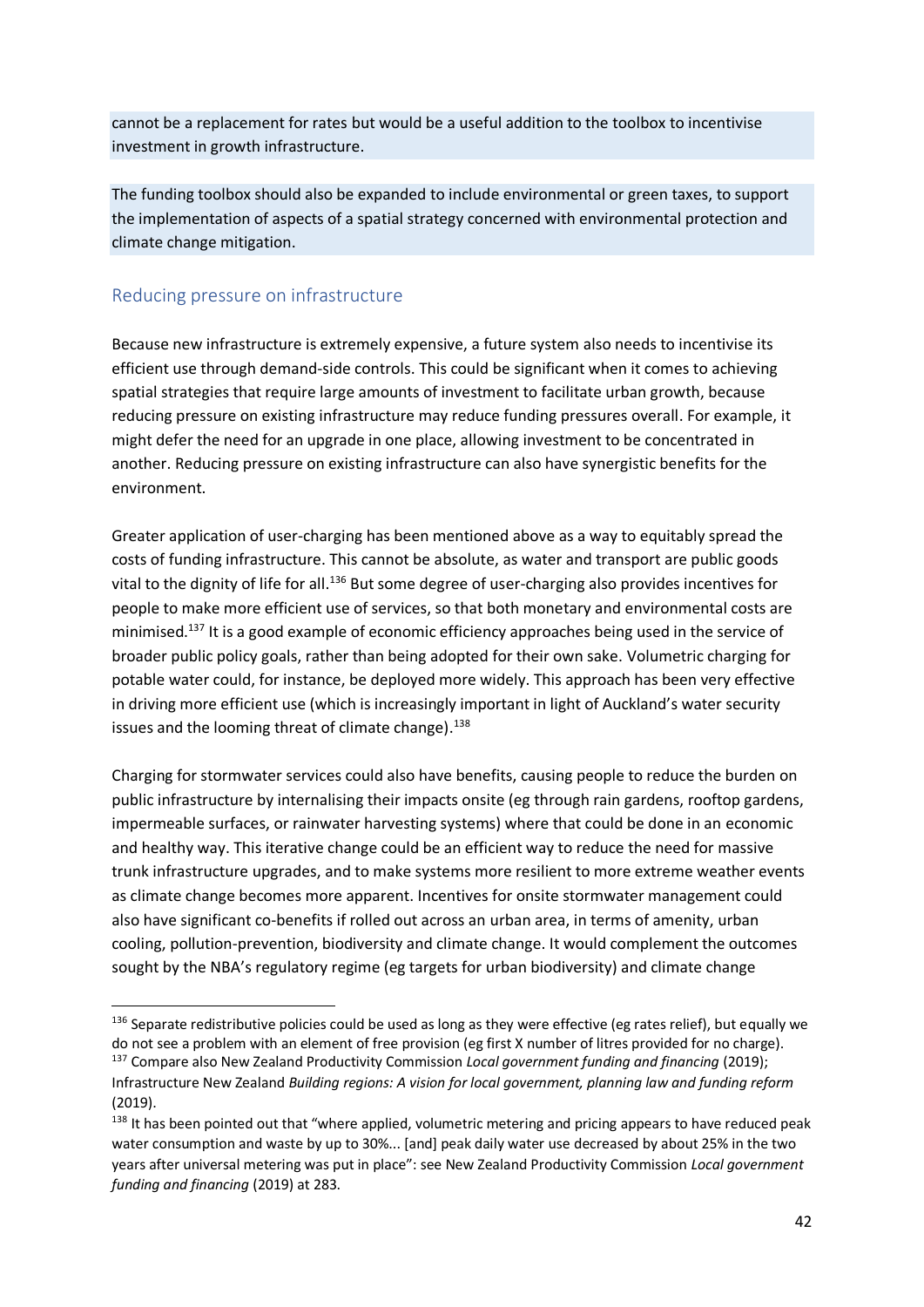cannot be a replacement for rates but would be a useful addition to the toolbox to incentivise investment in growth infrastructure.

The funding toolbox should also be expanded to include environmental or green taxes, to support the implementation of aspects of a spatial strategy concerned with environmental protection and climate change mitigation.

#### Reducing pressure on infrastructure

Because new infrastructure is extremely expensive, a future system also needs to incentivise its efficient use through demand-side controls. This could be significant when it comes to achieving spatial strategies that require large amounts of investment to facilitate urban growth, because reducing pressure on existing infrastructure may reduce funding pressures overall. For example, it might defer the need for an upgrade in one place, allowing investment to be concentrated in another. Reducing pressure on existing infrastructure can also have synergistic benefits for the environment.

Greater application of user-charging has been mentioned above as a way to equitably spread the costs of funding infrastructure. This cannot be absolute, as water and transport are public goods vital to the dignity of life for all.<sup>136</sup> But some degree of user-charging also provides incentives for people to make more efficient use of services, so that both monetary and environmental costs are minimised.<sup>137</sup> It is a good example of economic efficiency approaches being used in the service of broader public policy goals, rather than being adopted for their own sake. Volumetric charging for potable water could, for instance, be deployed more widely. This approach has been very effective in driving more efficient use (which is increasingly important in light of Auckland's water security issues and the looming threat of climate change).<sup>138</sup>

Charging for stormwater services could also have benefits, causing people to reduce the burden on public infrastructure by internalising their impacts onsite (eg through rain gardens, rooftop gardens, impermeable surfaces, or rainwater harvesting systems) where that could be done in an economic and healthy way. This iterative change could be an efficient way to reduce the need for massive trunk infrastructure upgrades, and to make systems more resilient to more extreme weather events as climate change becomes more apparent. Incentives for onsite stormwater management could also have significant co-benefits if rolled out across an urban area, in terms of amenity, urban cooling, pollution-prevention, biodiversity and climate change. It would complement the outcomes sought by the NBA's regulatory regime (eg targets for urban biodiversity) and climate change

 $136$  Separate redistributive policies could be used as long as they were effective (eg rates relief), but equally we do not see a problem with an element of free provision (eg first X number of litres provided for no charge).

<sup>137</sup> Compare also New Zealand Productivity Commission *Local government funding and financing* (2019); Infrastructure New Zealand *Building regions: A vision for local government, planning law and funding reform* (2019).

<sup>&</sup>lt;sup>138</sup> It has been pointed out that "where applied, volumetric metering and pricing appears to have reduced peak water consumption and waste by up to 30%... [and] peak daily water use decreased by about 25% in the two years after universal metering was put in place": see New Zealand Productivity Commission *Local government funding and financing* (2019) at 283.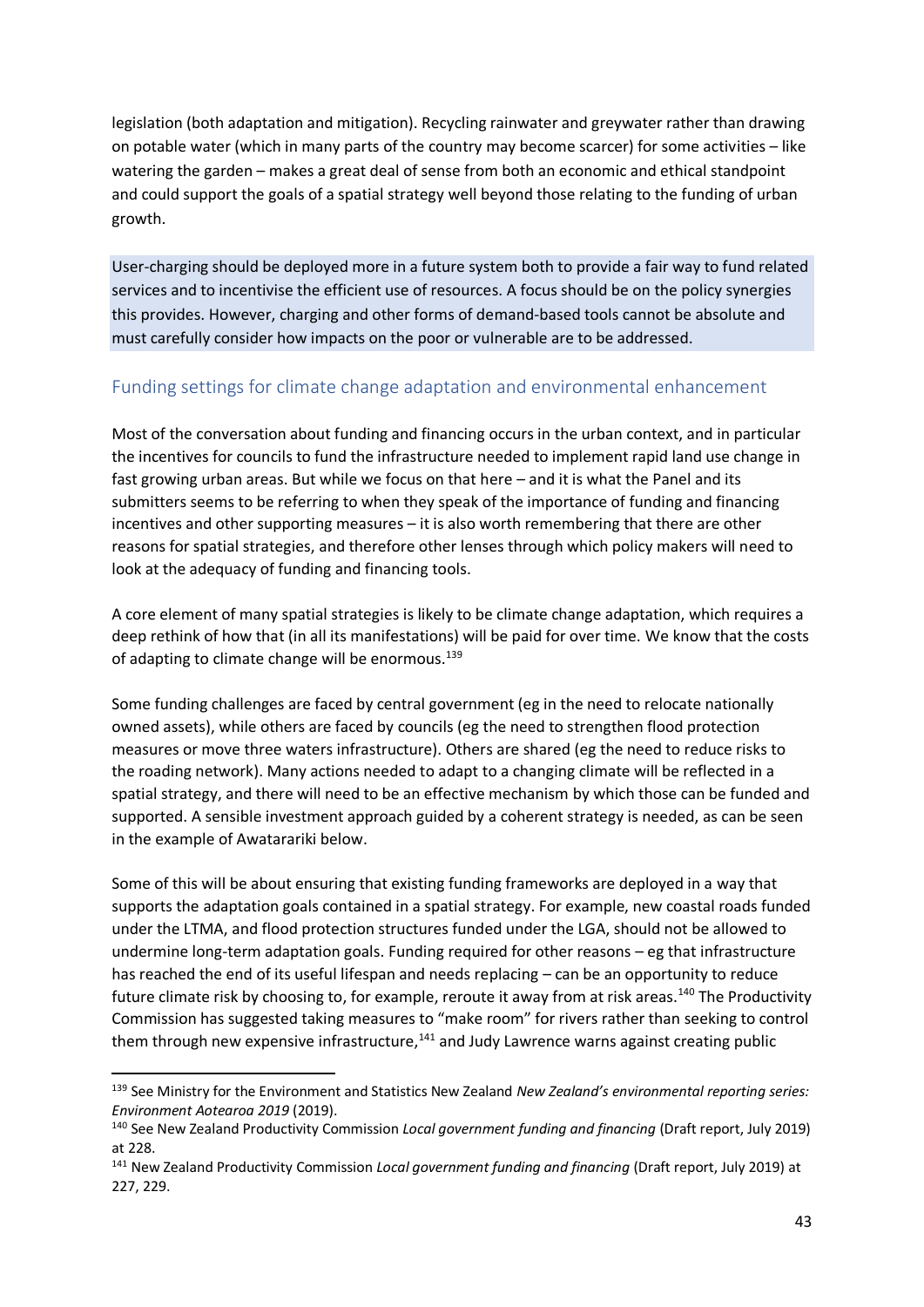legislation (both adaptation and mitigation). Recycling rainwater and greywater rather than drawing on potable water (which in many parts of the country may become scarcer) for some activities – like watering the garden – makes a great deal of sense from both an economic and ethical standpoint and could support the goals of a spatial strategy well beyond those relating to the funding of urban growth.

User-charging should be deployed more in a future system both to provide a fair way to fund related services and to incentivise the efficient use of resources. A focus should be on the policy synergies this provides. However, charging and other forms of demand-based tools cannot be absolute and must carefully consider how impacts on the poor or vulnerable are to be addressed.

### Funding settings for climate change adaptation and environmental enhancement

Most of the conversation about funding and financing occurs in the urban context, and in particular the incentives for councils to fund the infrastructure needed to implement rapid land use change in fast growing urban areas. But while we focus on that here – and it is what the Panel and its submitters seems to be referring to when they speak of the importance of funding and financing incentives and other supporting measures – it is also worth remembering that there are other reasons for spatial strategies, and therefore other lenses through which policy makers will need to look at the adequacy of funding and financing tools.

A core element of many spatial strategies is likely to be climate change adaptation, which requires a deep rethink of how that (in all its manifestations) will be paid for over time. We know that the costs of adapting to climate change will be enormous.<sup>139</sup>

Some funding challenges are faced by central government (eg in the need to relocate nationally owned assets), while others are faced by councils (eg the need to strengthen flood protection measures or move three waters infrastructure). Others are shared (eg the need to reduce risks to the roading network). Many actions needed to adapt to a changing climate will be reflected in a spatial strategy, and there will need to be an effective mechanism by which those can be funded and supported. A sensible investment approach guided by a coherent strategy is needed, as can be seen in the example of Awatarariki below.

Some of this will be about ensuring that existing funding frameworks are deployed in a way that supports the adaptation goals contained in a spatial strategy. For example, new coastal roads funded under the LTMA, and flood protection structures funded under the LGA, should not be allowed to undermine long-term adaptation goals. Funding required for other reasons – eg that infrastructure has reached the end of its useful lifespan and needs replacing – can be an opportunity to reduce future climate risk by choosing to, for example, reroute it away from at risk areas.<sup>140</sup> The Productivity Commission has suggested taking measures to "make room" for rivers rather than seeking to control them through new expensive infrastructure,<sup>141</sup> and Judy Lawrence warns against creating public

<sup>139</sup> See Ministry for the Environment and Statistics New Zealand *New Zealand's environmental reporting series: Environment Aotearoa 2019* (2019).

<sup>140</sup> See New Zealand Productivity Commission *Local government funding and financing* (Draft report, July 2019) at 228.

<sup>141</sup> New Zealand Productivity Commission *Local government funding and financing* (Draft report, July 2019) at 227, 229.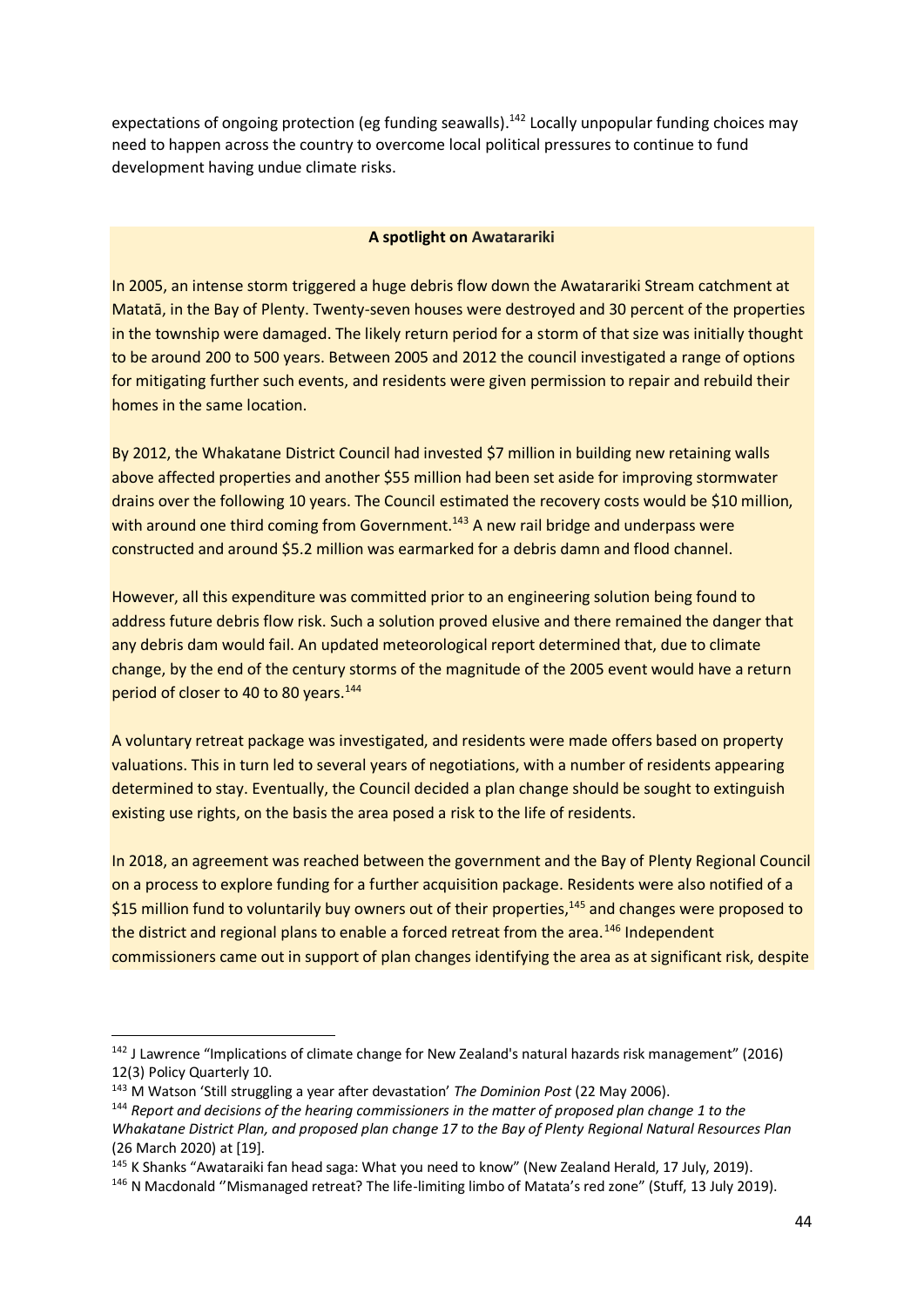expectations of ongoing protection (eg funding seawalls).<sup>142</sup> Locally unpopular funding choices may need to happen across the country to overcome local political pressures to continue to fund development having undue climate risks.

#### **A spotlight on Awatarariki**

In 2005, an intense storm triggered a huge debris flow down the Awatarariki Stream catchment at Matatā, in the Bay of Plenty. Twenty-seven houses were destroyed and 30 percent of the properties in the township were damaged. The likely return period for a storm of that size was initially thought to be around 200 to 500 years. Between 2005 and 2012 the council investigated a range of options for mitigating further such events, and residents were given permission to repair and rebuild their homes in the same location.

By 2012, the Whakatane District Council had invested \$7 million in building new retaining walls above affected properties and another \$55 million had been set aside for improving stormwater drains over the following 10 years. The Council estimated the recovery costs would be \$10 million, with around one third coming from Government.<sup>143</sup> A new rail bridge and underpass were constructed and around \$5.2 million was earmarked for a debris damn and flood channel.

However, all this expenditure was committed prior to an engineering solution being found to address future debris flow risk. Such a solution proved elusive and there remained the danger that any debris dam would fail. An updated meteorological report determined that, due to climate change, by the end of the century storms of the magnitude of the 2005 event would have a return period of closer to 40 to 80 years.<sup>144</sup>

A voluntary retreat package was investigated, and residents were made offers based on property valuations. This in turn led to several years of negotiations, with a number of residents appearing determined to stay. Eventually, the Council decided a plan change should be sought to extinguish existing use rights, on the basis the area posed a risk to the life of residents.

In 2018, an agreement was reached between the government and the Bay of Plenty Regional Council on a process to explore funding for a further acquisition package. Residents were also notified of a \$15 million fund to voluntarily buy owners out of their properties, $145$  and changes were proposed to the district and regional plans to enable a forced retreat from the area.<sup>146</sup> Independent commissioners came out in support of plan changes identifying the area as at significant risk, despite

<sup>142</sup> J Lawrence "Implications of climate change for New Zealand's natural hazards risk management" (2016) 12(3) Policy Quarterly 10.

<sup>143</sup> M Watson 'Still struggling a year after devastation' *The Dominion Post* (22 May 2006).

<sup>144</sup> *Report and decisions of the hearing commissioners in the matter of proposed plan change 1 to the Whakatane District Plan, and proposed plan change 17 to the Bay of Plenty Regional Natural Resources Plan* (26 March 2020) at [19].

<sup>145</sup> K Shanks "Awataraiki fan head saga: What you need to know" (New Zealand Herald, 17 July, 2019).

<sup>146</sup> N Macdonald ''Mismanaged retreat? The life-limiting limbo of Matata's red zone" (Stuff, 13 July 2019).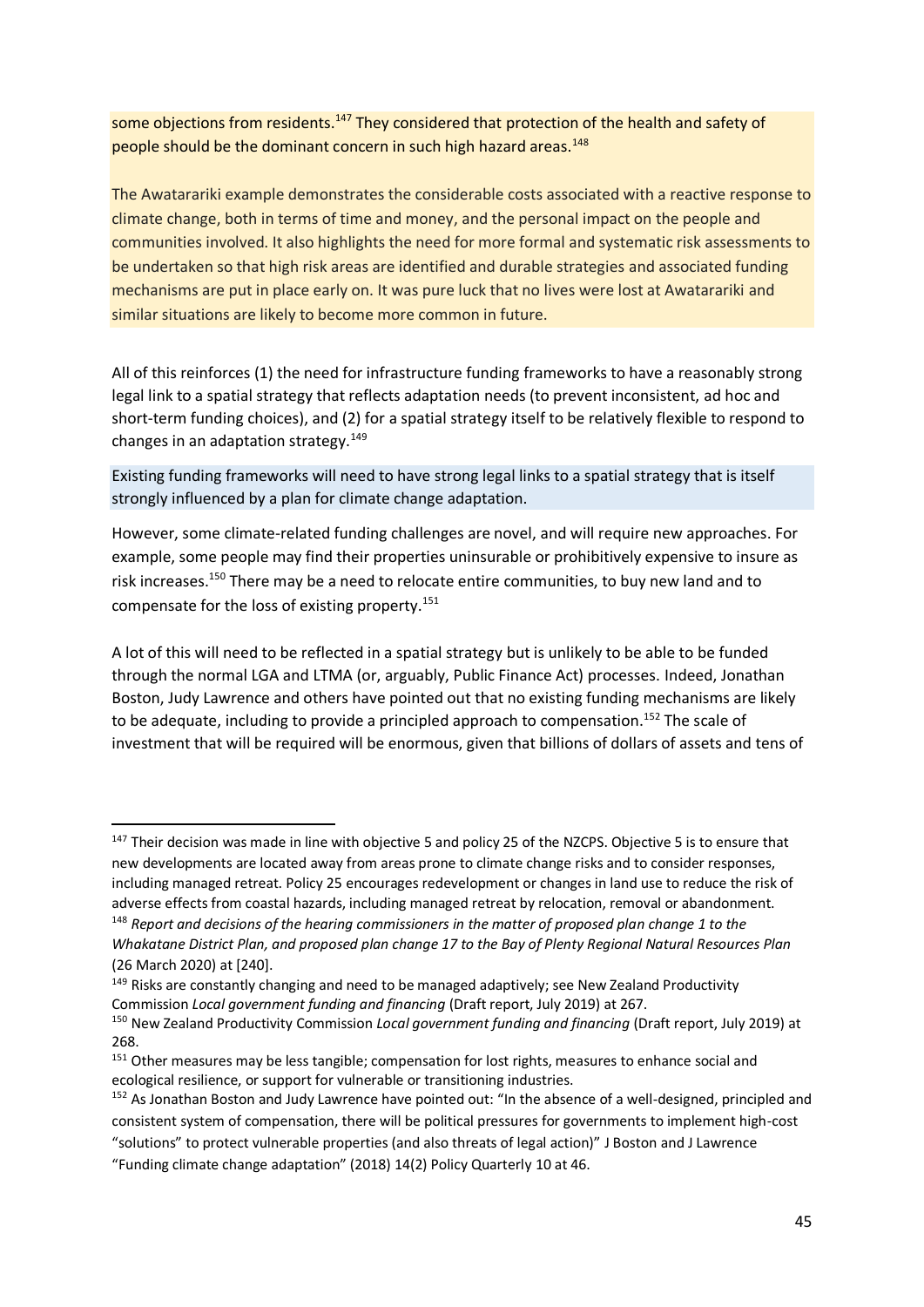some objections from residents.<sup>147</sup> They considered that protection of the health and safety of people should be the dominant concern in such high hazard areas.<sup>148</sup>

The Awatarariki example demonstrates the considerable costs associated with a reactive response to climate change, both in terms of time and money, and the personal impact on the people and communities involved. It also highlights the need for more formal and systematic risk assessments to be undertaken so that high risk areas are identified and durable strategies and associated funding mechanisms are put in place early on. It was pure luck that no lives were lost at Awatarariki and similar situations are likely to become more common in future.

All of this reinforces (1) the need for infrastructure funding frameworks to have a reasonably strong legal link to a spatial strategy that reflects adaptation needs (to prevent inconsistent, ad hoc and short-term funding choices), and (2) for a spatial strategy itself to be relatively flexible to respond to changes in an adaptation strategy. $149$ 

Existing funding frameworks will need to have strong legal links to a spatial strategy that is itself strongly influenced by a plan for climate change adaptation.

However, some climate-related funding challenges are novel, and will require new approaches. For example, some people may find their properties uninsurable or prohibitively expensive to insure as risk increases.<sup>150</sup> There may be a need to relocate entire communities, to buy new land and to compensate for the loss of existing property.<sup>151</sup>

A lot of this will need to be reflected in a spatial strategy but is unlikely to be able to be funded through the normal LGA and LTMA (or, arguably, Public Finance Act) processes. Indeed, Jonathan Boston, Judy Lawrence and others have pointed out that no existing funding mechanisms are likely to be adequate, including to provide a principled approach to compensation.<sup>152</sup> The scale of investment that will be required will be enormous, given that billions of dollars of assets and tens of

<sup>&</sup>lt;sup>147</sup> Their decision was made in line with objective 5 and policy 25 of the NZCPS. Objective 5 is to ensure that new developments are located away from areas prone to climate change risks and to consider responses, including managed retreat. Policy 25 encourages redevelopment or changes in land use to reduce the risk of adverse effects from coastal hazards, including managed retreat by relocation, removal or abandonment. <sup>148</sup> *Report and decisions of the hearing commissioners in the matter of proposed plan change 1 to the* 

*Whakatane District Plan, and proposed plan change 17 to the Bay of Plenty Regional Natural Resources Plan* (26 March 2020) at [240].

<sup>&</sup>lt;sup>149</sup> Risks are constantly changing and need to be managed adaptively; see New Zealand Productivity Commission *Local government funding and financing* (Draft report, July 2019) at 267.

<sup>150</sup> New Zealand Productivity Commission *Local government funding and financing* (Draft report, July 2019) at 268.

<sup>&</sup>lt;sup>151</sup> Other measures may be less tangible; compensation for lost rights, measures to enhance social and ecological resilience, or support for vulnerable or transitioning industries.

<sup>&</sup>lt;sup>152</sup> As Jonathan Boston and Judy Lawrence have pointed out: "In the absence of a well-designed, principled and consistent system of compensation, there will be political pressures for governments to implement high-cost "solutions" to protect vulnerable properties (and also threats of legal action)" J Boston and J Lawrence

<sup>&</sup>quot;Funding climate change adaptation" (2018) 14(2) Policy Quarterly 10 at 46.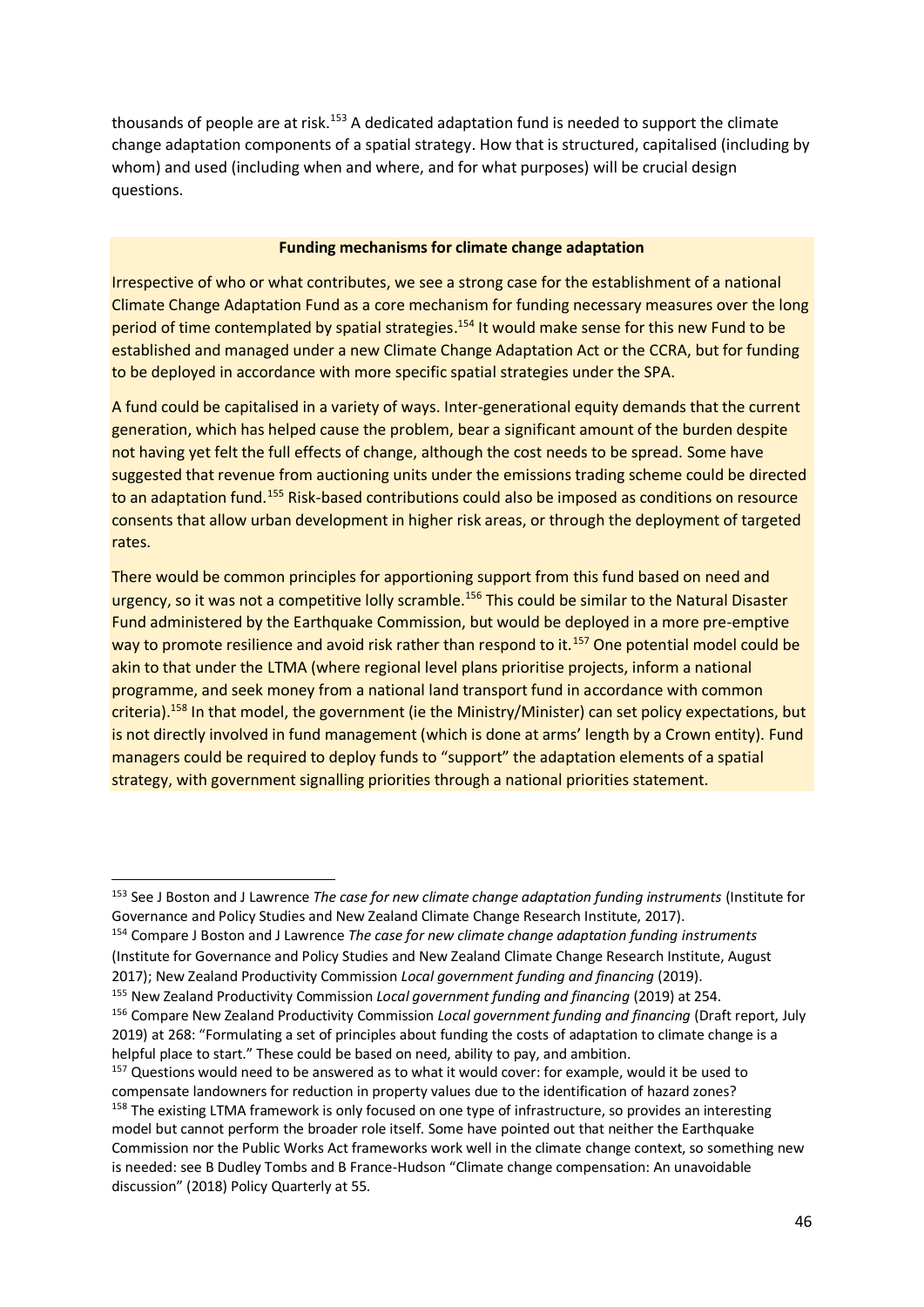thousands of people are at risk.<sup>153</sup> A dedicated adaptation fund is needed to support the climate change adaptation components of a spatial strategy. How that is structured, capitalised (including by whom) and used (including when and where, and for what purposes) will be crucial design questions.

#### **Funding mechanisms for climate change adaptation**

Irrespective of who or what contributes, we see a strong case for the establishment of a national Climate Change Adaptation Fund as a core mechanism for funding necessary measures over the long period of time contemplated by spatial strategies.<sup>154</sup> It would make sense for this new Fund to be established and managed under a new Climate Change Adaptation Act or the CCRA, but for funding to be deployed in accordance with more specific spatial strategies under the SPA.

A fund could be capitalised in a variety of ways. Inter-generational equity demands that the current generation, which has helped cause the problem, bear a significant amount of the burden despite not having yet felt the full effects of change, although the cost needs to be spread. Some have suggested that revenue from auctioning units under the emissions trading scheme could be directed to an adaptation fund.<sup>155</sup> Risk-based contributions could also be imposed as conditions on resource consents that allow urban development in higher risk areas, or through the deployment of targeted rates.

There would be common principles for apportioning support from this fund based on need and urgency, so it was not a competitive lolly scramble.<sup>156</sup> This could be similar to the Natural Disaster Fund administered by the Earthquake Commission, but would be deployed in a more pre-emptive way to promote resilience and avoid risk rather than respond to it.<sup>157</sup> One potential model could be akin to that under the LTMA (where regional level plans prioritise projects, inform a national programme, and seek money from a national land transport fund in accordance with common criteria).<sup>158</sup> In that model, the government (ie the Ministry/Minister) can set policy expectations, but is not directly involved in fund management (which is done at arms' length by a Crown entity). Fund managers could be required to deploy funds to "support" the adaptation elements of a spatial strategy, with government signalling priorities through a national priorities statement.

<sup>153</sup> See J Boston and J Lawrence *The case for new climate change adaptation funding instruments* (Institute for Governance and Policy Studies and New Zealand Climate Change Research Institute, 2017).

<sup>154</sup> Compare J Boston and J Lawrence *The case for new climate change adaptation funding instruments* (Institute for Governance and Policy Studies and New Zealand Climate Change Research Institute, August 2017); New Zealand Productivity Commission *Local government funding and financing* (2019).

<sup>155</sup> New Zealand Productivity Commission *Local government funding and financing* (2019) at 254.

<sup>156</sup> Compare New Zealand Productivity Commission *Local government funding and financing* (Draft report, July 2019) at 268: "Formulating a set of principles about funding the costs of adaptation to climate change is a helpful place to start." These could be based on need, ability to pay, and ambition.

<sup>&</sup>lt;sup>157</sup> Questions would need to be answered as to what it would cover: for example, would it be used to compensate landowners for reduction in property values due to the identification of hazard zones? <sup>158</sup> The existing LTMA framework is only focused on one type of infrastructure, so provides an interesting model but cannot perform the broader role itself. Some have pointed out that neither the Earthquake Commission nor the Public Works Act frameworks work well in the climate change context, so something new is needed: see B Dudley Tombs and B France-Hudson "Climate change compensation: An unavoidable discussion" (2018) Policy Quarterly at 55.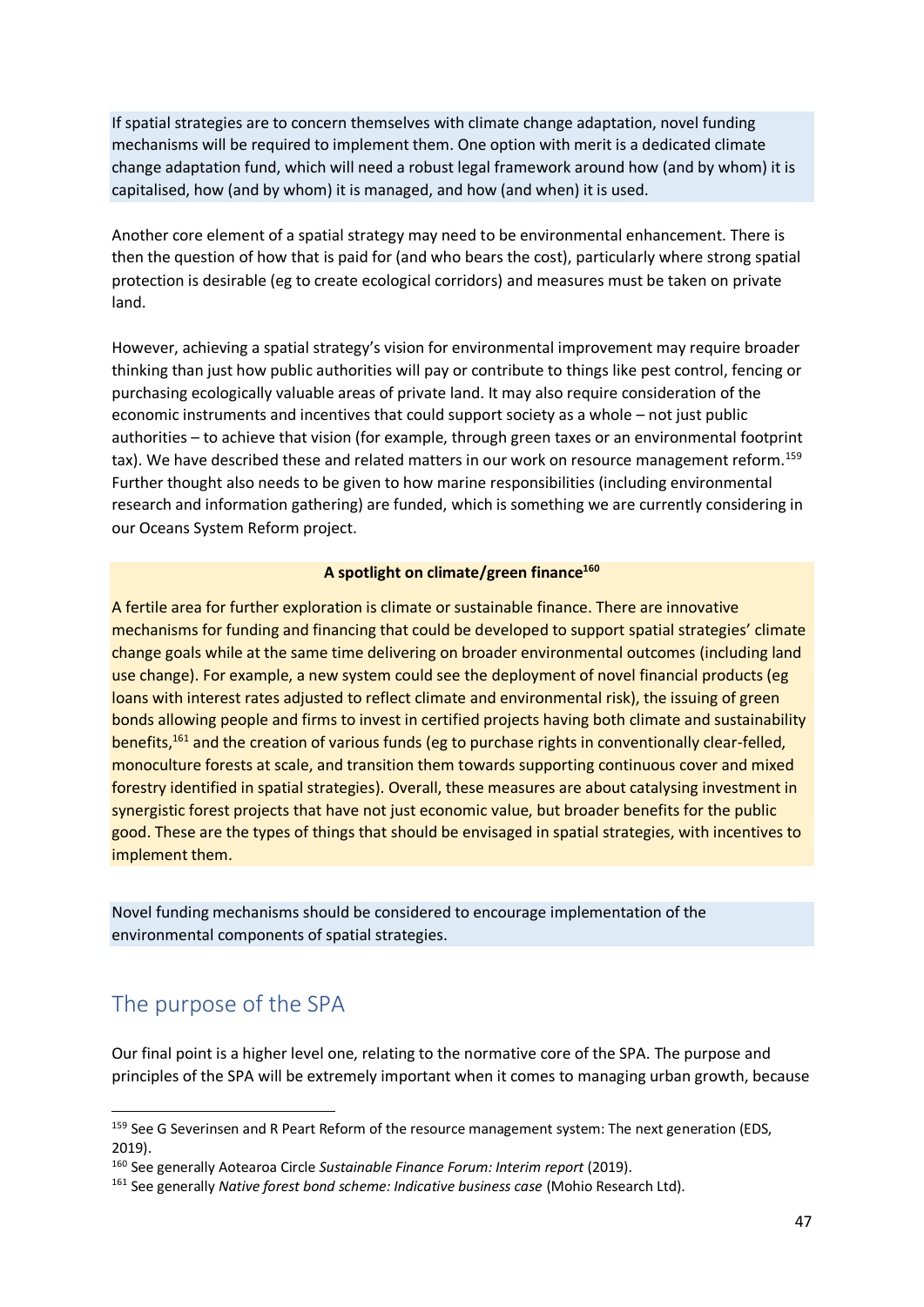If spatial strategies are to concern themselves with climate change adaptation, novel funding mechanisms will be required to implement them. One option with merit is a dedicated climate change adaptation fund, which will need a robust legal framework around how (and by whom) it is capitalised, how (and by whom) it is managed, and how (and when) it is used.

Another core element of a spatial strategy may need to be environmental enhancement. There is then the question of how that is paid for (and who bears the cost), particularly where strong spatial protection is desirable (eg to create ecological corridors) and measures must be taken on private land.

However, achieving a spatial strategy's vision for environmental improvement may require broader thinking than just how public authorities will pay or contribute to things like pest control, fencing or purchasing ecologically valuable areas of private land. It may also require consideration of the economic instruments and incentives that could support society as a whole – not just public authorities – to achieve that vision (for example, through green taxes or an environmental footprint tax). We have described these and related matters in our work on resource management reform.<sup>159</sup> Further thought also needs to be given to how marine responsibilities (including environmental research and information gathering) are funded, which is something we are currently considering in our Oceans System Reform project.

#### **A spotlight on climate/green finance<sup>160</sup>**

A fertile area for further exploration is climate or sustainable finance. There are innovative mechanisms for funding and financing that could be developed to support spatial strategies' climate change goals while at the same time delivering on broader environmental outcomes (including land use change). For example, a new system could see the deployment of novel financial products (eg loans with interest rates adjusted to reflect climate and environmental risk), the issuing of green bonds allowing people and firms to invest in certified projects having both climate and sustainability benefits,<sup>161</sup> and the creation of various funds (eg to purchase rights in conventionally clear-felled, monoculture forests at scale, and transition them towards supporting continuous cover and mixed forestry identified in spatial strategies). Overall, these measures are about catalysing investment in synergistic forest projects that have not just economic value, but broader benefits for the public good. These are the types of things that should be envisaged in spatial strategies, with incentives to implement them.

Novel funding mechanisms should be considered to encourage implementation of the environmental components of spatial strategies.

### The purpose of the SPA

Our final point is a higher level one, relating to the normative core of the SPA. The purpose and principles of the SPA will be extremely important when it comes to managing urban growth, because

<sup>&</sup>lt;sup>159</sup> See G Severinsen and R Peart Reform of the resource management system: The next generation (EDS, 2019).

<sup>160</sup> See generally Aotearoa Circle *Sustainable Finance Forum: Interim report* (2019).

<sup>161</sup> See generally *Native forest bond scheme: Indicative business case* (Mohio Research Ltd).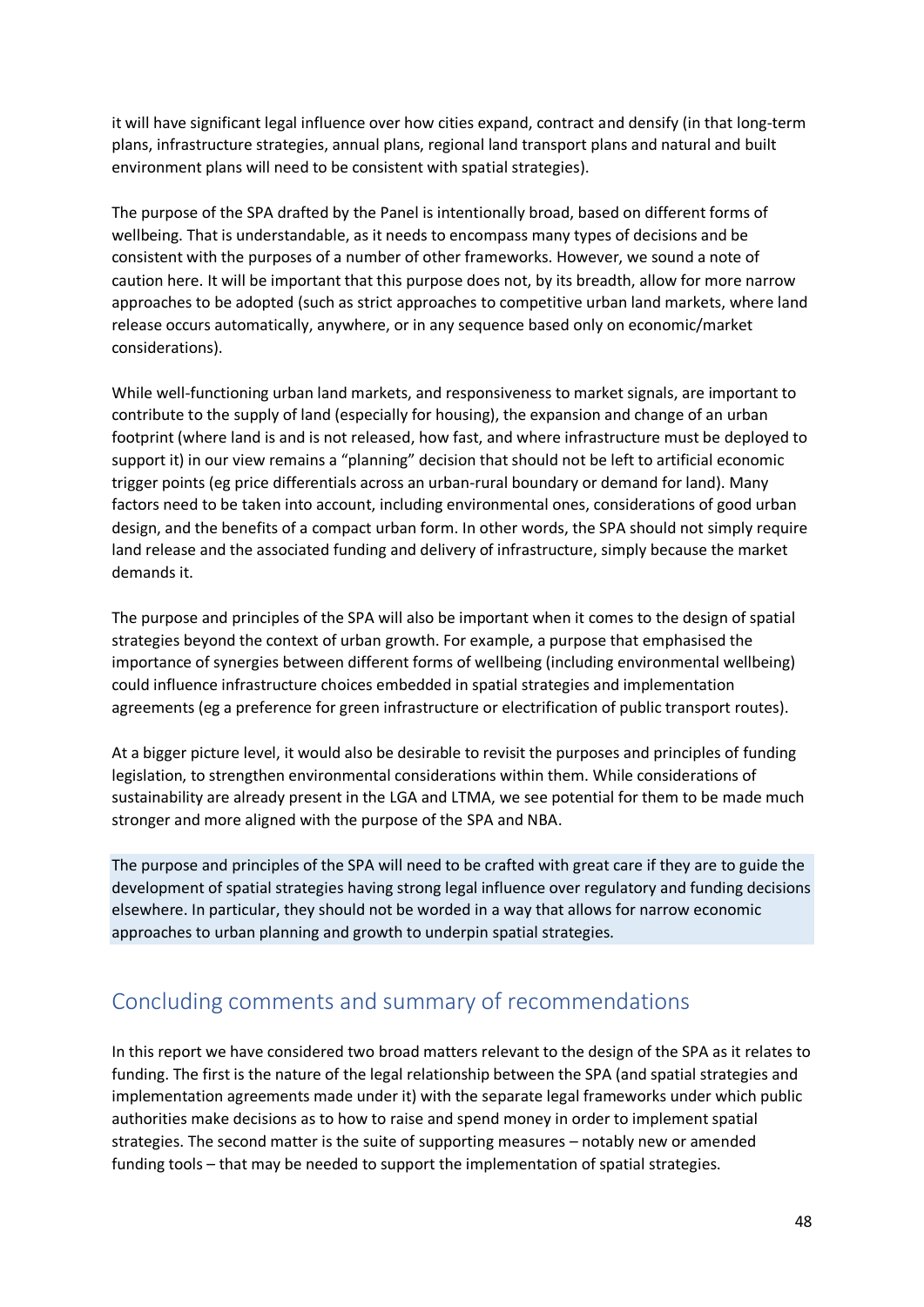it will have significant legal influence over how cities expand, contract and densify (in that long-term plans, infrastructure strategies, annual plans, regional land transport plans and natural and built environment plans will need to be consistent with spatial strategies).

The purpose of the SPA drafted by the Panel is intentionally broad, based on different forms of wellbeing. That is understandable, as it needs to encompass many types of decisions and be consistent with the purposes of a number of other frameworks. However, we sound a note of caution here. It will be important that this purpose does not, by its breadth, allow for more narrow approaches to be adopted (such as strict approaches to competitive urban land markets, where land release occurs automatically, anywhere, or in any sequence based only on economic/market considerations).

While well-functioning urban land markets, and responsiveness to market signals, are important to contribute to the supply of land (especially for housing), the expansion and change of an urban footprint (where land is and is not released, how fast, and where infrastructure must be deployed to support it) in our view remains a "planning" decision that should not be left to artificial economic trigger points (eg price differentials across an urban-rural boundary or demand for land). Many factors need to be taken into account, including environmental ones, considerations of good urban design, and the benefits of a compact urban form. In other words, the SPA should not simply require land release and the associated funding and delivery of infrastructure, simply because the market demands it.

The purpose and principles of the SPA will also be important when it comes to the design of spatial strategies beyond the context of urban growth. For example, a purpose that emphasised the importance of synergies between different forms of wellbeing (including environmental wellbeing) could influence infrastructure choices embedded in spatial strategies and implementation agreements (eg a preference for green infrastructure or electrification of public transport routes).

At a bigger picture level, it would also be desirable to revisit the purposes and principles of funding legislation, to strengthen environmental considerations within them. While considerations of sustainability are already present in the LGA and LTMA, we see potential for them to be made much stronger and more aligned with the purpose of the SPA and NBA.

The purpose and principles of the SPA will need to be crafted with great care if they are to guide the development of spatial strategies having strong legal influence over regulatory and funding decisions elsewhere. In particular, they should not be worded in a way that allows for narrow economic approaches to urban planning and growth to underpin spatial strategies.

### Concluding comments and summary of recommendations

In this report we have considered two broad matters relevant to the design of the SPA as it relates to funding. The first is the nature of the legal relationship between the SPA (and spatial strategies and implementation agreements made under it) with the separate legal frameworks under which public authorities make decisions as to how to raise and spend money in order to implement spatial strategies. The second matter is the suite of supporting measures – notably new or amended funding tools – that may be needed to support the implementation of spatial strategies.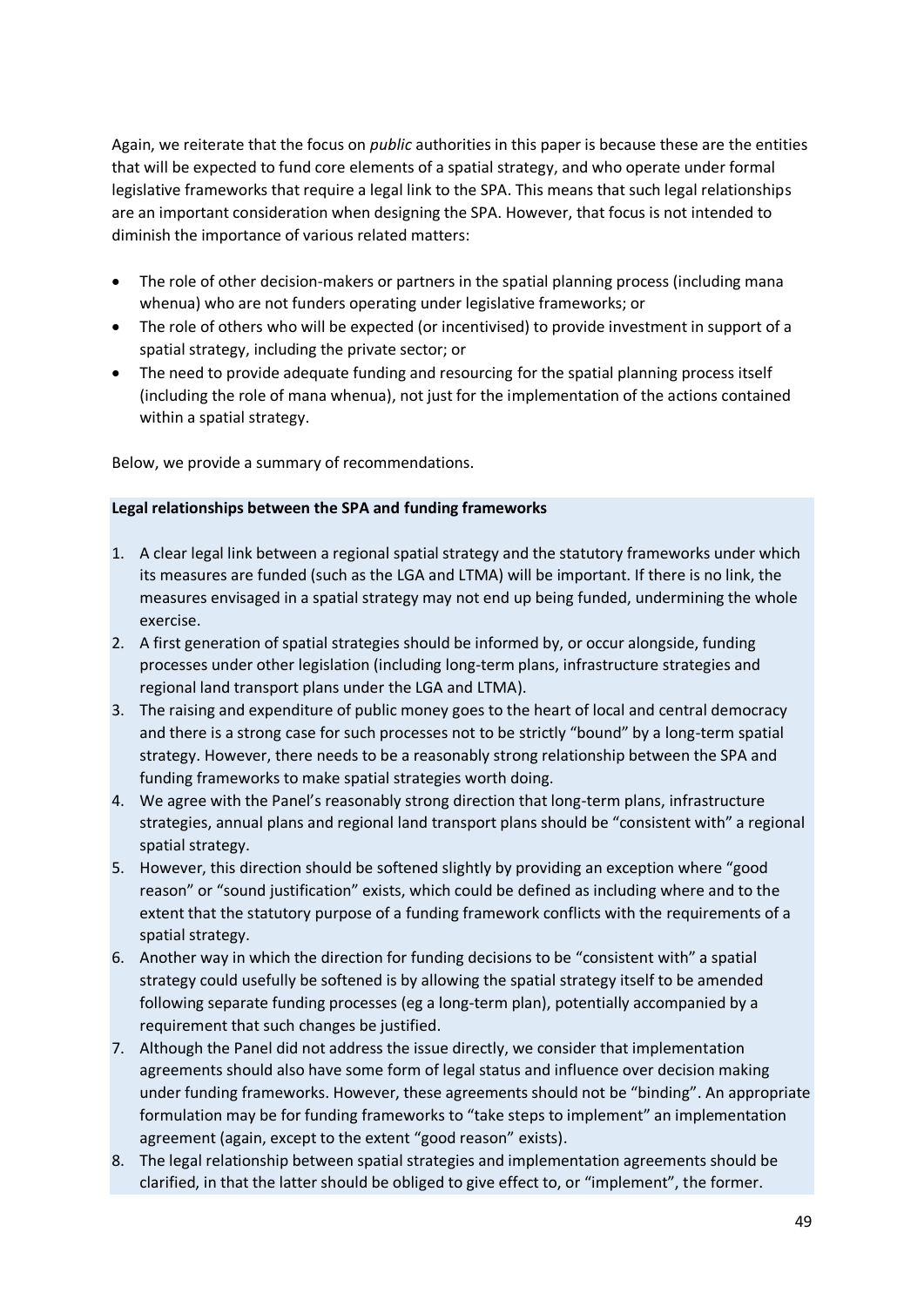Again, we reiterate that the focus on *public* authorities in this paper is because these are the entities that will be expected to fund core elements of a spatial strategy, and who operate under formal legislative frameworks that require a legal link to the SPA. This means that such legal relationships are an important consideration when designing the SPA. However, that focus is not intended to diminish the importance of various related matters:

- The role of other decision-makers or partners in the spatial planning process (including mana whenua) who are not funders operating under legislative frameworks; or
- The role of others who will be expected (or incentivised) to provide investment in support of a spatial strategy, including the private sector; or
- The need to provide adequate funding and resourcing for the spatial planning process itself (including the role of mana whenua), not just for the implementation of the actions contained within a spatial strategy.

Below, we provide a summary of recommendations.

#### **Legal relationships between the SPA and funding frameworks**

- 1. A clear legal link between a regional spatial strategy and the statutory frameworks under which its measures are funded (such as the LGA and LTMA) will be important. If there is no link, the measures envisaged in a spatial strategy may not end up being funded, undermining the whole exercise.
- 2. A first generation of spatial strategies should be informed by, or occur alongside, funding processes under other legislation (including long-term plans, infrastructure strategies and regional land transport plans under the LGA and LTMA).
- 3. The raising and expenditure of public money goes to the heart of local and central democracy and there is a strong case for such processes not to be strictly "bound" by a long-term spatial strategy. However, there needs to be a reasonably strong relationship between the SPA and funding frameworks to make spatial strategies worth doing.
- 4. We agree with the Panel's reasonably strong direction that long-term plans, infrastructure strategies, annual plans and regional land transport plans should be "consistent with" a regional spatial strategy.
- 5. However, this direction should be softened slightly by providing an exception where "good reason" or "sound justification" exists, which could be defined as including where and to the extent that the statutory purpose of a funding framework conflicts with the requirements of a spatial strategy.
- 6. Another way in which the direction for funding decisions to be "consistent with" a spatial strategy could usefully be softened is by allowing the spatial strategy itself to be amended following separate funding processes (eg a long-term plan), potentially accompanied by a requirement that such changes be justified.
- 7. Although the Panel did not address the issue directly, we consider that implementation agreements should also have some form of legal status and influence over decision making under funding frameworks. However, these agreements should not be "binding". An appropriate formulation may be for funding frameworks to "take steps to implement" an implementation agreement (again, except to the extent "good reason" exists).
- 8. The legal relationship between spatial strategies and implementation agreements should be clarified, in that the latter should be obliged to give effect to, or "implement", the former.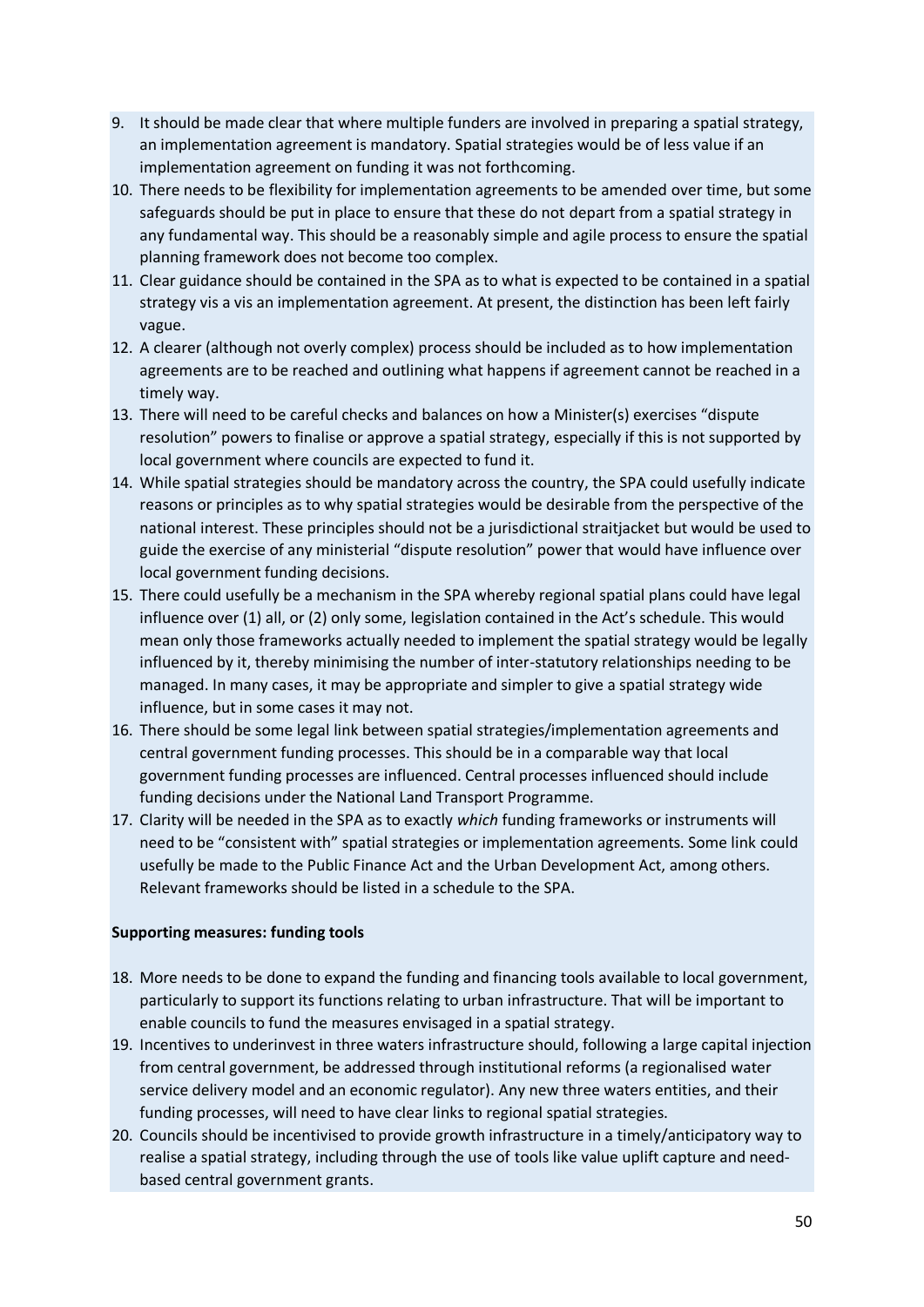- 9. It should be made clear that where multiple funders are involved in preparing a spatial strategy, an implementation agreement is mandatory. Spatial strategies would be of less value if an implementation agreement on funding it was not forthcoming.
- 10. There needs to be flexibility for implementation agreements to be amended over time, but some safeguards should be put in place to ensure that these do not depart from a spatial strategy in any fundamental way. This should be a reasonably simple and agile process to ensure the spatial planning framework does not become too complex.
- 11. Clear guidance should be contained in the SPA as to what is expected to be contained in a spatial strategy vis a vis an implementation agreement. At present, the distinction has been left fairly vague.
- 12. A clearer (although not overly complex) process should be included as to how implementation agreements are to be reached and outlining what happens if agreement cannot be reached in a timely way.
- 13. There will need to be careful checks and balances on how a Minister(s) exercises "dispute resolution" powers to finalise or approve a spatial strategy, especially if this is not supported by local government where councils are expected to fund it.
- 14. While spatial strategies should be mandatory across the country, the SPA could usefully indicate reasons or principles as to why spatial strategies would be desirable from the perspective of the national interest. These principles should not be a jurisdictional straitjacket but would be used to guide the exercise of any ministerial "dispute resolution" power that would have influence over local government funding decisions.
- 15. There could usefully be a mechanism in the SPA whereby regional spatial plans could have legal influence over (1) all, or (2) only some, legislation contained in the Act's schedule. This would mean only those frameworks actually needed to implement the spatial strategy would be legally influenced by it, thereby minimising the number of inter-statutory relationships needing to be managed. In many cases, it may be appropriate and simpler to give a spatial strategy wide influence, but in some cases it may not.
- 16. There should be some legal link between spatial strategies/implementation agreements and central government funding processes. This should be in a comparable way that local government funding processes are influenced. Central processes influenced should include funding decisions under the National Land Transport Programme.
- 17. Clarity will be needed in the SPA as to exactly *which* funding frameworks or instruments will need to be "consistent with" spatial strategies or implementation agreements. Some link could usefully be made to the Public Finance Act and the Urban Development Act, among others. Relevant frameworks should be listed in a schedule to the SPA.

#### **Supporting measures: funding tools**

- 18. More needs to be done to expand the funding and financing tools available to local government, particularly to support its functions relating to urban infrastructure. That will be important to enable councils to fund the measures envisaged in a spatial strategy.
- 19. Incentives to underinvest in three waters infrastructure should, following a large capital injection from central government, be addressed through institutional reforms (a regionalised water service delivery model and an economic regulator). Any new three waters entities, and their funding processes, will need to have clear links to regional spatial strategies.
- 20. Councils should be incentivised to provide growth infrastructure in a timely/anticipatory way to realise a spatial strategy, including through the use of tools like value uplift capture and needbased central government grants.